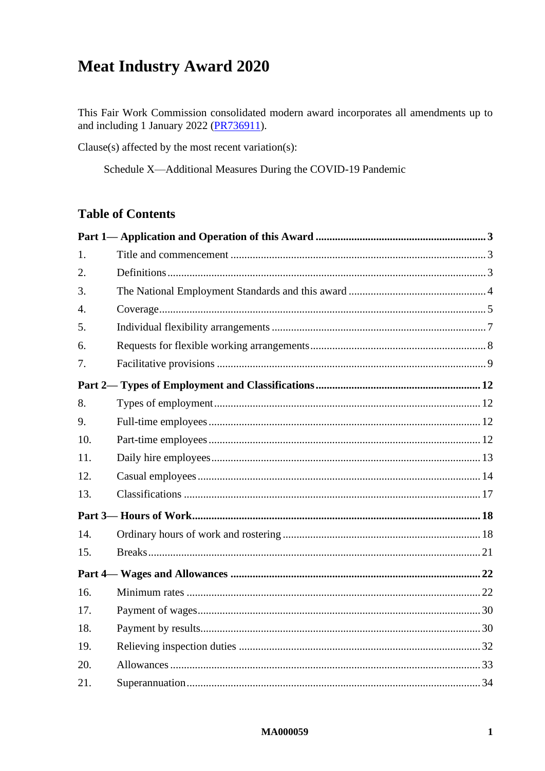# **Meat Industry Award 2020**

This Fair Work Commission consolidated modern award incorporates all amendments up to and including 1 January 2022 (PR736911).

Clause(s) affected by the most recent variation(s):

Schedule X-Additional Measures During the COVID-19 Pandemic

# **Table of Contents**

| 1.               |  |
|------------------|--|
| 2.               |  |
| 3.               |  |
| $\overline{4}$ . |  |
| 5.               |  |
| 6.               |  |
| 7.               |  |
|                  |  |
| 8.               |  |
| 9.               |  |
| 10.              |  |
| 11.              |  |
| 12.              |  |
| 13.              |  |
|                  |  |
| 14.              |  |
| 15.              |  |
|                  |  |
| 16.              |  |
| 17.              |  |
| 18.              |  |
| 19.              |  |
| 20.              |  |
| 21.              |  |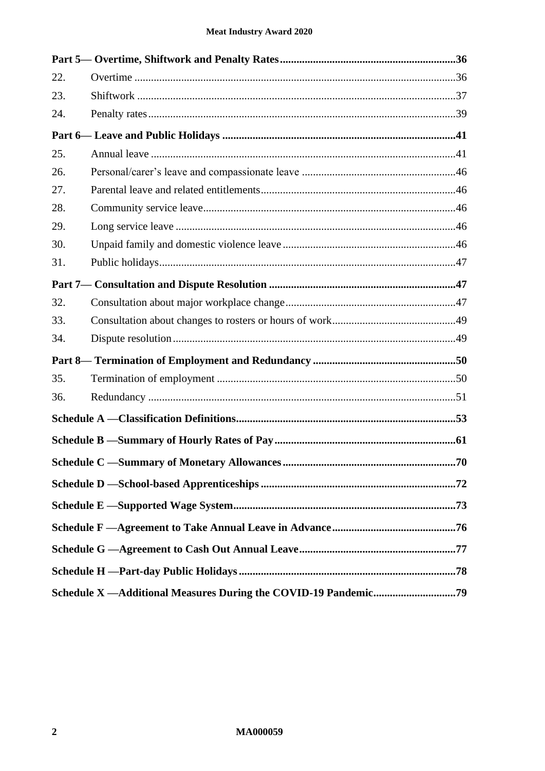| 22. |  |  |
|-----|--|--|
| 23. |  |  |
| 24. |  |  |
|     |  |  |
| 25. |  |  |
| 26. |  |  |
| 27. |  |  |
| 28. |  |  |
| 29. |  |  |
| 30. |  |  |
| 31. |  |  |
|     |  |  |
| 32. |  |  |
| 33. |  |  |
| 34. |  |  |
|     |  |  |
| 35. |  |  |
| 36. |  |  |
|     |  |  |
|     |  |  |
|     |  |  |
|     |  |  |
|     |  |  |
|     |  |  |
|     |  |  |
|     |  |  |
|     |  |  |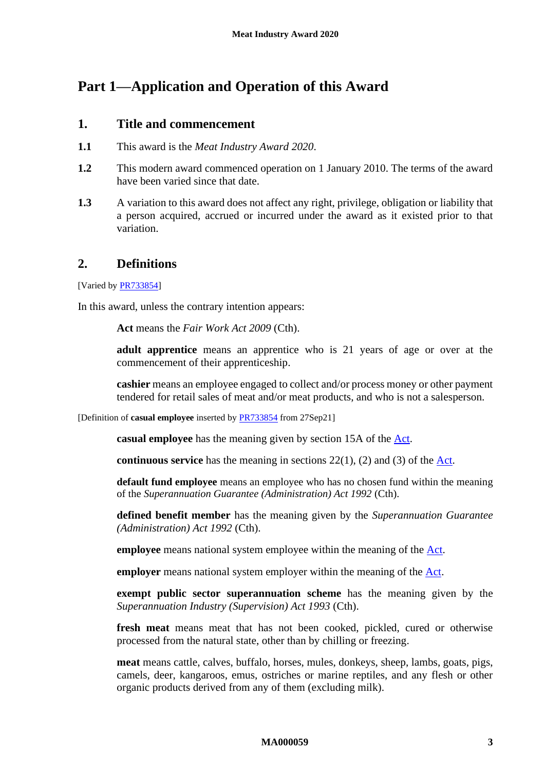# <span id="page-2-1"></span><span id="page-2-0"></span>**Part 1—Application and Operation of this Award**

# **1. Title and commencement**

- **1.1** This award is the *Meat Industry Award 2020*.
- **1.2** This modern award commenced operation on 1 January 2010. The terms of the award have been varied since that date.
- **1.3** A variation to this award does not affect any right, privilege, obligation or liability that a person acquired, accrued or incurred under the award as it existed prior to that variation.

# <span id="page-2-2"></span>**2. Definitions**

[Varied by [PR733854\]](https://www.fwc.gov.au/documents/awardsandorders/html/PR733854.htm)

In this award, unless the contrary intention appears:

**Act** means the *Fair Work Act 2009* (Cth).

**adult apprentice** means an apprentice who is 21 years of age or over at the commencement of their apprenticeship.

**cashier** means an employee engaged to collect and/or process money or other payment tendered for retail sales of meat and/or meat products, and who is not a salesperson.

[Definition of **casual employee** inserted by [PR733854](https://www.fwc.gov.au/documents/awardsandorders/html/PR733854.htm) from 27Sep21]

**casual employee** has the meaning given by section 15A of the [Act.](http://www.legislation.gov.au/Series/C2009A00028)

**continuous service** has the meaning in sections  $22(1)$ ,  $(2)$  and  $(3)$  of the  $\underline{\text{Act}}$ .

**default fund employee** means an employee who has no chosen fund within the meaning of the *Superannuation Guarantee (Administration) Act 1992* (Cth).

**defined benefit member** has the meaning given by the *Superannuation Guarantee (Administration) Act 1992* (Cth).

**employee** means national system employee within the meaning of the [Act.](http://www.legislation.gov.au/Series/C2009A00028)

**employer** means national system employer within the meaning of the **Act**.

**exempt public sector superannuation scheme** has the meaning given by the *Superannuation Industry (Supervision) Act 1993* (Cth).

**fresh meat** means meat that has not been cooked, pickled, cured or otherwise processed from the natural state, other than by chilling or freezing.

**meat** means cattle, calves, buffalo, horses, mules, donkeys, sheep, lambs, goats, pigs, camels, deer, kangaroos, emus, ostriches or marine reptiles, and any flesh or other organic products derived from any of them (excluding milk).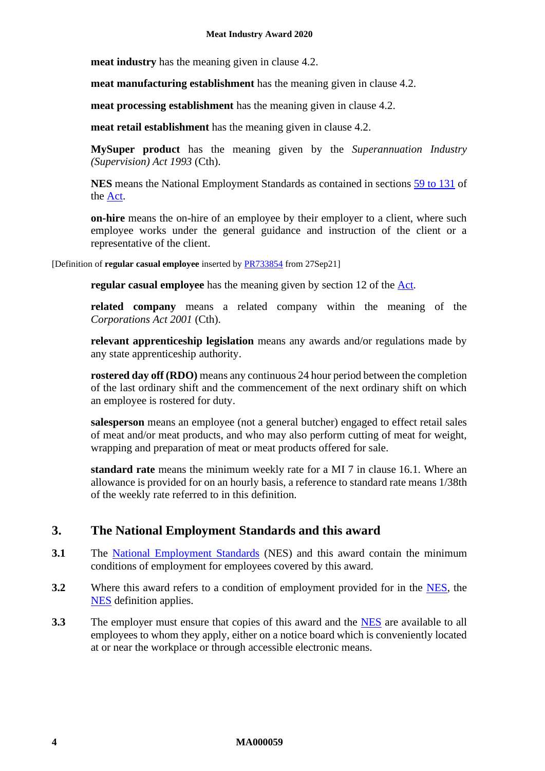**meat industry** has the meaning given in clause [4.2.](#page-4-1)

**meat manufacturing establishment** has the meaning given in clause [4.2.](#page-4-1)

**meat processing establishment** has the meaning given in clause [4.2.](#page-4-1)

**meat retail establishment** has the meaning given in clause [4.2.](#page-4-1)

**MySuper product** has the meaning given by the *Superannuation Industry (Supervision) Act 1993* (Cth).

**NES** means the National Employment Standards as contained in sections [59 to 131](http://www.fwc.gov.au/awardmod/download/nes.pdf) of the [Act.](http://www.legislation.gov.au/Series/C2009A00028)

**on-hire** means the on-hire of an employee by their employer to a client, where such employee works under the general guidance and instruction of the client or a representative of the client.

[Definition of **regular casual employee** inserted by [PR733854](https://www.fwc.gov.au/documents/awardsandorders/html/PR733854.htm) from 27Sep21]

**regular casual employee** has the meaning given by section 12 of the **Act**.

**related company** means a related company within the meaning of the *Corporations Act 2001* (Cth).

**relevant apprenticeship legislation** means any awards and/or regulations made by any state apprenticeship authority.

**rostered day off (RDO)** means any continuous 24 hour period between the completion of the last ordinary shift and the commencement of the next ordinary shift on which an employee is rostered for duty.

**salesperson** means an employee (not a general butcher) engaged to effect retail sales of meat and/or meat products, and who may also perform cutting of meat for weight, wrapping and preparation of meat or meat products offered for sale.

**standard rate** means the minimum weekly rate for a MI 7 in clause [16.1.](#page-21-2) Where an allowance is provided for on an hourly basis, a reference to standard rate means 1/38th of the weekly rate referred to in this definition.

# <span id="page-3-0"></span>**3. The National Employment Standards and this award**

- **3.1** The [National Employment Standards](https://www.fwc.gov.au/documents/awardmod/download/nes.pdf) (NES) and this award contain the minimum conditions of employment for employees covered by this award.
- **3.2** Where this award refers to a condition of employment provided for in the [NES,](https://www.fwc.gov.au/documents/awardmod/download/nes.pdf) the [NES](https://www.fwc.gov.au/documents/awardmod/download/nes.pdf) definition applies.
- **3.3** The employer must ensure that copies of this award and the **NES** are available to all employees to whom they apply, either on a notice board which is conveniently located at or near the workplace or through accessible electronic means.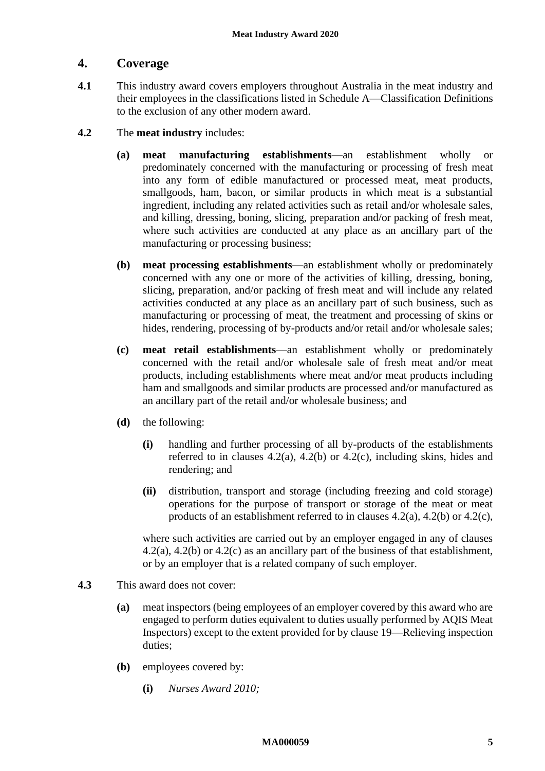# <span id="page-4-0"></span>**4. Coverage**

- <span id="page-4-5"></span>**4.1** This industry award covers employers throughout Australia in the meat industry and their employees in the classifications listed in [Schedule A—Classification Definitions](#page-52-0) to the exclusion of any other modern award.
- <span id="page-4-4"></span><span id="page-4-3"></span><span id="page-4-2"></span><span id="page-4-1"></span>**4.2** The **meat industry** includes:
	- **(a) meat manufacturing establishments—**an establishment wholly or predominately concerned with the manufacturing or processing of fresh meat into any form of edible manufactured or processed meat, meat products, smallgoods, ham, bacon, or similar products in which meat is a substantial ingredient, including any related activities such as retail and/or wholesale sales, and killing, dressing, boning, slicing, preparation and/or packing of fresh meat, where such activities are conducted at any place as an ancillary part of the manufacturing or processing business;
	- **(b) meat processing establishments**—an establishment wholly or predominately concerned with any one or more of the activities of killing, dressing, boning, slicing, preparation, and/or packing of fresh meat and will include any related activities conducted at any place as an ancillary part of such business, such as manufacturing or processing of meat, the treatment and processing of skins or hides, rendering, processing of by-products and/or retail and/or wholesale sales;
	- **(c) meat retail establishments**—an establishment wholly or predominately concerned with the retail and/or wholesale sale of fresh meat and/or meat products, including establishments where meat and/or meat products including ham and smallgoods and similar products are processed and/or manufactured as an ancillary part of the retail and/or wholesale business; and
	- **(d)** the following:
		- **(i)** handling and further processing of all by-products of the establishments referred to in clauses  $4.2(a)$ ,  $4.2(b)$  or  $4.2(c)$ , including skins, hides and rendering; and
		- **(ii)** distribution, transport and storage (including freezing and cold storage) operations for the purpose of transport or storage of the meat or meat products of an establishment referred to in clauses [4.2\(a\),](#page-4-2) [4.2\(b\)](#page-4-3) or [4.2\(c\),](#page-4-4)

where such activities are carried out by an employer engaged in any of clauses [4.2\(a\),](#page-4-2) [4.2\(b\)](#page-4-3) or [4.2\(c\)](#page-4-4) as an ancillary part of the business of that establishment, or by an employer that is a related company of such employer.

- <span id="page-4-6"></span>**4.3** This award does not cover:
	- **(a)** meat inspectors (being employees of an employer covered by this award who are engaged to perform duties equivalent to duties usually performed by AQIS Meat Inspectors) except to the extent provided for by clause [19—Relieving inspection](#page-31-0)  [duties;](#page-31-0)
	- **(b)** employees covered by:
		- **(i)** *Nurses Award 2010;*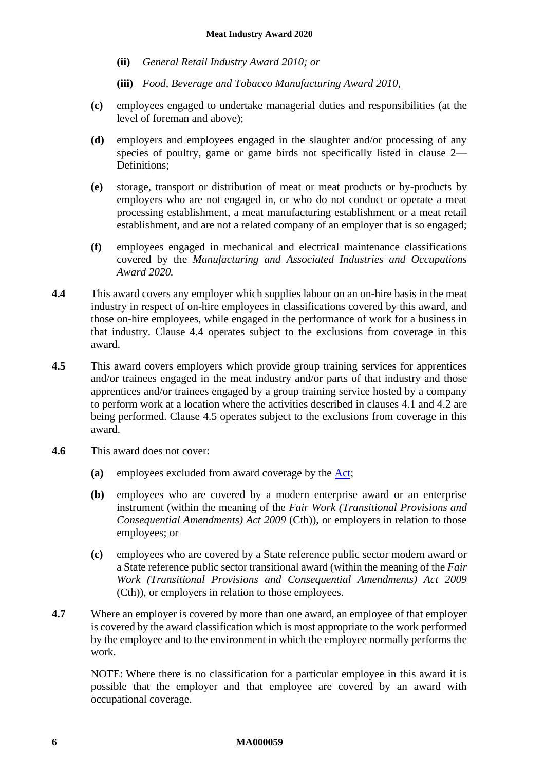- **(ii)** *General Retail Industry Award 2010; or*
- **(iii)** *Food, Beverage and Tobacco Manufacturing Award 2010,*
- **(c)** employees engaged to undertake managerial duties and responsibilities (at the level of foreman and above);
- **(d)** employers and employees engaged in the slaughter and/or processing of any species of poultry, game or game birds not specifically listed in clause [2—](#page-2-2) [Definitions;](#page-2-2)
- **(e)** storage, transport or distribution of meat or meat products or by-products by employers who are not engaged in, or who do not conduct or operate a meat processing establishment, a meat manufacturing establishment or a meat retail establishment, and are not a related company of an employer that is so engaged;
- **(f)** employees engaged in mechanical and electrical maintenance classifications covered by the *Manufacturing and Associated Industries and Occupations Award 2020.*
- <span id="page-5-0"></span>**4.4** This award covers any employer which supplies labour on an on-hire basis in the meat industry in respect of on-hire employees in classifications covered by this award, and those on-hire employees, while engaged in the performance of work for a business in that industry. Clause [4.4](#page-5-0) operates subject to the exclusions from coverage in this award.
- <span id="page-5-1"></span>**4.5** This award covers employers which provide group training services for apprentices and/or trainees engaged in the meat industry and/or parts of that industry and those apprentices and/or trainees engaged by a group training service hosted by a company to perform work at a location where the activities described in clauses [4.1](#page-4-5) and [4.2](#page-4-1) are being performed. Clause [4.5](#page-5-1) operates subject to the exclusions from coverage in this award.
- **4.6** This award does not cover:
	- **(a)** employees excluded from award coverage by the [Act;](http://www.legislation.gov.au/Series/C2009A00028)
	- **(b)** employees who are covered by a modern enterprise award or an enterprise instrument (within the meaning of the *Fair Work (Transitional Provisions and Consequential Amendments) Act 2009* (Cth)), or employers in relation to those employees; or
	- **(c)** employees who are covered by a State reference public sector modern award or a State reference public sector transitional award (within the meaning of the *Fair Work (Transitional Provisions and Consequential Amendments) Act 2009*  (Cth)), or employers in relation to those employees.
- **4.7** Where an employer is covered by more than one award, an employee of that employer is covered by the award classification which is most appropriate to the work performed by the employee and to the environment in which the employee normally performs the work.

NOTE: Where there is no classification for a particular employee in this award it is possible that the employer and that employee are covered by an award with occupational coverage.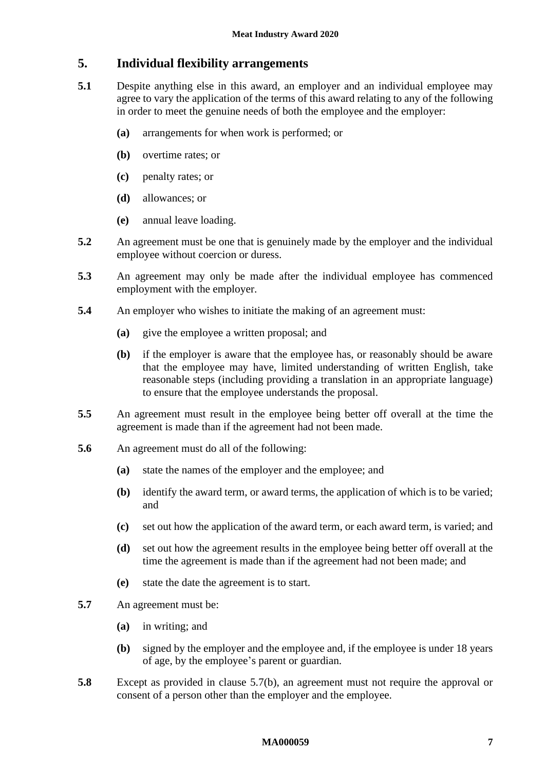# <span id="page-6-0"></span>**5. Individual flexibility arrangements**

- **5.1** Despite anything else in this award, an employer and an individual employee may agree to vary the application of the terms of this award relating to any of the following in order to meet the genuine needs of both the employee and the employer:
	- **(a)** arrangements for when work is performed; or
	- **(b)** overtime rates; or
	- **(c)** penalty rates; or
	- **(d)** allowances; or
	- **(e)** annual leave loading.
- **5.2** An agreement must be one that is genuinely made by the employer and the individual employee without coercion or duress.
- **5.3** An agreement may only be made after the individual employee has commenced employment with the employer.
- **5.4** An employer who wishes to initiate the making of an agreement must:
	- **(a)** give the employee a written proposal; and
	- **(b)** if the employer is aware that the employee has, or reasonably should be aware that the employee may have, limited understanding of written English, take reasonable steps (including providing a translation in an appropriate language) to ensure that the employee understands the proposal.
- **5.5** An agreement must result in the employee being better off overall at the time the agreement is made than if the agreement had not been made.
- **5.6** An agreement must do all of the following:
	- **(a)** state the names of the employer and the employee; and
	- **(b)** identify the award term, or award terms, the application of which is to be varied; and
	- **(c)** set out how the application of the award term, or each award term, is varied; and
	- **(d)** set out how the agreement results in the employee being better off overall at the time the agreement is made than if the agreement had not been made; and
	- **(e)** state the date the agreement is to start.
- <span id="page-6-1"></span>**5.7** An agreement must be:
	- **(a)** in writing; and
	- **(b)** signed by the employer and the employee and, if the employee is under 18 years of age, by the employee's parent or guardian.
- **5.8** Except as provided in clause [5.7\(b\),](#page-6-1) an agreement must not require the approval or consent of a person other than the employer and the employee.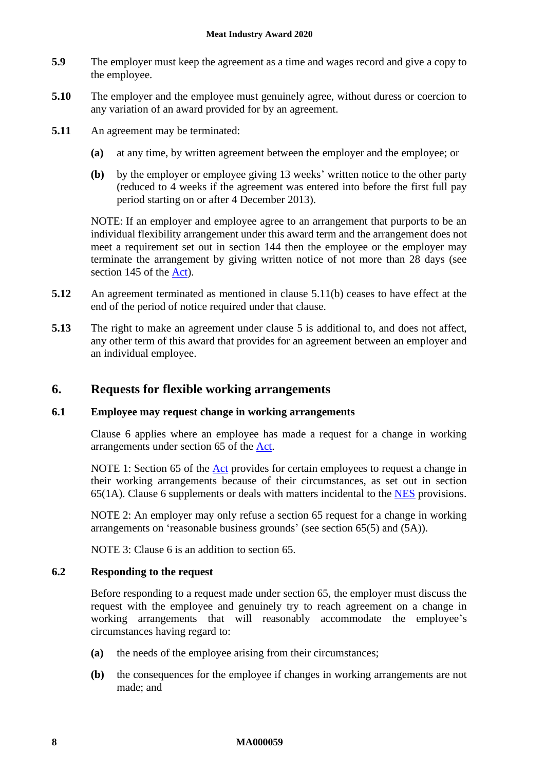- **5.9** The employer must keep the agreement as a time and wages record and give a copy to the employee.
- **5.10** The employer and the employee must genuinely agree, without duress or coercion to any variation of an award provided for by an agreement.
- <span id="page-7-1"></span>**5.11** An agreement may be terminated:
	- **(a)** at any time, by written agreement between the employer and the employee; or
	- **(b)** by the employer or employee giving 13 weeks' written notice to the other party (reduced to 4 weeks if the agreement was entered into before the first full pay period starting on or after 4 December 2013).

NOTE: If an employer and employee agree to an arrangement that purports to be an individual flexibility arrangement under this award term and the arrangement does not meet a requirement set out in section 144 then the employee or the employer may terminate the arrangement by giving written notice of not more than 28 days (see section 145 of the [Act\)](http://www.legislation.gov.au/Series/C2009A00028).

- **5.12** An agreement terminated as mentioned in clause [5.11\(b\)](#page-7-1) ceases to have effect at the end of the period of notice required under that clause.
- **5.13** The right to make an agreement under clause [5](#page-6-0) is additional to, and does not affect, any other term of this award that provides for an agreement between an employer and an individual employee.

# <span id="page-7-0"></span>**6. Requests for flexible working arrangements**

# **6.1 Employee may request change in working arrangements**

Clause [6](#page-7-0) applies where an employee has made a request for a change in working arrangements under section 65 of the [Act.](http://www.legislation.gov.au/Series/C2009A00028)

NOTE 1: Section 65 of the [Act](http://www.legislation.gov.au/Series/C2009A00028) provides for certain employees to request a change in their working arrangements because of their circumstances, as set out in section 65(1A). Clause [6](#page-7-0) supplements or deals with matters incidental to the [NES](https://www.fwc.gov.au/documents/awardmod/download/nes.pdf) provisions.

NOTE 2: An employer may only refuse a section 65 request for a change in working arrangements on 'reasonable business grounds' (see section 65(5) and (5A)).

NOTE 3: Clause [6](#page-7-0) is an addition to section 65.

# <span id="page-7-2"></span>**6.2 Responding to the request**

Before responding to a request made under section 65, the employer must discuss the request with the employee and genuinely try to reach agreement on a change in working arrangements that will reasonably accommodate the employee's circumstances having regard to:

- **(a)** the needs of the employee arising from their circumstances;
- **(b)** the consequences for the employee if changes in working arrangements are not made; and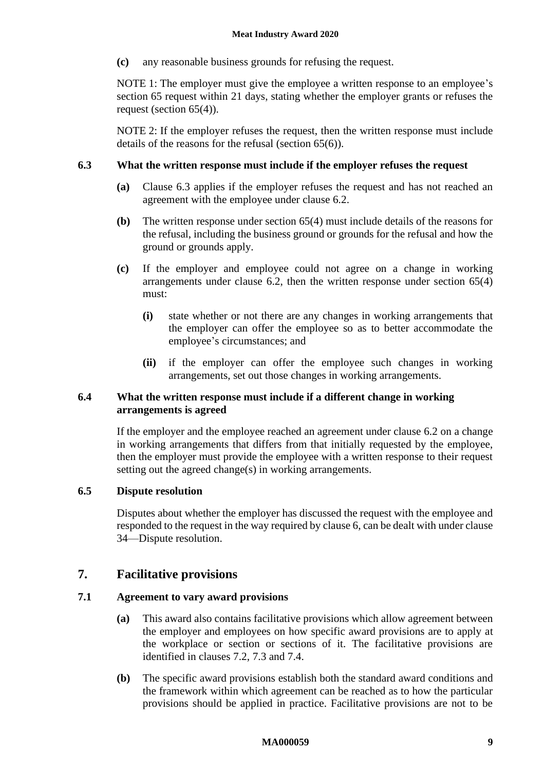**(c)** any reasonable business grounds for refusing the request.

NOTE 1: The employer must give the employee a written response to an employee's section 65 request within 21 days, stating whether the employer grants or refuses the request (section 65(4)).

NOTE 2: If the employer refuses the request, then the written response must include details of the reasons for the refusal (section 65(6)).

# <span id="page-8-1"></span>**6.3 What the written response must include if the employer refuses the request**

- **(a)** Clause [6.3](#page-8-1) applies if the employer refuses the request and has not reached an agreement with the employee under clause [6.2.](#page-7-2)
- **(b)** The written response under section 65(4) must include details of the reasons for the refusal, including the business ground or grounds for the refusal and how the ground or grounds apply.
- **(c)** If the employer and employee could not agree on a change in working arrangements under clause [6.2,](#page-7-2) then the written response under section 65(4) must:
	- **(i)** state whether or not there are any changes in working arrangements that the employer can offer the employee so as to better accommodate the employee's circumstances; and
	- **(ii)** if the employer can offer the employee such changes in working arrangements, set out those changes in working arrangements.

# **6.4 What the written response must include if a different change in working arrangements is agreed**

If the employer and the employee reached an agreement under clause [6.2](#page-7-2) on a change in working arrangements that differs from that initially requested by the employee, then the employer must provide the employee with a written response to their request setting out the agreed change(s) in working arrangements.

# **6.5 Dispute resolution**

Disputes about whether the employer has discussed the request with the employee and responded to the request in the way required by claus[e 6,](#page-7-0) can be dealt with under clause [34—Dispute resolution.](#page-48-1)

# <span id="page-8-0"></span>**7. Facilitative provisions**

# **7.1 Agreement to vary award provisions**

- **(a)** This award also contains facilitative provisions which allow agreement between the employer and employees on how specific award provisions are to apply at the workplace or section or sections of it. The facilitative provisions are identified in clauses [7.2,](#page-9-0) [7.3](#page-9-1) and [7.4.](#page-10-0)
- **(b)** The specific award provisions establish both the standard award conditions and the framework within which agreement can be reached as to how the particular provisions should be applied in practice. Facilitative provisions are not to be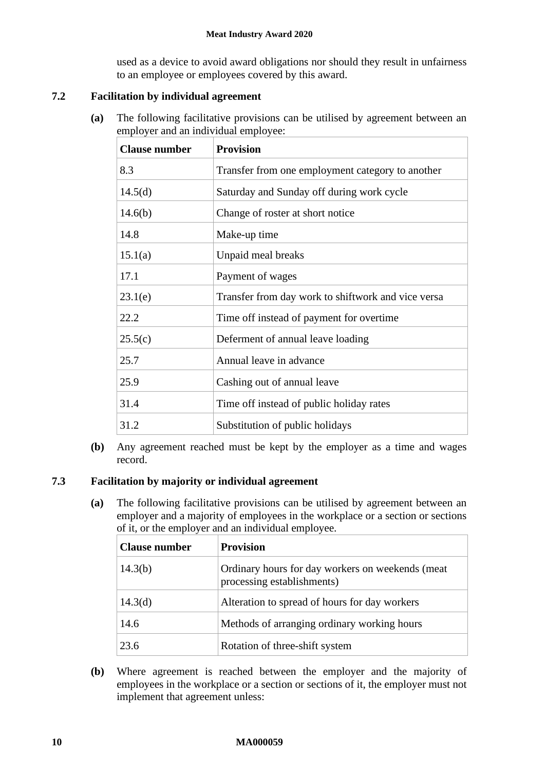used as a device to avoid award obligations nor should they result in unfairness to an employee or employees covered by this award.

# <span id="page-9-0"></span>**7.2 Facilitation by individual agreement**

**(a)** The following facilitative provisions can be utilised by agreement between an employer and an individual employee:

| <b>Clause number</b> | <b>Provision</b>                                   |
|----------------------|----------------------------------------------------|
| 8.3                  | Transfer from one employment category to another   |
| 14.5(d)              | Saturday and Sunday off during work cycle          |
| 14.6(b)              | Change of roster at short notice                   |
| 14.8                 | Make-up time                                       |
| 15.1(a)              | Unpaid meal breaks                                 |
| 17.1                 | Payment of wages                                   |
| 23.1(e)              | Transfer from day work to shiftwork and vice versa |
| 22.2                 | Time off instead of payment for overtime.          |
| 25.5(c)              | Deferment of annual leave loading                  |
| 25.7                 | Annual leave in advance                            |
| 25.9                 | Cashing out of annual leave                        |
| 31.4                 | Time off instead of public holiday rates           |
| 31.2                 | Substitution of public holidays                    |

**(b)** Any agreement reached must be kept by the employer as a time and wages record.

# <span id="page-9-2"></span><span id="page-9-1"></span>**7.3 Facilitation by majority or individual agreement**

**(a)** The following facilitative provisions can be utilised by agreement between an employer and a majority of employees in the workplace or a section or sections of it, or the employer and an individual employee.

| <b>Clause number</b> | <b>Provision</b>                                                               |
|----------------------|--------------------------------------------------------------------------------|
| 14.3(b)              | Ordinary hours for day workers on weekends (meat<br>processing establishments) |
| 14.3 <sub>(d)</sub>  | Alteration to spread of hours for day workers                                  |
| 14.6                 | Methods of arranging ordinary working hours                                    |
| 23.6                 | Rotation of three-shift system                                                 |

**(b)** Where agreement is reached between the employer and the majority of employees in the workplace or a section or sections of it, the employer must not implement that agreement unless: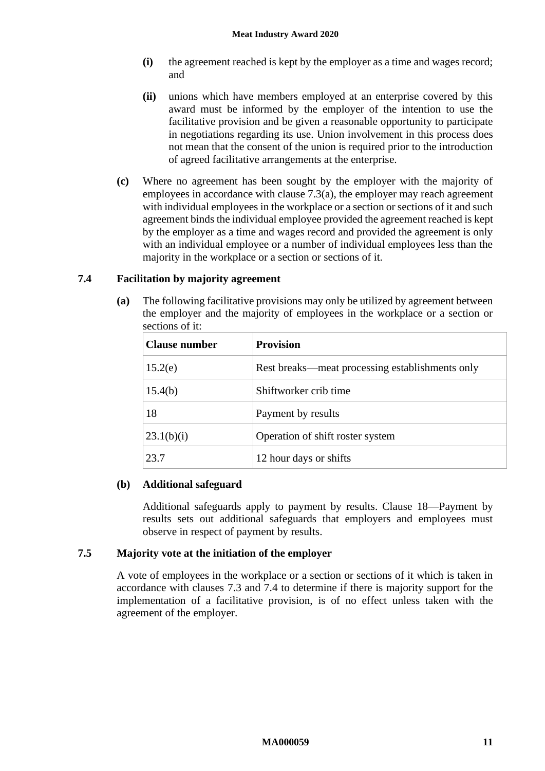- **(i)** the agreement reached is kept by the employer as a time and wages record; and
- **(ii)** unions which have members employed at an enterprise covered by this award must be informed by the employer of the intention to use the facilitative provision and be given a reasonable opportunity to participate in negotiations regarding its use. Union involvement in this process does not mean that the consent of the union is required prior to the introduction of agreed facilitative arrangements at the enterprise.
- **(c)** Where no agreement has been sought by the employer with the majority of employees in accordance with clause [7.3\(a\),](#page-9-2) the employer may reach agreement with individual employees in the workplace or a section or sections of it and such agreement binds the individual employee provided the agreement reached is kept by the employer as a time and wages record and provided the agreement is only with an individual employee or a number of individual employees less than the majority in the workplace or a section or sections of it.

# <span id="page-10-0"></span>**7.4 Facilitation by majority agreement**

**(a)** The following facilitative provisions may only be utilized by agreement between the employer and the majority of employees in the workplace or a section or sections of it:

| <b>Clause number</b> | <b>Provision</b>                                |  |
|----------------------|-------------------------------------------------|--|
| 15.2(e)              | Rest breaks—meat processing establishments only |  |
| 15.4(b)              | Shiftworker crib time                           |  |
| 18                   | Payment by results                              |  |
| 23.1(b)(i)           | Operation of shift roster system                |  |
| 23.7                 | 12 hour days or shifts                          |  |

# **(b) Additional safeguard**

Additional safeguards apply to payment by results. Clause [18—Payment by](#page-29-1)  [results](#page-29-1) sets out additional safeguards that employers and employees must observe in respect of payment by results.

# **7.5 Majority vote at the initiation of the employer**

A vote of employees in the workplace or a section or sections of it which is taken in accordance with clauses [7.3](#page-9-1) and [7.4](#page-10-0) to determine if there is majority support for the implementation of a facilitative provision, is of no effect unless taken with the agreement of the employer.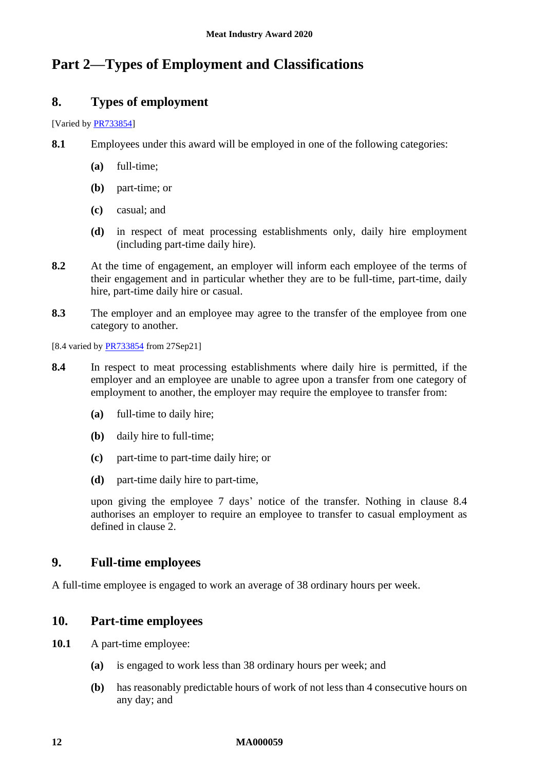# <span id="page-11-1"></span><span id="page-11-0"></span>**Part 2—Types of Employment and Classifications**

# **8. Types of employment**

[Varied by **PR733854**]

**8.1** Employees under this award will be employed in one of the following categories:

- **(a)** full-time;
- **(b)** part-time; or
- **(c)** casual; and
- **(d)** in respect of meat processing establishments only, daily hire employment (including part-time daily hire).
- **8.2** At the time of engagement, an employer will inform each employee of the terms of their engagement and in particular whether they are to be full-time, part-time, daily hire, part-time daily hire or casual.
- <span id="page-11-4"></span>**8.3** The employer and an employee may agree to the transfer of the employee from one category to another.

[8.4 varied by [PR733854](https://www.fwc.gov.au/documents/awardsandorders/html/PR733854.htm) from 27Sep21]

- <span id="page-11-5"></span>**8.4** In respect to meat processing establishments where daily hire is permitted, if the employer and an employee are unable to agree upon a transfer from one category of employment to another, the employer may require the employee to transfer from:
	- **(a)** full-time to daily hire;
	- **(b)** daily hire to full-time;
	- **(c)** part-time to part-time daily hire; or
	- **(d)** part-time daily hire to part-time,

upon giving the employee 7 days' notice of the transfer. Nothing in clause [8.4](#page-11-5) authorises an employer to require an employee to transfer to casual employment as defined in clause [2.](#page-2-2)

# <span id="page-11-2"></span>**9. Full-time employees**

<span id="page-11-3"></span>A full-time employee is engaged to work an average of 38 ordinary hours per week.

# **10. Part-time employees**

- **10.1** A part-time employee:
	- **(a)** is engaged to work less than 38 ordinary hours per week; and
	- **(b)** has reasonably predictable hours of work of not less than 4 consecutive hours on any day; and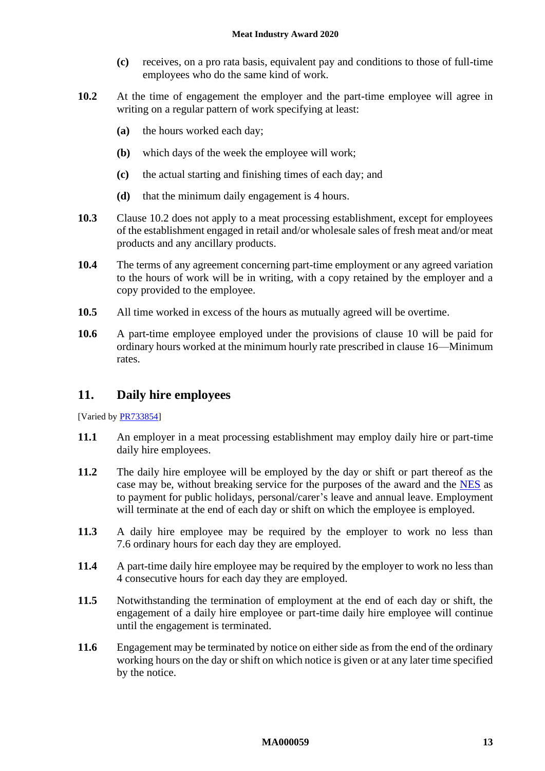- **(c)** receives, on a pro rata basis, equivalent pay and conditions to those of full-time employees who do the same kind of work.
- <span id="page-12-1"></span>**10.2** At the time of engagement the employer and the part-time employee will agree in writing on a regular pattern of work specifying at least:
	- **(a)** the hours worked each day;
	- **(b)** which days of the week the employee will work;
	- **(c)** the actual starting and finishing times of each day; and
	- **(d)** that the minimum daily engagement is 4 hours.
- **10.3** Clause [10.2](#page-12-1) does not apply to a meat processing establishment, except for employees of the establishment engaged in retail and/or wholesale sales of fresh meat and/or meat products and any ancillary products.
- **10.4** The terms of any agreement concerning part-time employment or any agreed variation to the hours of work will be in writing, with a copy retained by the employer and a copy provided to the employee.
- **10.5** All time worked in excess of the hours as mutually agreed will be overtime.
- **10.6** A part-time employee employed under the provisions of clause [10](#page-11-3) will be paid for ordinary hours worked at the minimum hourly rate prescribed in clause [16—Minimum](#page-21-1)  [rates.](#page-21-1)

# <span id="page-12-0"></span>**11. Daily hire employees**

[Varied b[y PR733854\]](https://www.fwc.gov.au/documents/awardsandorders/html/PR733854.htm)

- **11.1** An employer in a meat processing establishment may employ daily hire or part-time daily hire employees.
- **11.2** The daily hire employee will be employed by the day or shift or part thereof as the case may be, without breaking service for the purposes of the award and the [NES](https://www.fwc.gov.au/documents/awardmod/download/nes.pdf) as to payment for public holidays, personal/carer's leave and annual leave. Employment will terminate at the end of each day or shift on which the employee is employed.
- **11.3** A daily hire employee may be required by the employer to work no less than 7.6 ordinary hours for each day they are employed.
- **11.4** A part-time daily hire employee may be required by the employer to work no less than 4 consecutive hours for each day they are employed.
- **11.5** Notwithstanding the termination of employment at the end of each day or shift, the engagement of a daily hire employee or part-time daily hire employee will continue until the engagement is terminated.
- <span id="page-12-2"></span>**11.6** Engagement may be terminated by notice on either side as from the end of the ordinary working hours on the day or shift on which notice is given or at any later time specified by the notice.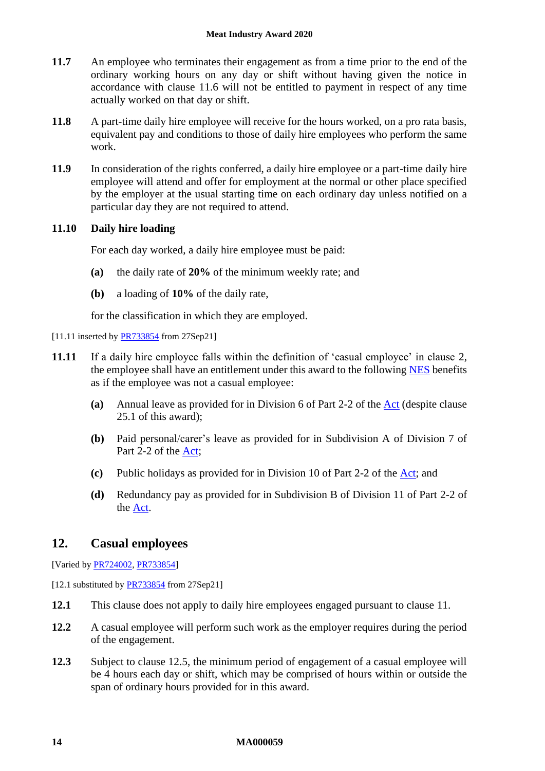- **11.7** An employee who terminates their engagement as from a time prior to the end of the ordinary working hours on any day or shift without having given the notice in accordance with clause [11.6](#page-12-2) will not be entitled to payment in respect of any time actually worked on that day or shift.
- **11.8** A part-time daily hire employee will receive for the hours worked, on a pro rata basis, equivalent pay and conditions to those of daily hire employees who perform the same work.
- **11.9** In consideration of the rights conferred, a daily hire employee or a part-time daily hire employee will attend and offer for employment at the normal or other place specified by the employer at the usual starting time on each ordinary day unless notified on a particular day they are not required to attend.

# **11.10 Daily hire loading**

For each day worked, a daily hire employee must be paid:

- **(a)** the daily rate of **20%** of the minimum weekly rate; and
- **(b)** a loading of **10%** of the daily rate,

for the classification in which they are employed.

# [11.11 inserted b[y PR733854](https://www.fwc.gov.au/documents/awardsandorders/html/PR733854.htm) from 27Sep21]

- **11.11** If a daily hire employee falls within the definition of 'casual employee' in clause [2,](#page-2-2) the employee shall have an entitlement under this award to the following [NES](https://www.fwc.gov.au/documents/awardmod/download/nes.pdf) benefits as if the employee was not a casual employee:
	- **(a)** Annual leave as provided for in Division 6 of Part 2-2 of the [Act](http://www.legislation.gov.au/Series/C2009A00028) (despite clause [25.1](#page-40-2) of this award);
	- **(b)** Paid personal/carer's leave as provided for in Subdivision A of Division 7 of Part 2-2 of the [Act;](http://www.legislation.gov.au/Series/C2009A00028)
	- **(c)** Public holidays as provided for in Division 10 of Part 2-2 of the [Act;](http://www.legislation.gov.au/Series/C2009A00028) and
	- **(d)** Redundancy pay as provided for in Subdivision B of Division 11 of Part 2-2 of the [Act.](http://www.legislation.gov.au/Series/C2009A00028)

# <span id="page-13-0"></span>**12. Casual employees**

[Varied by [PR724002,](https://www.fwc.gov.au/documents/awardsandorders/html/PR724002.htm) [PR733854\]](https://www.fwc.gov.au/documents/awardsandorders/html/PR733854.htm)

[12.1 substituted by **PR733854** from 27Sep21]

- **12.1** This clause does not apply to daily hire employees engaged pursuant to clause [11.](#page-12-0)
- **12.2** A casual employee will perform such work as the employer requires during the period of the engagement.
- **12.3** Subject to clause [12.5,](#page-14-0) the minimum period of engagement of a casual employee will be 4 hours each day or shift, which may be comprised of hours within or outside the span of ordinary hours provided for in this award.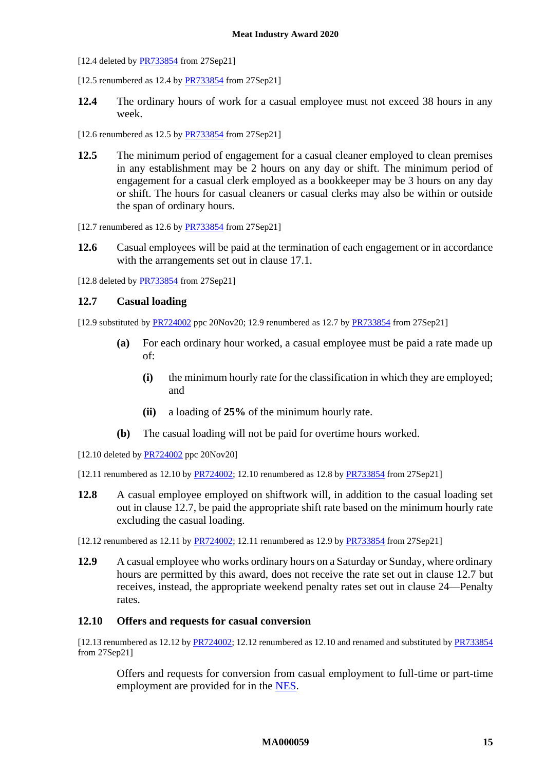[12.4 deleted by **PR733854** from 27Sep21]

[12.5 renumbered as 12.4 by  $PR733854$  from 27Sep21]

**12.4** The ordinary hours of work for a casual employee must not exceed 38 hours in any week.

[12.6 renumbered as  $12.5$  by  $PR733854$  from  $27$ Sep21]

- <span id="page-14-0"></span>**12.5** The minimum period of engagement for a casual cleaner employed to clean premises in any establishment may be 2 hours on any day or shift. The minimum period of engagement for a casual clerk employed as a bookkeeper may be 3 hours on any day or shift. The hours for casual cleaners or casual clerks may also be within or outside the span of ordinary hours.
- [12.7 renumbered as 12.6 by [PR733854](https://www.fwc.gov.au/documents/awardsandorders/html/PR733854.htm) from 27Sep21]
- **12.6** Casual employees will be paid at the termination of each engagement or in accordance with the arrangements set out in clause [17.1.](#page-29-2)

[12.8 deleted by [PR733854](https://www.fwc.gov.au/documents/awardsandorders/html/PR733854.htm) from 27Sep21]

#### <span id="page-14-1"></span>**12.7 Casual loading**

[12.9 substituted b[y PR724002](https://www.fwc.gov.au/documents/awardsandorders/html/PR724002.htm) ppc 20Nov20; 12.9 renumbered as 12.7 b[y PR733854](https://www.fwc.gov.au/documents/awardsandorders/html/PR733854.htm) from 27Sep21]

- **(a)** For each ordinary hour worked, a casual employee must be paid a rate made up of:
	- **(i)** the minimum hourly rate for the classification in which they are employed; and
	- **(ii)** a loading of **25%** of the minimum hourly rate.
- <span id="page-14-2"></span>**(b)** The casual loading will not be paid for overtime hours worked.
- [12.10 deleted by **PR724002** ppc 20Nov20]

[12.11 renumbered as 12.10 by [PR724002;](https://www.fwc.gov.au/documents/awardsandorders/html/PR724002.htm) 12.10 renumbered as 12.8 by [PR733854](https://www.fwc.gov.au/documents/awardsandorders/html/PR733854.htm) from 27Sep21]

- **12.8** A casual employee employed on shiftwork will, in addition to the casual loading set out in clause [12.7,](#page-14-1) be paid the appropriate shift rate based on the minimum hourly rate excluding the casual loading.
- [12.12 renumbered as 12.11 by  $PR724002$ ; 12.11 renumbered as 12.9 by  $PR733854$  from 27Sep21]
- **12.9** A casual employee who works ordinary hours on a Saturday or Sunday, where ordinary hours are permitted by this award, does not receive the rate set out in clause [12.7](#page-14-1) but receives, instead, the appropriate weekend penalty rates set out in clause [24—Penalty](#page-38-0)  [rates.](#page-38-0)

# **12.10 Offers and requests for casual conversion**

[12.13 renumbered as 12.12 by [PR724002;](https://www.fwc.gov.au/documents/awardsandorders/html/PR724002.htm) 12.12 renumbered as 12.10 and renamed and substituted b[y PR733854](https://www.fwc.gov.au/documents/awardsandorders/html/PR733854.htm) from 27Sep21]

Offers and requests for conversion from casual employment to full-time or part-time employment are provided for in the [NES.](https://www.fwc.gov.au/documents/awardmod/download/nes.pdf)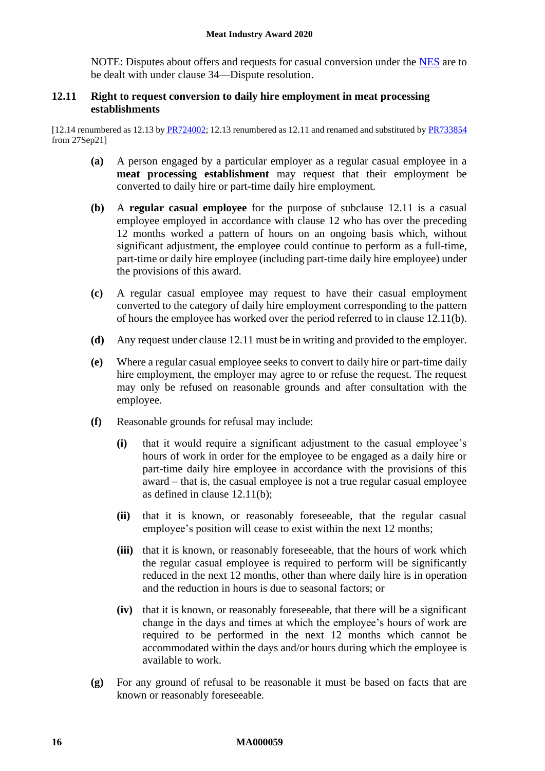NOTE: Disputes about offers and requests for casual conversion under the [NES](https://www.fwc.gov.au/documents/awardmod/download/nes.pdf) are to be dealt with under clause [34—Dispute resolution.](#page-48-1)

## <span id="page-15-0"></span>**12.11 Right to request conversion to daily hire employment in meat processing establishments**

[12.14 renumbered as 12.13 b[y PR724002;](https://www.fwc.gov.au/documents/awardsandorders/html/PR724002.htm) 12.13 renumbered as 12.11 and renamed and substituted by [PR733854](https://www.fwc.gov.au/documents/awardsandorders/html/PR733854.htm) from 27Sep21]

- **(a)** A person engaged by a particular employer as a regular casual employee in a **meat processing establishment** may request that their employment be converted to daily hire or part-time daily hire employment.
- <span id="page-15-1"></span>**(b)** A **regular casual employee** for the purpose of subclause [12.11](#page-15-0) is a casual employee employed in accordance with clause [12](#page-13-0) who has over the preceding 12 months worked a pattern of hours on an ongoing basis which, without significant adjustment, the employee could continue to perform as a full-time, part-time or daily hire employee (including part-time daily hire employee) under the provisions of this award.
- **(c)** A regular casual employee may request to have their casual employment converted to the category of daily hire employment corresponding to the pattern of hours the employee has worked over the period referred to in clause [12.11\(b\).](#page-15-1)
- **(d)** Any request under clause [12.11](#page-15-0) must be in writing and provided to the employer.
- **(e)** Where a regular casual employee seeks to convert to daily hire or part-time daily hire employment, the employer may agree to or refuse the request. The request may only be refused on reasonable grounds and after consultation with the employee.
- **(f)** Reasonable grounds for refusal may include:
	- **(i)** that it would require a significant adjustment to the casual employee's hours of work in order for the employee to be engaged as a daily hire or part-time daily hire employee in accordance with the provisions of this award – that is, the casual employee is not a true regular casual employee as defined in clause [12.11\(b\);](#page-15-1)
	- **(ii)** that it is known, or reasonably foreseeable, that the regular casual employee's position will cease to exist within the next 12 months;
	- **(iii)** that it is known, or reasonably foreseeable, that the hours of work which the regular casual employee is required to perform will be significantly reduced in the next 12 months, other than where daily hire is in operation and the reduction in hours is due to seasonal factors; or
	- **(iv)** that it is known, or reasonably foreseeable, that there will be a significant change in the days and times at which the employee's hours of work are required to be performed in the next 12 months which cannot be accommodated within the days and/or hours during which the employee is available to work.
- **(g)** For any ground of refusal to be reasonable it must be based on facts that are known or reasonably foreseeable.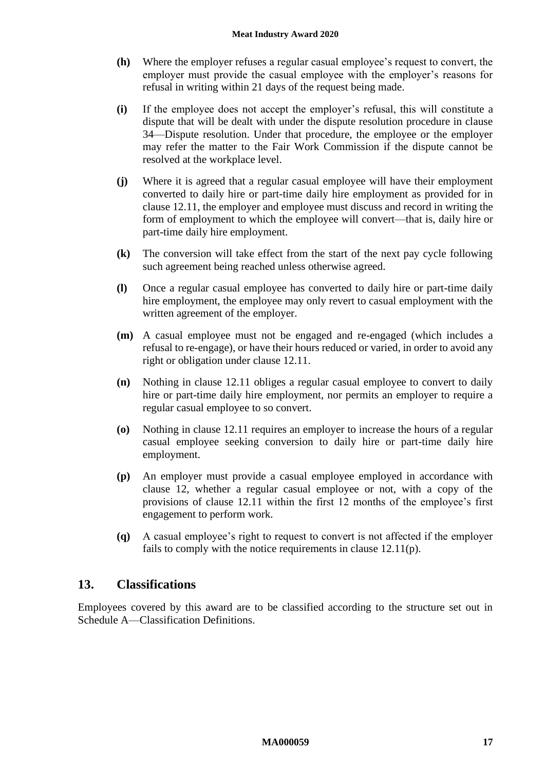- **(h)** Where the employer refuses a regular casual employee's request to convert, the employer must provide the casual employee with the employer's reasons for refusal in writing within 21 days of the request being made.
- **(i)** If the employee does not accept the employer's refusal, this will constitute a dispute that will be dealt with under the dispute resolution procedure in clause [34—Dispute resolution.](#page-48-1) Under that procedure, the employee or the employer may refer the matter to the Fair Work Commission if the dispute cannot be resolved at the workplace level.
- **(j)** Where it is agreed that a regular casual employee will have their employment converted to daily hire or part-time daily hire employment as provided for in clause [12.11,](#page-15-0) the employer and employee must discuss and record in writing the form of employment to which the employee will convert—that is, daily hire or part-time daily hire employment.
- **(k)** The conversion will take effect from the start of the next pay cycle following such agreement being reached unless otherwise agreed.
- **(l)** Once a regular casual employee has converted to daily hire or part-time daily hire employment, the employee may only revert to casual employment with the written agreement of the employer.
- **(m)** A casual employee must not be engaged and re-engaged (which includes a refusal to re-engage), or have their hours reduced or varied, in order to avoid any right or obligation under clause [12.11.](#page-15-0)
- **(n)** Nothing in clause [12.11](#page-15-0) obliges a regular casual employee to convert to daily hire or part-time daily hire employment, nor permits an employer to require a regular casual employee to so convert.
- **(o)** Nothing in clause [12.11](#page-15-0) requires an employer to increase the hours of a regular casual employee seeking conversion to daily hire or part-time daily hire employment.
- <span id="page-16-1"></span>**(p)** An employer must provide a casual employee employed in accordance with clause [12,](#page-13-0) whether a regular casual employee or not, with a copy of the provisions of clause [12.11](#page-15-0) within the first 12 months of the employee's first engagement to perform work.
- **(q)** A casual employee's right to request to convert is not affected if the employer fails to comply with the notice requirements in clause [12.11\(p\).](#page-16-1)

# <span id="page-16-0"></span>**13. Classifications**

Employees covered by this award are to be classified according to the structure set out in [Schedule A—Classification Definitions.](#page-52-0)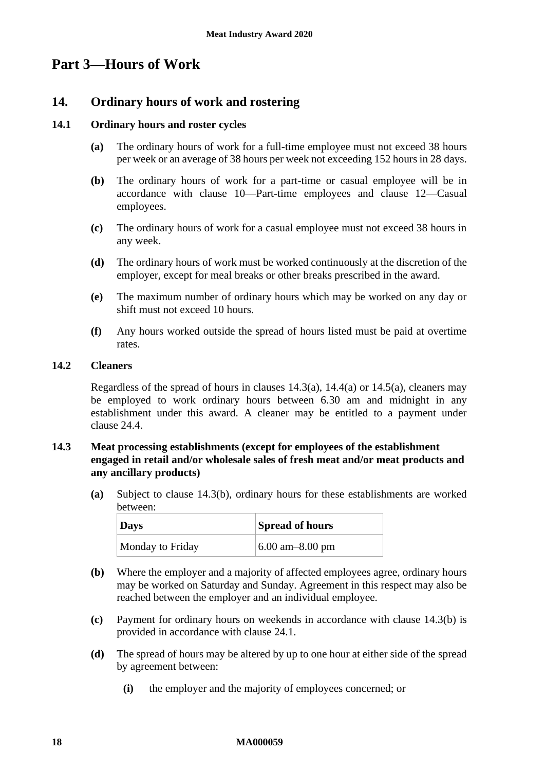# <span id="page-17-1"></span><span id="page-17-0"></span>**Part 3—Hours of Work**

# **14. Ordinary hours of work and rostering**

# <span id="page-17-6"></span>**14.1 Ordinary hours and roster cycles**

- **(a)** The ordinary hours of work for a full-time employee must not exceed 38 hours per week or an average of 38 hours per week not exceeding 152 hours in 28 days.
- **(b)** The ordinary hours of work for a part-time or casual employee will be in accordance with clause [10—Part-time employees](#page-11-3) and clause [12—Casual](#page-13-0)  [employees.](#page-13-0)
- **(c)** The ordinary hours of work for a casual employee must not exceed 38 hours in any week.
- **(d)** The ordinary hours of work must be worked continuously at the discretion of the employer, except for meal breaks or other breaks prescribed in the award.
- **(e)** The maximum number of ordinary hours which may be worked on any day or shift must not exceed 10 hours.
- **(f)** Any hours worked outside the spread of hours listed must be paid at overtime rates.

# **14.2 Cleaners**

Regardless of the spread of hours in clauses  $14.3(a)$ ,  $14.4(a)$  or  $14.5(a)$ , cleaners may be employed to work ordinary hours between 6.30 am and midnight in any establishment under this award. A cleaner may be entitled to a payment under clause [24.4.](#page-39-0)

# <span id="page-17-5"></span><span id="page-17-4"></span>**14.3 Meat processing establishments (except for employees of the establishment engaged in retail and/or wholesale sales of fresh meat and/or meat products and any ancillary products)**

**(a)** Subject to clause [14.3\(b\),](#page-17-2) ordinary hours for these establishments are worked between:

| <b>Days</b>      | <b>Spread of hours</b> |
|------------------|------------------------|
| Monday to Friday | $6.00$ am $-8.00$ pm   |

- <span id="page-17-2"></span>**(b)** Where the employer and a majority of affected employees agree, ordinary hours may be worked on Saturday and Sunday. Agreement in this respect may also be reached between the employer and an individual employee.
- **(c)** Payment for ordinary hours on weekends in accordance with clause [14.3\(b\)](#page-17-2) is provided in accordance with clause [24.1.](#page-38-3)
- <span id="page-17-3"></span>**(d)** The spread of hours may be altered by up to one hour at either side of the spread by agreement between:
	- **(i)** the employer and the majority of employees concerned; or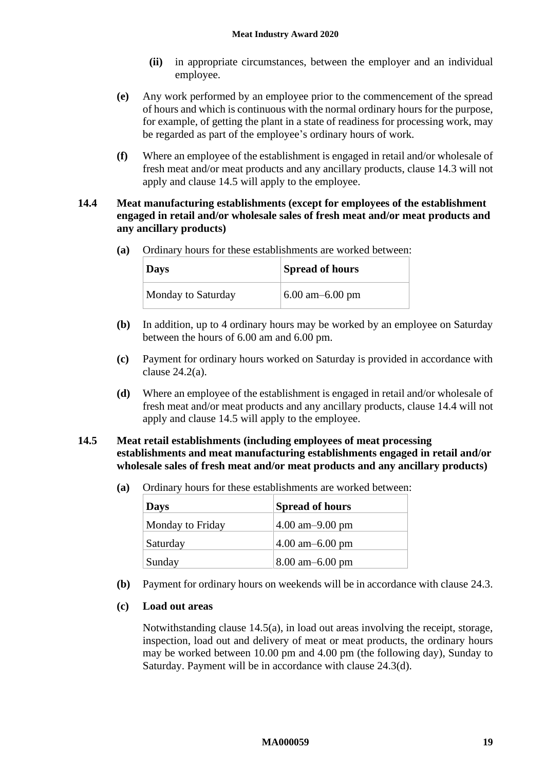- **(ii)** in appropriate circumstances, between the employer and an individual employee.
- **(e)** Any work performed by an employee prior to the commencement of the spread of hours and which is continuous with the normal ordinary hours for the purpose, for example, of getting the plant in a state of readiness for processing work, may be regarded as part of the employee's ordinary hours of work.
- **(f)** Where an employee of the establishment is engaged in retail and/or wholesale of fresh meat and/or meat products and any ancillary products, clause [14.3](#page-17-5) will not apply and clause [14.5](#page-18-2) will apply to the employee.

# <span id="page-18-3"></span><span id="page-18-0"></span>**14.4 Meat manufacturing establishments (except for employees of the establishment engaged in retail and/or wholesale sales of fresh meat and/or meat products and any ancillary products)**

**(a)** Ordinary hours for these establishments are worked between:

| $\log$             | <b>Spread of hours</b> |
|--------------------|------------------------|
| Monday to Saturday | $6.00$ am-6.00 pm      |

- **(b)** In addition, up to 4 ordinary hours may be worked by an employee on Saturday between the hours of 6.00 am and 6.00 pm.
- **(c)** Payment for ordinary hours worked on Saturday is provided in accordance with clause [24.2\(a\).](#page-39-1)
- **(d)** Where an employee of the establishment is engaged in retail and/or wholesale of fresh meat and/or meat products and any ancillary products, clause [14.4](#page-18-3) will not apply and clause [14.5](#page-18-2) will apply to the employee.

# <span id="page-18-2"></span><span id="page-18-1"></span>**14.5 Meat retail establishments (including employees of meat processing establishments and meat manufacturing establishments engaged in retail and/or wholesale sales of fresh meat and/or meat products and any ancillary products)**

**(a)** Ordinary hours for these establishments are worked between:

| <b>Days</b>      | <b>Spread of hours</b> |
|------------------|------------------------|
| Monday to Friday | $4.00$ am $-9.00$ pm   |
| Saturday         | $4.00$ am $-6.00$ pm   |
| Sunday           | $8.00$ am $-6.00$ pm   |

**(b)** Payment for ordinary hours on weekends will be in accordance with clause [24.3.](#page-39-2)

# **(c) Load out areas**

Notwithstanding clause [14.5\(a\),](#page-18-1) in load out areas involving the receipt, storage, inspection, load out and delivery of meat or meat products, the ordinary hours may be worked between 10.00 pm and 4.00 pm (the following day), Sunday to Saturday. Payment will be in accordance with clause [24.3\(d\).](#page-39-3)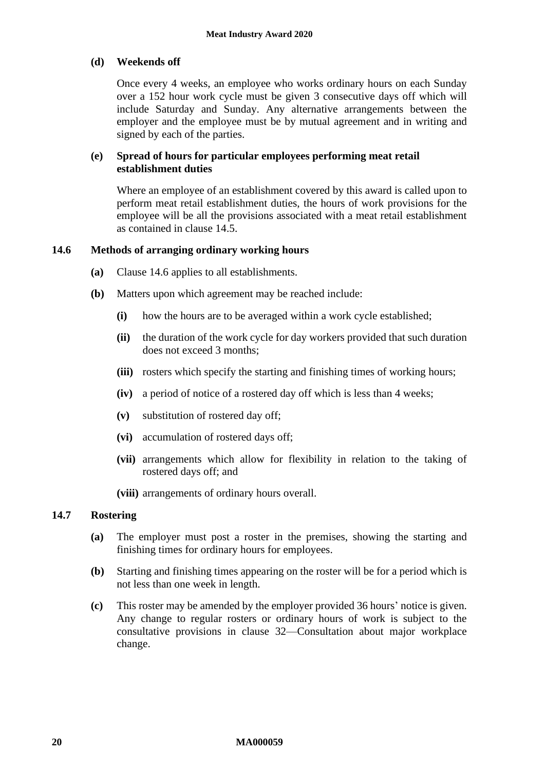# <span id="page-19-0"></span>**(d) Weekends off**

Once every 4 weeks, an employee who works ordinary hours on each Sunday over a 152 hour work cycle must be given 3 consecutive days off which will include Saturday and Sunday. Any alternative arrangements between the employer and the employee must be by mutual agreement and in writing and signed by each of the parties.

# **(e) Spread of hours for particular employees performing meat retail establishment duties**

Where an employee of an establishment covered by this award is called upon to perform meat retail establishment duties, the hours of work provisions for the employee will be all the provisions associated with a meat retail establishment as contained in clause [14.5.](#page-18-2)

# <span id="page-19-2"></span><span id="page-19-1"></span>**14.6 Methods of arranging ordinary working hours**

- **(a)** Clause [14.6](#page-19-2) applies to all establishments.
- **(b)** Matters upon which agreement may be reached include:
	- **(i)** how the hours are to be averaged within a work cycle established;
	- **(ii)** the duration of the work cycle for day workers provided that such duration does not exceed 3 months;
	- **(iii)** rosters which specify the starting and finishing times of working hours;
	- **(iv)** a period of notice of a rostered day off which is less than 4 weeks;
	- **(v)** substitution of rostered day off;
	- **(vi)** accumulation of rostered days off;
	- **(vii)** arrangements which allow for flexibility in relation to the taking of rostered days off; and
	- **(viii)** arrangements of ordinary hours overall.

# <span id="page-19-3"></span>**14.7 Rostering**

- **(a)** The employer must post a roster in the premises, showing the starting and finishing times for ordinary hours for employees.
- **(b)** Starting and finishing times appearing on the roster will be for a period which is not less than one week in length.
- **(c)** This roster may be amended by the employer provided 36 hours' notice is given. Any change to regular rosters or ordinary hours of work is subject to the consultative provisions in clause [32—Consultation about major workplace](#page-46-2)  [change.](#page-46-2)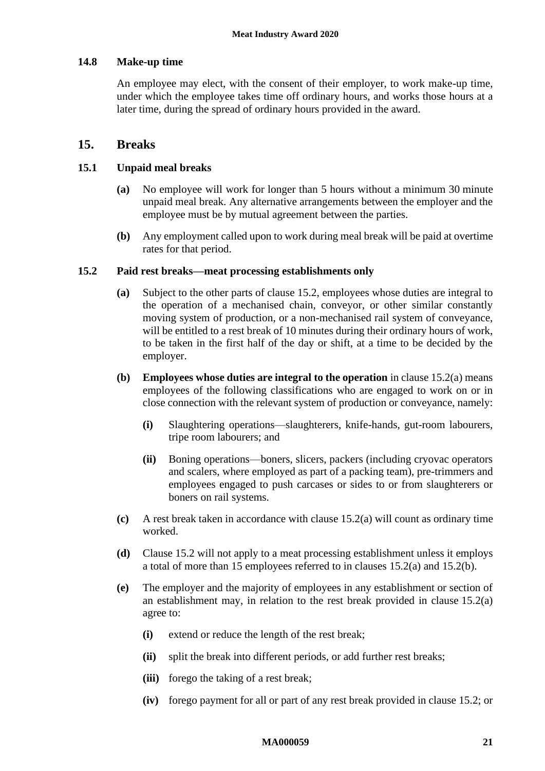# <span id="page-20-1"></span>**14.8 Make-up time**

An employee may elect, with the consent of their employer, to work make-up time, under which the employee takes time off ordinary hours, and works those hours at a later time, during the spread of ordinary hours provided in the award.

# <span id="page-20-0"></span>**15. Breaks**

# <span id="page-20-2"></span>**15.1 Unpaid meal breaks**

- **(a)** No employee will work for longer than 5 hours without a minimum 30 minute unpaid meal break. Any alternative arrangements between the employer and the employee must be by mutual agreement between the parties.
- **(b)** Any employment called upon to work during meal break will be paid at overtime rates for that period.

# <span id="page-20-5"></span><span id="page-20-4"></span>**15.2 Paid rest breaks—meat processing establishments only**

- **(a)** Subject to the other parts of clause [15.2,](#page-20-4) employees whose duties are integral to the operation of a mechanised chain, conveyor, or other similar constantly moving system of production, or a non-mechanised rail system of conveyance, will be entitled to a rest break of 10 minutes during their ordinary hours of work, to be taken in the first half of the day or shift, at a time to be decided by the employer.
- <span id="page-20-6"></span>**(b) Employees whose duties are integral to the operation** in clause [15.2\(a\)](#page-20-5) means employees of the following classifications who are engaged to work on or in close connection with the relevant system of production or conveyance, namely:
	- **(i)** Slaughtering operations—slaughterers, knife-hands, gut-room labourers, tripe room labourers; and
	- **(ii)** Boning operations—boners, slicers, packers (including cryovac operators and scalers, where employed as part of a packing team), pre-trimmers and employees engaged to push carcases or sides to or from slaughterers or boners on rail systems.
- **(c)** A rest break taken in accordance with clause [15.2\(a\)](#page-20-5) will count as ordinary time worked.
- **(d)** Clause [15.2](#page-20-4) will not apply to a meat processing establishment unless it employs a total of more than 15 employees referred to in clauses [15.2\(a\)](#page-20-5) and [15.2\(b\).](#page-20-6)
- <span id="page-20-3"></span>**(e)** The employer and the majority of employees in any establishment or section of an establishment may, in relation to the rest break provided in clause [15.2\(a\)](#page-20-5) agree to:
	- **(i)** extend or reduce the length of the rest break;
	- **(ii)** split the break into different periods, or add further rest breaks;
	- **(iii)** forego the taking of a rest break;
	- **(iv)** forego payment for all or part of any rest break provided in clause [15.2;](#page-20-4) or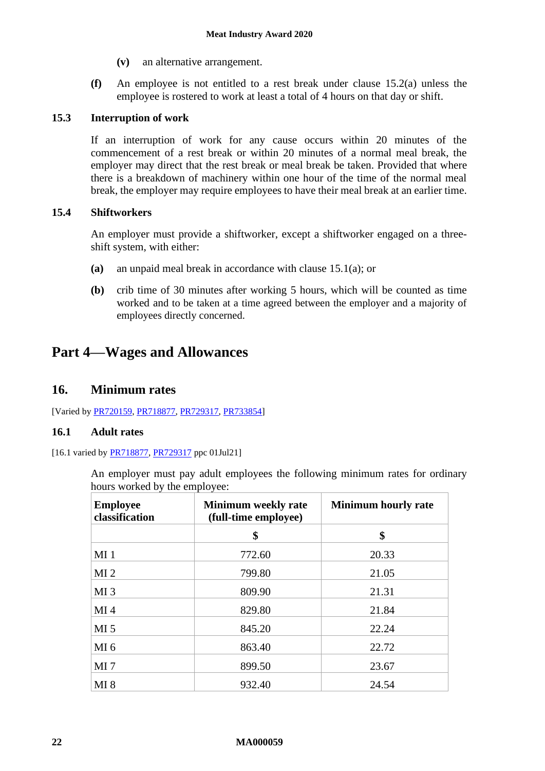- **(v)** an alternative arrangement.
- **(f)** An employee is not entitled to a rest break under clause [15.2\(a\)](#page-20-5) unless the employee is rostered to work at least a total of 4 hours on that day or shift.

# **15.3 Interruption of work**

If an interruption of work for any cause occurs within 20 minutes of the commencement of a rest break or within 20 minutes of a normal meal break, the employer may direct that the rest break or meal break be taken. Provided that where there is a breakdown of machinery within one hour of the time of the normal meal break, the employer may require employees to have their meal break at an earlier time.

# **15.4 Shiftworkers**

An employer must provide a shiftworker, except a shiftworker engaged on a threeshift system, with either:

- **(a)** an unpaid meal break in accordance with clause [15.1\(a\);](#page-20-2) or
- <span id="page-21-3"></span>**(b)** crib time of 30 minutes after working 5 hours, which will be counted as time worked and to be taken at a time agreed between the employer and a majority of employees directly concerned.

# <span id="page-21-1"></span><span id="page-21-0"></span>**Part 4—Wages and Allowances**

# **16. Minimum rates**

[Varied by [PR720159,](https://www.fwc.gov.au/documents/awardsandorders/html/pr720159.htm) [PR718877,](https://www.fwc.gov.au/documents/awardsandorders/html/PR718877.htm) [PR729317,](https://www.fwc.gov.au/documents/awardsandorders/html/pr729317.htm) [PR733854\]](https://www.fwc.gov.au/documents/awardsandorders/html/PR733854.htm)

# <span id="page-21-2"></span>**16.1 Adult rates**

#### [16.1 varied by [PR718877,](https://www.fwc.gov.au/documents/awardsandorders/html/PR718877.htm) [PR729317](https://www.fwc.gov.au/documents/awardsandorders/html/pr729317.htm) ppc 01Jul21]

An employer must pay adult employees the following minimum rates for ordinary hours worked by the employee:

| <b>Employee</b><br>classification | <b>Minimum weekly rate</b><br>(full-time employee) | <b>Minimum hourly rate</b> |
|-----------------------------------|----------------------------------------------------|----------------------------|
|                                   | \$                                                 | \$                         |
| $MI_1$                            | 772.60                                             | 20.33                      |
| MI <sub>2</sub>                   | 799.80                                             | 21.05                      |
| MI <sub>3</sub>                   | 809.90                                             | 21.31                      |
| MI <sub>4</sub>                   | 829.80                                             | 21.84                      |
| MI <sub>5</sub>                   | 845.20                                             | 22.24                      |
| MI <sub>6</sub>                   | 863.40                                             | 22.72                      |
| MI <sub>7</sub>                   | 899.50                                             | 23.67                      |
| MI 8                              | 932.40                                             | 24.54                      |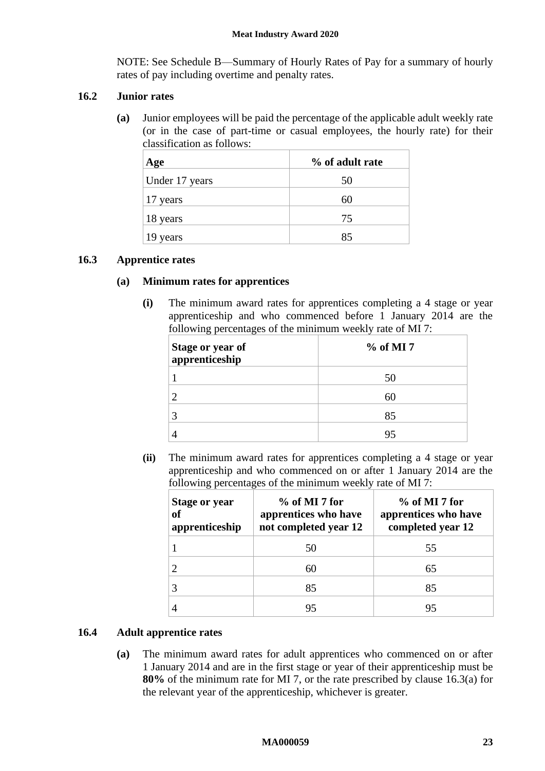NOTE: See [Schedule B—Summary of Hourly Rates of Pay](#page-60-0) for a summary of hourly rates of pay including overtime and penalty rates.

# **16.2 Junior rates**

**(a)** Junior employees will be paid the percentage of the applicable adult weekly rate (or in the case of part-time or casual employees, the hourly rate) for their classification as follows:

| Age            | % of adult rate |
|----------------|-----------------|
| Under 17 years | 50              |
| 17 years       | 60              |
| 18 years       | 75              |
| 19<br>years    | 85              |

# <span id="page-22-1"></span><span id="page-22-0"></span>**16.3 Apprentice rates**

# **(a) Minimum rates for apprentices**

**(i)** The minimum award rates for apprentices completing a 4 stage or year apprenticeship and who commenced before 1 January 2014 are the following percentages of the minimum weekly rate of MI 7:

| Stage or year of<br>apprenticeship | $%$ of MI 7 |
|------------------------------------|-------------|
|                                    |             |
|                                    |             |
|                                    | 85          |
|                                    |             |

**(ii)** The minimum award rates for apprentices completing a 4 stage or year apprenticeship and who commenced on or after 1 January 2014 are the following percentages of the minimum weekly rate of MI 7:

| Stage or year<br>of<br>apprenticeship | $%$ of MI 7 for<br>apprentices who have<br>not completed year 12 | $%$ of MI 7 for<br>apprentices who have<br>completed year 12 |
|---------------------------------------|------------------------------------------------------------------|--------------------------------------------------------------|
|                                       | 50                                                               | 55                                                           |
|                                       | 60                                                               | 65                                                           |
|                                       | 85                                                               | 85                                                           |
|                                       | 95                                                               | 95                                                           |

# <span id="page-22-2"></span>**16.4 Adult apprentice rates**

**(a)** The minimum award rates for adult apprentices who commenced on or after 1 January 2014 and are in the first stage or year of their apprenticeship must be **80%** of the minimum rate for MI 7, or the rate prescribed by clause [16.3\(a\)](#page-22-0) for the relevant year of the apprenticeship, whichever is greater.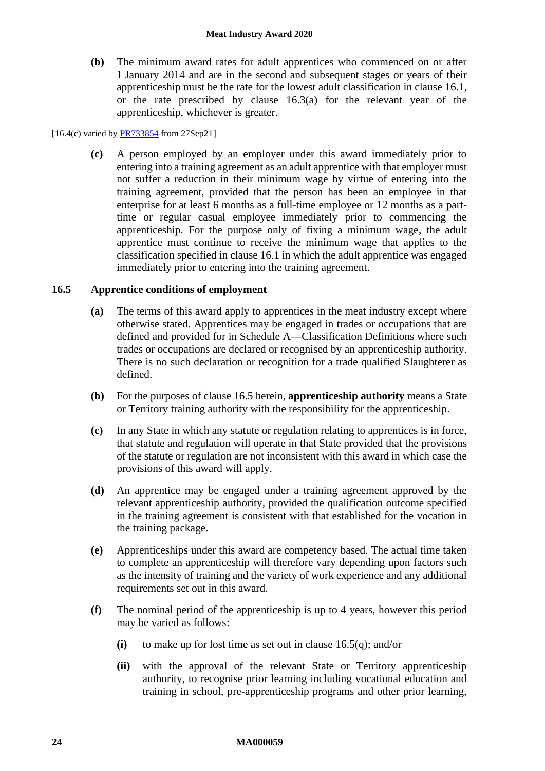**(b)** The minimum award rates for adult apprentices who commenced on or after 1 January 2014 and are in the second and subsequent stages or years of their apprenticeship must be the rate for the lowest adult classification in clause [16.1,](#page-21-2) or the rate prescribed by clause [16.3\(a\)](#page-22-0) for the relevant year of the apprenticeship, whichever is greater.

### [16.4(c) varied by **PR733854** from 27Sep21]

**(c)** A person employed by an employer under this award immediately prior to entering into a training agreement as an adult apprentice with that employer must not suffer a reduction in their minimum wage by virtue of entering into the training agreement, provided that the person has been an employee in that enterprise for at least 6 months as a full-time employee or 12 months as a parttime or regular casual employee immediately prior to commencing the apprenticeship. For the purpose only of fixing a minimum wage, the adult apprentice must continue to receive the minimum wage that applies to the classification specified in clause [16.1](#page-21-2) in which the adult apprentice was engaged immediately prior to entering into the training agreement.

# <span id="page-23-0"></span>**16.5 Apprentice conditions of employment**

- **(a)** The terms of this award apply to apprentices in the meat industry except where otherwise stated. Apprentices may be engaged in trades or occupations that are defined and provided for in [Schedule A—Classification Definitions](#page-52-0) where such trades or occupations are declared or recognised by an apprenticeship authority. There is no such declaration or recognition for a trade qualified Slaughterer as defined.
- **(b)** For the purposes of clause [16.5](#page-23-0) herein, **apprenticeship authority** means a State or Territory training authority with the responsibility for the apprenticeship.
- **(c)** In any State in which any statute or regulation relating to apprentices is in force, that statute and regulation will operate in that State provided that the provisions of the statute or regulation are not inconsistent with this award in which case the provisions of this award will apply.
- **(d)** An apprentice may be engaged under a training agreement approved by the relevant apprenticeship authority, provided the qualification outcome specified in the training agreement is consistent with that established for the vocation in the training package.
- <span id="page-23-1"></span>**(e)** Apprenticeships under this award are competency based. The actual time taken to complete an apprenticeship will therefore vary depending upon factors such as the intensity of training and the variety of work experience and any additional requirements set out in this award.
- <span id="page-23-2"></span>**(f)** The nominal period of the apprenticeship is up to 4 years, however this period may be varied as follows:
	- **(i)** to make up for lost time as set out in clause [16.5\(q\);](#page-25-0) and/or
	- **(ii)** with the approval of the relevant State or Territory apprenticeship authority, to recognise prior learning including vocational education and training in school, pre-apprenticeship programs and other prior learning,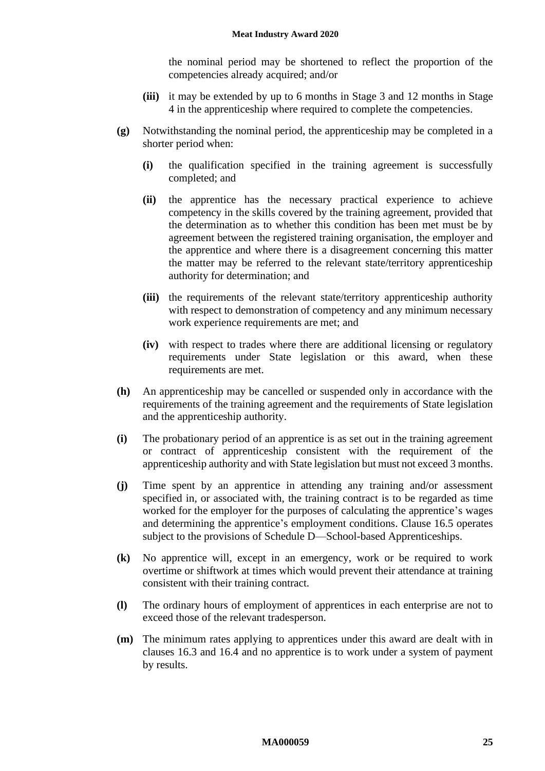the nominal period may be shortened to reflect the proportion of the competencies already acquired; and/or

- **(iii)** it may be extended by up to 6 months in Stage 3 and 12 months in Stage 4 in the apprenticeship where required to complete the competencies.
- <span id="page-24-0"></span>**(g)** Notwithstanding the nominal period, the apprenticeship may be completed in a shorter period when:
	- **(i)** the qualification specified in the training agreement is successfully completed; and
	- **(ii)** the apprentice has the necessary practical experience to achieve competency in the skills covered by the training agreement, provided that the determination as to whether this condition has been met must be by agreement between the registered training organisation, the employer and the apprentice and where there is a disagreement concerning this matter the matter may be referred to the relevant state/territory apprenticeship authority for determination; and
	- **(iii)** the requirements of the relevant state/territory apprenticeship authority with respect to demonstration of competency and any minimum necessary work experience requirements are met; and
	- **(iv)** with respect to trades where there are additional licensing or regulatory requirements under State legislation or this award, when these requirements are met.
- **(h)** An apprenticeship may be cancelled or suspended only in accordance with the requirements of the training agreement and the requirements of State legislation and the apprenticeship authority.
- **(i)** The probationary period of an apprentice is as set out in the training agreement or contract of apprenticeship consistent with the requirement of the apprenticeship authority and with State legislation but must not exceed 3 months.
- **(j)** Time spent by an apprentice in attending any training and/or assessment specified in, or associated with, the training contract is to be regarded as time worked for the employer for the purposes of calculating the apprentice's wages and determining the apprentice's employment conditions. Clause [16.5](#page-23-0) operates subject to the provisions of [Schedule D—School-based Apprenticeships.](#page-71-0)
- **(k)** No apprentice will, except in an emergency, work or be required to work overtime or shiftwork at times which would prevent their attendance at training consistent with their training contract.
- **(l)** The ordinary hours of employment of apprentices in each enterprise are not to exceed those of the relevant tradesperson.
- **(m)** The minimum rates applying to apprentices under this award are dealt with in clauses [16.3](#page-22-1) and [16.4](#page-22-2) and no apprentice is to work under a system of payment by results.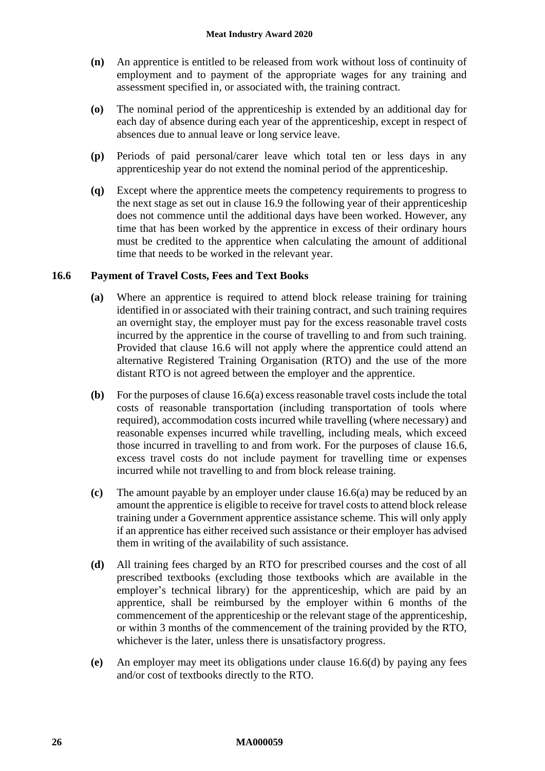- **(n)** An apprentice is entitled to be released from work without loss of continuity of employment and to payment of the appropriate wages for any training and assessment specified in, or associated with, the training contract.
- <span id="page-25-4"></span>**(o)** The nominal period of the apprenticeship is extended by an additional day for each day of absence during each year of the apprenticeship, except in respect of absences due to annual leave or long service leave.
- **(p)** Periods of paid personal/carer leave which total ten or less days in any apprenticeship year do not extend the nominal period of the apprenticeship.
- <span id="page-25-0"></span>**(q)** Except where the apprentice meets the competency requirements to progress to the next stage as set out in clause [16.9](#page-27-0) the following year of their apprenticeship does not commence until the additional days have been worked. However, any time that has been worked by the apprentice in excess of their ordinary hours must be credited to the apprentice when calculating the amount of additional time that needs to be worked in the relevant year.

# <span id="page-25-2"></span><span id="page-25-1"></span>**16.6 Payment of Travel Costs, Fees and Text Books**

- **(a)** Where an apprentice is required to attend block release training for training identified in or associated with their training contract, and such training requires an overnight stay, the employer must pay for the excess reasonable travel costs incurred by the apprentice in the course of travelling to and from such training. Provided that clause [16.6](#page-25-1) will not apply where the apprentice could attend an alternative Registered Training Organisation (RTO) and the use of the more distant RTO is not agreed between the employer and the apprentice.
- **(b)** For the purposes of claus[e 16.6\(a\)](#page-25-2) excess reasonable travel costs include the total costs of reasonable transportation (including transportation of tools where required), accommodation costs incurred while travelling (where necessary) and reasonable expenses incurred while travelling, including meals, which exceed those incurred in travelling to and from work. For the purposes of clause [16.6,](#page-25-1) excess travel costs do not include payment for travelling time or expenses incurred while not travelling to and from block release training.
- **(c)** The amount payable by an employer under clause [16.6\(a\)](#page-25-2) may be reduced by an amount the apprentice is eligible to receive for travel costs to attend block release training under a Government apprentice assistance scheme. This will only apply if an apprentice has either received such assistance or their employer has advised them in writing of the availability of such assistance.
- <span id="page-25-3"></span>**(d)** All training fees charged by an RTO for prescribed courses and the cost of all prescribed textbooks (excluding those textbooks which are available in the employer's technical library) for the apprenticeship, which are paid by an apprentice, shall be reimbursed by the employer within 6 months of the commencement of the apprenticeship or the relevant stage of the apprenticeship, or within 3 months of the commencement of the training provided by the RTO, whichever is the later, unless there is unsatisfactory progress.
- **(e)** An employer may meet its obligations under clause [16.6\(d\)](#page-25-3) by paying any fees and/or cost of textbooks directly to the RTO.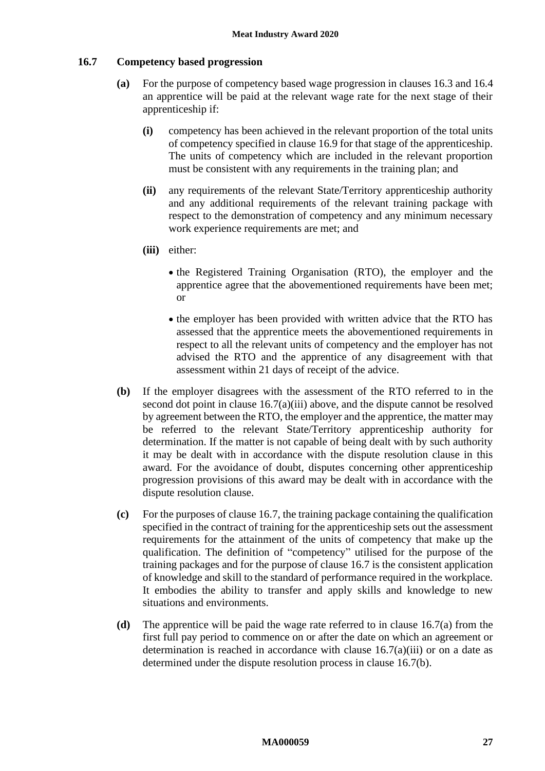#### <span id="page-26-2"></span><span id="page-26-1"></span>**16.7 Competency based progression**

- **(a)** For the purpose of competency based wage progression in clauses [16.3](#page-22-1) an[d 16.4](#page-22-2) an apprentice will be paid at the relevant wage rate for the next stage of their apprenticeship if:
	- **(i)** competency has been achieved in the relevant proportion of the total units of competency specified in clause [16.9](#page-27-0) for that stage of the apprenticeship. The units of competency which are included in the relevant proportion must be consistent with any requirements in the training plan; and
	- **(ii)** any requirements of the relevant State/Territory apprenticeship authority and any additional requirements of the relevant training package with respect to the demonstration of competency and any minimum necessary work experience requirements are met; and
	- **(iii)** either:
		- the Registered Training Organisation (RTO), the employer and the apprentice agree that the abovementioned requirements have been met; or
		- the employer has been provided with written advice that the RTO has assessed that the apprentice meets the abovementioned requirements in respect to all the relevant units of competency and the employer has not advised the RTO and the apprentice of any disagreement with that assessment within 21 days of receipt of the advice.
- <span id="page-26-3"></span><span id="page-26-0"></span>**(b)** If the employer disagrees with the assessment of the RTO referred to in the second dot point in clause [16.7\(a\)\(iii\)](#page-26-0) above, and the dispute cannot be resolved by agreement between the RTO, the employer and the apprentice, the matter may be referred to the relevant State/Territory apprenticeship authority for determination. If the matter is not capable of being dealt with by such authority it may be dealt with in accordance with the dispute resolution clause in this award. For the avoidance of doubt, disputes concerning other apprenticeship progression provisions of this award may be dealt with in accordance with the dispute resolution clause.
- **(c)** For the purposes of clause [16.7,](#page-26-1) the training package containing the qualification specified in the contract of training for the apprenticeship sets out the assessment requirements for the attainment of the units of competency that make up the qualification. The definition of "competency" utilised for the purpose of the training packages and for the purpose of clause [16.7](#page-26-1) is the consistent application of knowledge and skill to the standard of performance required in the workplace. It embodies the ability to transfer and apply skills and knowledge to new situations and environments.
- **(d)** The apprentice will be paid the wage rate referred to in clause [16.7\(a\)](#page-26-2) from the first full pay period to commence on or after the date on which an agreement or determination is reached in accordance with clause  $16.7(a)(iii)$  or on a date as determined under the dispute resolution process in clause [16.7\(b\).](#page-26-3)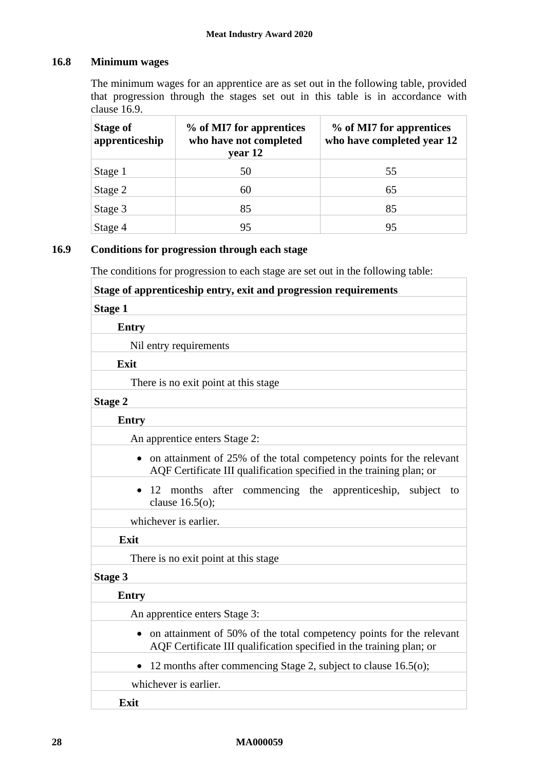# **16.8 Minimum wages**

The minimum wages for an apprentice are as set out in the following table, provided that progression through the stages set out in this table is in accordance with clause [16.9.](#page-27-0)

| <b>Stage of</b><br>apprenticeship | % of MI7 for apprentices<br>who have not completed<br>year 12 | % of MI7 for apprentices<br>who have completed year 12 |
|-----------------------------------|---------------------------------------------------------------|--------------------------------------------------------|
| Stage 1                           | 50                                                            | 55                                                     |
| Stage 2                           | 60                                                            | 65                                                     |
| Stage 3                           | 85                                                            | 85                                                     |
| Stage 4                           | 95                                                            | 95                                                     |

# <span id="page-27-0"></span>**16.9 Conditions for progression through each stage**

The conditions for progression to each stage are set out in the following table:

| Stage of apprenticeship entry, exit and progression requirements                                                                               |  |  |
|------------------------------------------------------------------------------------------------------------------------------------------------|--|--|
| <b>Stage 1</b>                                                                                                                                 |  |  |
| <b>Entry</b>                                                                                                                                   |  |  |
| Nil entry requirements                                                                                                                         |  |  |
| Exit                                                                                                                                           |  |  |
| There is no exit point at this stage                                                                                                           |  |  |
| <b>Stage 2</b>                                                                                                                                 |  |  |
| <b>Entry</b>                                                                                                                                   |  |  |
| An apprentice enters Stage 2:                                                                                                                  |  |  |
| • on attainment of 25% of the total competency points for the relevant<br>AQF Certificate III qualification specified in the training plan; or |  |  |
| 12 months after commencing the apprenticeship, subject<br>to<br>$\bullet$<br>clause $16.5(0)$ ;                                                |  |  |
| whichever is earlier.                                                                                                                          |  |  |
| Exit                                                                                                                                           |  |  |
| There is no exit point at this stage                                                                                                           |  |  |
| <b>Stage 3</b>                                                                                                                                 |  |  |
| <b>Entry</b>                                                                                                                                   |  |  |
| An apprentice enters Stage 3:                                                                                                                  |  |  |
| • on attainment of 50% of the total competency points for the relevant<br>AQF Certificate III qualification specified in the training plan; or |  |  |
| 12 months after commencing Stage 2, subject to clause 16.5(o);                                                                                 |  |  |
| whichever is earlier.                                                                                                                          |  |  |
| Exit                                                                                                                                           |  |  |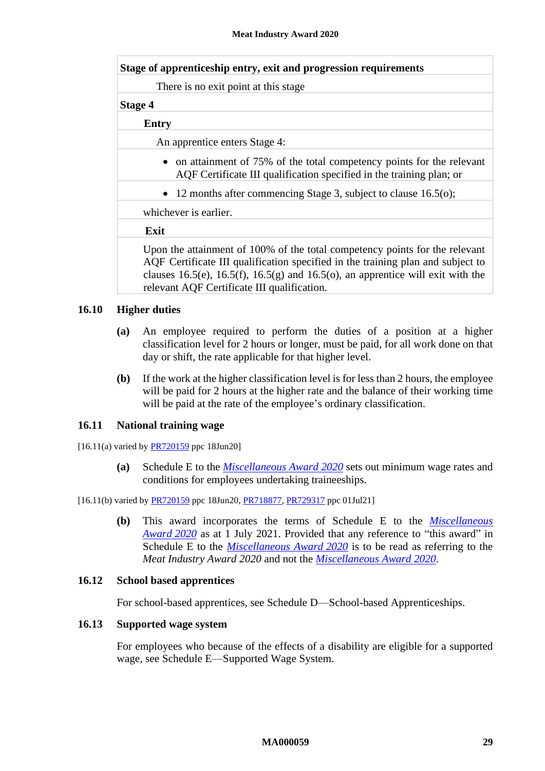| Stage of apprenticeship entry, exit and progression requirements                                                                                                                                                                                  |
|---------------------------------------------------------------------------------------------------------------------------------------------------------------------------------------------------------------------------------------------------|
| There is no exit point at this stage.                                                                                                                                                                                                             |
| <b>Stage 4</b>                                                                                                                                                                                                                                    |
| <b>Entry</b>                                                                                                                                                                                                                                      |
| An apprentice enters Stage 4:                                                                                                                                                                                                                     |
| • on attainment of 75% of the total competency points for the relevant<br>AQF Certificate III qualification specified in the training plan; or                                                                                                    |
| • 12 months after commencing Stage 3, subject to clause $16.5(o)$ ;                                                                                                                                                                               |
| whichever is earlier.                                                                                                                                                                                                                             |
| Exit                                                                                                                                                                                                                                              |
| Upon the attainment of 100% of the total competency points for the relevant<br>AQF Certificate III qualification specified in the training plan and subject to<br>clauses 16.5(e), 16.5(f), 16.5(g) and 16.5(o), an apprentice will exit with the |

#### **16.10 Higher duties**

- **(a)** An employee required to perform the duties of a position at a higher classification level for 2 hours or longer, must be paid, for all work done on that day or shift, the rate applicable for that higher level.
- **(b)** If the work at the higher classification level is for less than 2 hours, the employee will be paid for 2 hours at the higher rate and the balance of their working time will be paid at the rate of the employee's ordinary classification.

#### **16.11 National training wage**

 $[16.11(a)$  varied by  $\frac{PR720159}{PR720159}$  ppc 18Jun20]

**(a)** Schedule E to the *[Miscellaneous](https://www.fwc.gov.au/documents/documents/modern_awards/award/ma000104/default.htm) Award 2020* sets out minimum wage rates and conditions for employees undertaking traineeships.

#### [16.11(b) varied by [PR720159](https://www.fwc.gov.au/documents/awardsandorders/html/pr720159.htm) ppc 18Jun20, [PR718877,](https://www.fwc.gov.au/documents/awardsandorders/html/PR718877.htm) [PR729317](https://www.fwc.gov.au/documents/awardsandorders/html/pr729317.htm) ppc 01Jul21]

relevant AQF Certificate III qualification.

**(b)** This award incorporates the terms of Schedule E to the *[Miscellaneous](https://www.fwc.gov.au/documents/documents/modern_awards/award/ma000104/default.htm)  [Award](https://www.fwc.gov.au/documents/documents/modern_awards/award/ma000104/default.htm) 2020* as at 1 July 2021. Provided that any reference to "this award" in Schedule E to the *[Miscellaneous Award](https://www.fwc.gov.au/documents/documents/modern_awards/award/ma000104/default.htm) 2020* is to be read as referring to the *Meat Industry Award 2020* and not the *[Miscellaneous Award](https://www.fwc.gov.au/documents/documents/modern_awards/award/ma000104/default.htm) 2020*.

#### **16.12 School based apprentices**

For school-based apprentices, see [Schedule D—School-based Apprenticeships.](#page-71-0)

#### **16.13 Supported wage system**

For employees who because of the effects of a disability are eligible for a supported wage, see [Schedule E—Supported Wage System.](#page-72-0)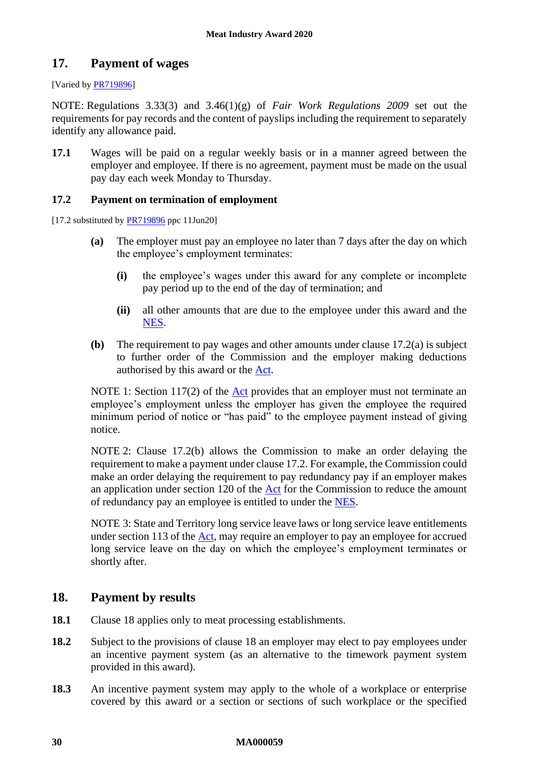# <span id="page-29-0"></span>**17. Payment of wages**

# [Varied by **PR719896**]

NOTE: Regulations 3.33(3) and 3.46(1)(g) of *Fair Work Regulations 2009* set out the requirements for pay records and the content of payslips including the requirement to separately identify any allowance paid.

<span id="page-29-2"></span>**17.1** Wages will be paid on a regular weekly basis or in a manner agreed between the employer and employee. If there is no agreement, payment must be made on the usual pay day each week Monday to Thursday.

# <span id="page-29-5"></span>**17.2 Payment on termination of employment**

<span id="page-29-3"></span>[17.2 substituted by **PR719896** ppc 11Jun20]

- **(a)** The employer must pay an employee no later than 7 days after the day on which the employee's employment terminates:
	- **(i)** the employee's wages under this award for any complete or incomplete pay period up to the end of the day of termination; and
	- **(ii)** all other amounts that are due to the employee under this award and the [NES.](https://www.fwc.gov.au/documents/awardmod/download/nes.pdf)
- <span id="page-29-4"></span>**(b)** The requirement to pay wages and other amounts under clause [17.2\(a\)](#page-29-3) is subject to further order of the Commission and the employer making deductions authorised by this award or the [Act.](http://www.legislation.gov.au/Series/C2009A00028)

NOTE 1: Section 117(2) of the  $\Delta ct$  provides that an employer must not terminate an employee's employment unless the employer has given the employee the required minimum period of notice or "has paid" to the employee payment instead of giving notice.

NOTE 2: Clause [17.2\(b\)](#page-29-4) allows the Commission to make an order delaying the requirement to make a payment under claus[e 17.2.](#page-29-5) For example, the Commission could make an order delaying the requirement to pay redundancy pay if an employer makes an application under section 120 of the [Act](http://www.legislation.gov.au/Series/C2009A00028) for the Commission to reduce the amount of redundancy pay an employee is entitled to under the [NES.](https://www.fwc.gov.au/documents/awardmod/download/nes.pdf)

NOTE 3: State and Territory long service leave laws or long service leave entitlements under section 113 of the [Act,](http://www.legislation.gov.au/Series/C2009A00028) may require an employer to pay an employee for accrued long service leave on the day on which the employee's employment terminates or shortly after.

# <span id="page-29-1"></span>**18. Payment by results**

- **18.1** Clause [18](#page-29-1) applies only to meat processing establishments.
- <span id="page-29-6"></span>**18.2** Subject to the provisions of clause [18](#page-29-1) an employer may elect to pay employees under an incentive payment system (as an alternative to the timework payment system provided in this award).
- **18.3** An incentive payment system may apply to the whole of a workplace or enterprise covered by this award or a section or sections of such workplace or the specified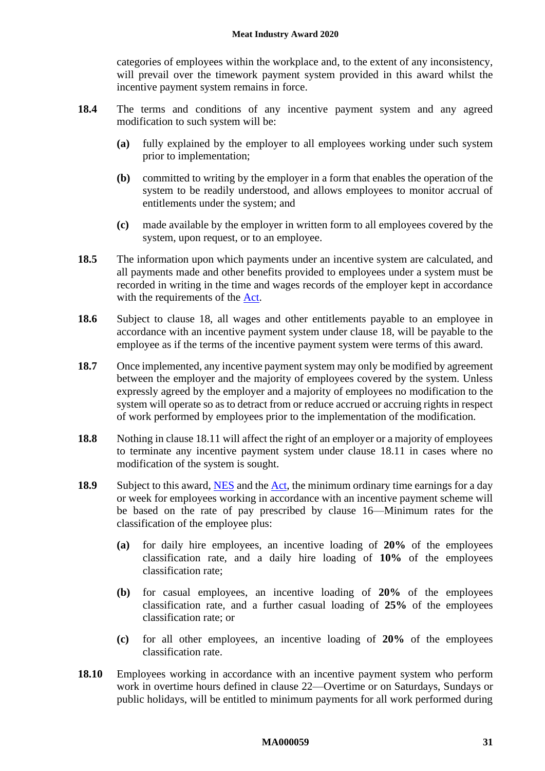categories of employees within the workplace and, to the extent of any inconsistency, will prevail over the timework payment system provided in this award whilst the incentive payment system remains in force.

- **18.4** The terms and conditions of any incentive payment system and any agreed modification to such system will be:
	- **(a)** fully explained by the employer to all employees working under such system prior to implementation;
	- **(b)** committed to writing by the employer in a form that enables the operation of the system to be readily understood, and allows employees to monitor accrual of entitlements under the system; and
	- **(c)** made available by the employer in written form to all employees covered by the system, upon request, or to an employee.
- **18.5** The information upon which payments under an incentive system are calculated, and all payments made and other benefits provided to employees under a system must be recorded in writing in the time and wages records of the employer kept in accordance with the requirements of the [Act.](http://www.legislation.gov.au/Series/C2009A00028)
- **18.6** Subject to clause [18,](#page-29-1) all wages and other entitlements payable to an employee in accordance with an incentive payment system under clause [18,](#page-29-1) will be payable to the employee as if the terms of the incentive payment system were terms of this award.
- <span id="page-30-0"></span>**18.7** Once implemented, any incentive payment system may only be modified by agreement between the employer and the majority of employees covered by the system. Unless expressly agreed by the employer and a majority of employees no modification to the system will operate so as to detract from or reduce accrued or accruing rights in respect of work performed by employees prior to the implementation of the modification.
- **18.8** Nothing in clause [18.11](#page-31-1) will affect the right of an employer or a majority of employees to terminate any incentive payment system under clause [18.11](#page-31-1) in cases where no modification of the system is sought.
- **18.9** Subject to this award, [NES](https://www.fwc.gov.au/documents/awardmod/download/nes.pdf) and the [Act,](http://www.legislation.gov.au/Series/C2009A00028) the minimum ordinary time earnings for a day or week for employees working in accordance with an incentive payment scheme will be based on the rate of pay prescribed by clause [16—Minimum rates](#page-21-1) for the classification of the employee plus:
	- **(a)** for daily hire employees, an incentive loading of **20%** of the employees classification rate, and a daily hire loading of **10%** of the employees classification rate;
	- **(b)** for casual employees, an incentive loading of **20%** of the employees classification rate, and a further casual loading of **25%** of the employees classification rate; or
	- **(c)** for all other employees, an incentive loading of **20%** of the employees classification rate.
- **18.10** Employees working in accordance with an incentive payment system who perform work in overtime hours defined in clause [22—Overtime](#page-35-1) or on Saturdays, Sundays or public holidays, will be entitled to minimum payments for all work performed during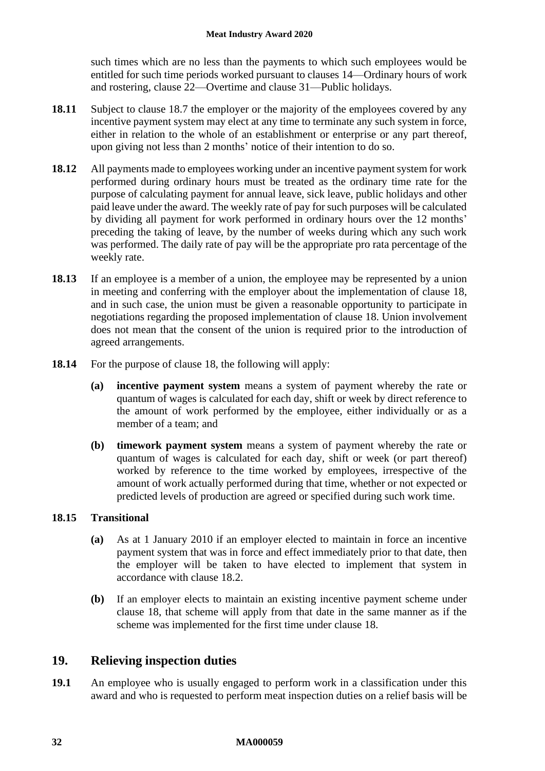such times which are no less than the payments to which such employees would be entitled for such time periods worked pursuant to clauses [14—Ordinary hours of work](#page-17-1)  [and rostering,](#page-17-1) clause [22—Overtime](#page-35-1) and clause [31—Public holidays.](#page-46-0)

- <span id="page-31-1"></span>**18.11** Subject to clause [18.7](#page-30-0) the employer or the majority of the employees covered by any incentive payment system may elect at any time to terminate any such system in force, either in relation to the whole of an establishment or enterprise or any part thereof, upon giving not less than 2 months' notice of their intention to do so.
- **18.12** All payments made to employees working under an incentive payment system for work performed during ordinary hours must be treated as the ordinary time rate for the purpose of calculating payment for annual leave, sick leave, public holidays and other paid leave under the award. The weekly rate of pay for such purposes will be calculated by dividing all payment for work performed in ordinary hours over the 12 months' preceding the taking of leave, by the number of weeks during which any such work was performed. The daily rate of pay will be the appropriate pro rata percentage of the weekly rate.
- **18.13** If an employee is a member of a union, the employee may be represented by a union in meeting and conferring with the employer about the implementation of clause [18,](#page-29-1) and in such case, the union must be given a reasonable opportunity to participate in negotiations regarding the proposed implementation of clause [18.](#page-29-1) Union involvement does not mean that the consent of the union is required prior to the introduction of agreed arrangements.
- **18.14** For the purpose of clause [18,](#page-29-1) the following will apply:
	- **(a) incentive payment system** means a system of payment whereby the rate or quantum of wages is calculated for each day, shift or week by direct reference to the amount of work performed by the employee, either individually or as a member of a team; and
	- **(b) timework payment system** means a system of payment whereby the rate or quantum of wages is calculated for each day, shift or week (or part thereof) worked by reference to the time worked by employees, irrespective of the amount of work actually performed during that time, whether or not expected or predicted levels of production are agreed or specified during such work time.

# **18.15 Transitional**

- **(a)** As at 1 January 2010 if an employer elected to maintain in force an incentive payment system that was in force and effect immediately prior to that date, then the employer will be taken to have elected to implement that system in accordance with clause [18.2.](#page-29-6)
- **(b)** If an employer elects to maintain an existing incentive payment scheme under clause [18,](#page-29-1) that scheme will apply from that date in the same manner as if the scheme was implemented for the first time under clause [18.](#page-29-1)

# <span id="page-31-0"></span>**19. Relieving inspection duties**

**19.1** An employee who is usually engaged to perform work in a classification under this award and who is requested to perform meat inspection duties on a relief basis will be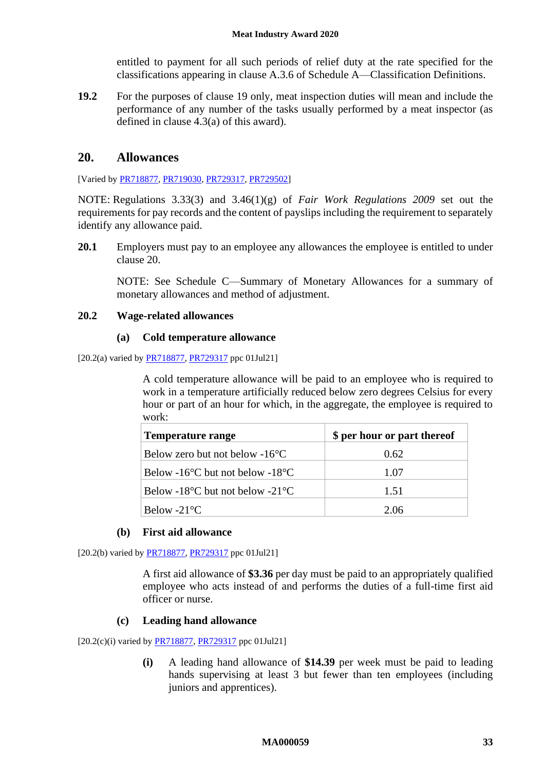entitled to payment for all such periods of relief duty at the rate specified for the classifications appearing in clause [A.3.6](#page-58-0) of [Schedule A—Classification Definitions.](#page-52-0)

**19.2** For the purposes of clause [19](#page-31-0) only, meat inspection duties will mean and include the performance of any number of the tasks usually performed by a meat inspector (as defined in clause [4.3\(a\)](#page-4-6) of this award).

# <span id="page-32-0"></span>**20. Allowances**

[Varied b[y PR718877,](https://www.fwc.gov.au/documents/awardsandorders/html/PR718877.htm) [PR719030,](https://www.fwc.gov.au/documents/awardsandorders/html/pr719030.htm) [PR729317,](https://www.fwc.gov.au/documents/awardsandorders/html/pr729317.htm) [PR729502\]](https://www.fwc.gov.au/documents/awardsandorders/html/pr729502.htm)

NOTE: Regulations 3.33(3) and 3.46(1)(g) of *Fair Work Regulations 2009* set out the requirements for pay records and the content of payslips including the requirement to separately identify any allowance paid.

20.1 Employers must pay to an employee any allowances the employee is entitled to under clause [20.](#page-32-0)

NOTE: See [Schedule C—Summary of Monetary Allowances](#page-69-0) for a summary of monetary allowances and method of adjustment.

# **20.2 Wage-related allowances**

# **(a) Cold temperature allowance**

[20.2(a) varied by [PR718877,](https://www.fwc.gov.au/documents/awardsandorders/html/PR718877.htm) [PR729317](https://www.fwc.gov.au/documents/awardsandorders/html/pr729317.htm) ppc 01Jul21]

A cold temperature allowance will be paid to an employee who is required to work in a temperature artificially reduced below zero degrees Celsius for every hour or part of an hour for which, in the aggregate, the employee is required to work:

| <b>Temperature range</b>                            | \$ per hour or part thereof |
|-----------------------------------------------------|-----------------------------|
| Below zero but not below $-16^{\circ}$ C            | 0.62                        |
| Below -16 $\degree$ C but not below -18 $\degree$ C | 1.07                        |
| Below -18 $\degree$ C but not below -21 $\degree$ C | 1.51                        |
| Below -21 $\mathrm{^{\circ}C}$                      | 2.06                        |

# **(b) First aid allowance**

[20.2(b) varied by **PR718877**, **PR729317** ppc 01Jul21]

A first aid allowance of **\$3.36** per day must be paid to an appropriately qualified employee who acts instead of and performs the duties of a full-time first aid officer or nurse.

# **(c) Leading hand allowance**

 $[20.2(c)(i)$  varied by  $\frac{PR718877}{PR729317}$  ppc 01Jul21]

**(i)** A leading hand allowance of **\$14.39** per week must be paid to leading hands supervising at least 3 but fewer than ten employees (including juniors and apprentices).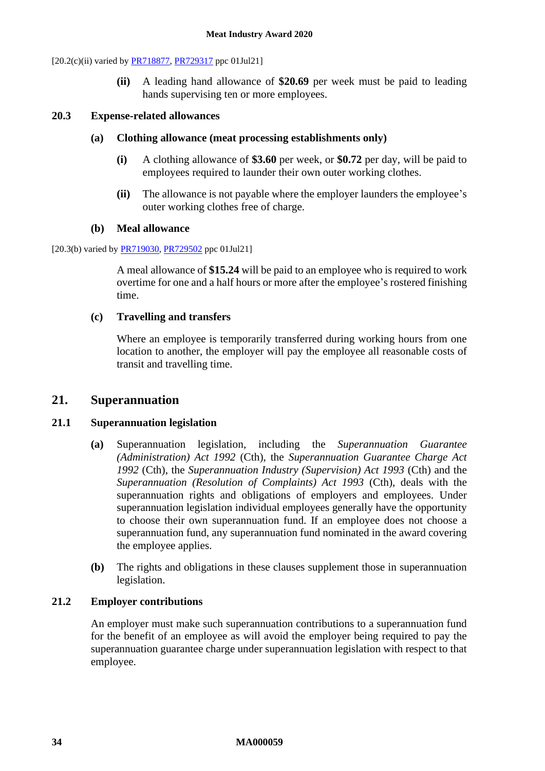[20.2(c)(ii) varied by **PR718877**, **PR729317** ppc 01Jul21]

**(ii)** A leading hand allowance of **\$20.69** per week must be paid to leading hands supervising ten or more employees.

# **20.3 Expense-related allowances**

# **(a) Clothing allowance (meat processing establishments only)**

- **(i)** A clothing allowance of **\$3.60** per week, or **\$0.72** per day, will be paid to employees required to launder their own outer working clothes.
- **(ii)** The allowance is not payable where the employer launders the employee's outer working clothes free of charge.

# **(b) Meal allowance**

[20.3(b) varied by **PR719030**, **PR729502** ppc 01Jul21]

A meal allowance of **\$15.24** will be paid to an employee who is required to work overtime for one and a half hours or more after the employee's rostered finishing time.

# **(c) Travelling and transfers**

Where an employee is temporarily transferred during working hours from one location to another, the employer will pay the employee all reasonable costs of transit and travelling time.

# <span id="page-33-0"></span>**21. Superannuation**

# **21.1 Superannuation legislation**

- **(a)** Superannuation legislation, including the *Superannuation Guarantee (Administration) Act 1992* (Cth), the *Superannuation Guarantee Charge Act 1992* (Cth), the *Superannuation Industry (Supervision) Act 1993* (Cth) and the *Superannuation (Resolution of Complaints) Act 1993* (Cth), deals with the superannuation rights and obligations of employers and employees. Under superannuation legislation individual employees generally have the opportunity to choose their own superannuation fund. If an employee does not choose a superannuation fund, any superannuation fund nominated in the award covering the employee applies.
- **(b)** The rights and obligations in these clauses supplement those in superannuation legislation.

# <span id="page-33-1"></span>**21.2 Employer contributions**

An employer must make such superannuation contributions to a superannuation fund for the benefit of an employee as will avoid the employer being required to pay the superannuation guarantee charge under superannuation legislation with respect to that employee.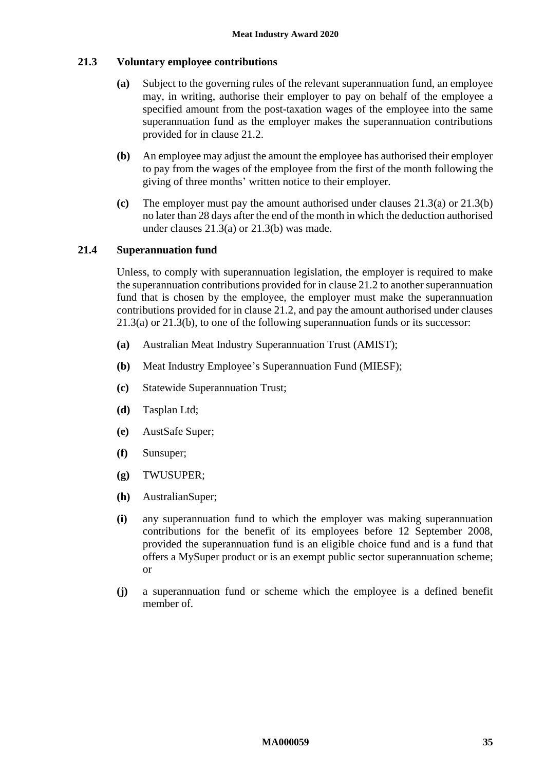# <span id="page-34-0"></span>**21.3 Voluntary employee contributions**

- **(a)** Subject to the governing rules of the relevant superannuation fund, an employee may, in writing, authorise their employer to pay on behalf of the employee a specified amount from the post-taxation wages of the employee into the same superannuation fund as the employer makes the superannuation contributions provided for in clause [21.2.](#page-33-1)
- <span id="page-34-1"></span>**(b)** An employee may adjust the amount the employee has authorised their employer to pay from the wages of the employee from the first of the month following the giving of three months' written notice to their employer.
- **(c)** The employer must pay the amount authorised under clauses [21.3\(a\)](#page-34-0) or [21.3\(b\)](#page-34-1) no later than 28 days after the end of the month in which the deduction authorised under clauses [21.3\(a\)](#page-34-0) or [21.3\(b\)](#page-34-1) was made.

# **21.4 Superannuation fund**

Unless, to comply with superannuation legislation, the employer is required to make the superannuation contributions provided for in clause [21.2](#page-33-1) to another superannuation fund that is chosen by the employee, the employer must make the superannuation contributions provided for in claus[e 21.2,](#page-33-1) and pay the amount authorised under clauses [21.3\(a\)](#page-34-0) or [21.3\(b\),](#page-34-1) to one of the following superannuation funds or its successor:

- **(a)** Australian Meat Industry Superannuation Trust (AMIST);
- **(b)** Meat Industry Employee's Superannuation Fund (MIESF);
- **(c)** Statewide Superannuation Trust;
- **(d)** Tasplan Ltd;
- **(e)** AustSafe Super;
- **(f)** Sunsuper;
- **(g)** TWUSUPER;
- **(h)** AustralianSuper;
- **(i)** any superannuation fund to which the employer was making superannuation contributions for the benefit of its employees before 12 September 2008, provided the superannuation fund is an eligible choice fund and is a fund that offers a MySuper product or is an exempt public sector superannuation scheme; or
- **(j)** a superannuation fund or scheme which the employee is a defined benefit member of.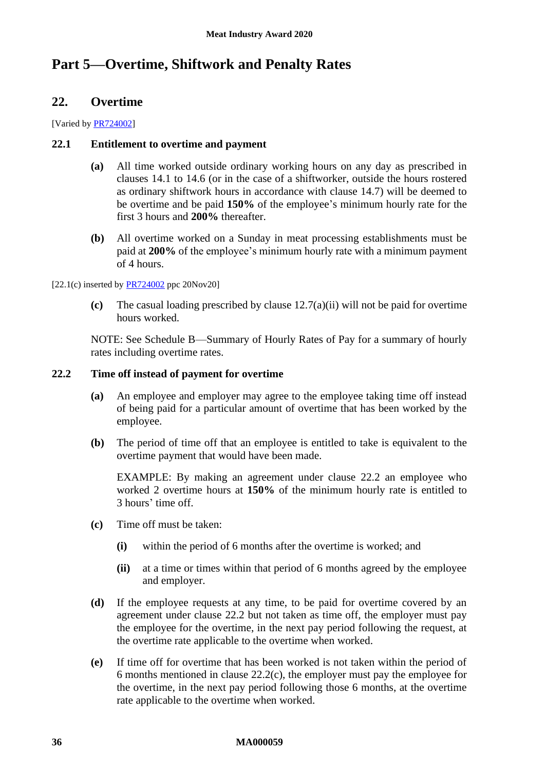# <span id="page-35-1"></span><span id="page-35-0"></span>**Part 5—Overtime, Shiftwork and Penalty Rates**

# **22. Overtime**

[Varied by [PR724002\]](https://www.fwc.gov.au/documents/awardsandorders/html/PR724002.htm)

# **22.1 Entitlement to overtime and payment**

- **(a)** All time worked outside ordinary working hours on any day as prescribed in clauses [14.1](#page-17-6) to [14.6](#page-19-2) (or in the case of a shiftworker, outside the hours rostered as ordinary shiftwork hours in accordance with clause [14.7\)](#page-19-3) will be deemed to be overtime and be paid **150%** of the employee's minimum hourly rate for the first 3 hours and **200%** thereafter.
- **(b)** All overtime worked on a Sunday in meat processing establishments must be paid at **200%** of the employee's minimum hourly rate with a minimum payment of 4 hours.

 $[22.1(c)$  inserted by  $\frac{PR724002}{PR724002}$  ppc 20Nov20]

**(c)** The casual loading prescribed by clause [12.7\(a\)\(ii\)](#page-14-2) will not be paid for overtime hours worked.

NOTE: See [Schedule B—Summary of Hourly Rates of Pay](#page-60-0) for a summary of hourly rates including overtime rates.

# <span id="page-35-2"></span>**22.2 Time off instead of payment for overtime**

- **(a)** An employee and employer may agree to the employee taking time off instead of being paid for a particular amount of overtime that has been worked by the employee.
- **(b)** The period of time off that an employee is entitled to take is equivalent to the overtime payment that would have been made.

EXAMPLE: By making an agreement under clause [22.2](#page-35-2) an employee who worked 2 overtime hours at **150%** of the minimum hourly rate is entitled to 3 hours' time off.

- <span id="page-35-3"></span>**(c)** Time off must be taken:
	- **(i)** within the period of 6 months after the overtime is worked; and
	- **(ii)** at a time or times within that period of 6 months agreed by the employee and employer.
- **(d)** If the employee requests at any time, to be paid for overtime covered by an agreement under clause [22.2](#page-35-2) but not taken as time off, the employer must pay the employee for the overtime, in the next pay period following the request, at the overtime rate applicable to the overtime when worked.
- **(e)** If time off for overtime that has been worked is not taken within the period of 6 months mentioned in clause [22.2\(c\),](#page-35-3) the employer must pay the employee for the overtime, in the next pay period following those 6 months, at the overtime rate applicable to the overtime when worked.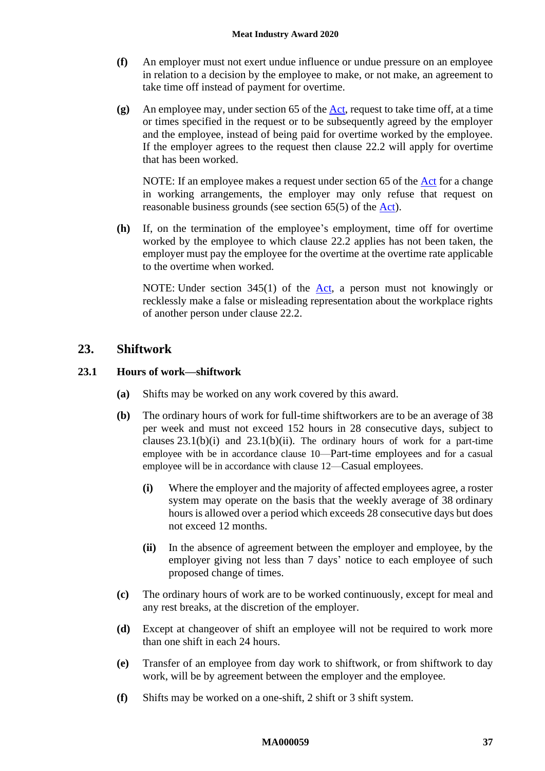- **(f)** An employer must not exert undue influence or undue pressure on an employee in relation to a decision by the employee to make, or not make, an agreement to take time off instead of payment for overtime.
- **(g)** An employee may, under section 65 of the [Act,](http://www.legislation.gov.au/Series/C2009A00028) request to take time off, at a time or times specified in the request or to be subsequently agreed by the employer and the employee, instead of being paid for overtime worked by the employee. If the employer agrees to the request then clause [22.2](#page-35-0) will apply for overtime that has been worked.

NOTE: If an employee makes a request under section 65 of the [Act](http://www.legislation.gov.au/Series/C2009A00028) for a change in working arrangements, the employer may only refuse that request on reasonable business grounds (see section 65(5) of the [Act\)](http://www.legislation.gov.au/Series/C2009A00028).

**(h)** If, on the termination of the employee's employment, time off for overtime worked by the employee to which clause [22.2](#page-35-0) applies has not been taken, the employer must pay the employee for the overtime at the overtime rate applicable to the overtime when worked.

NOTE: Under section 345(1) of the <u>Act</u>, a person must not knowingly or recklessly make a false or misleading representation about the workplace rights of another person under clause [22.2.](#page-35-0)

#### <span id="page-36-2"></span>**23. Shiftwork**

#### **23.1 Hours of work—shiftwork**

- **(a)** Shifts may be worked on any work covered by this award.
- <span id="page-36-0"></span>**(b)** The ordinary hours of work for full-time shiftworkers are to be an average of 38 per week and must not exceed 152 hours in 28 consecutive days, subject to clauses  $23.1(b)(i)$  and  $23.1(b)(ii)$ . The ordinary hours of work for a part-time employee with be in accordance clause [10](#page-11-0)—[Part-time employees](#page-11-0) and for a casual employee will be in accordance with clause [12](#page-13-0)—[Casual employees](#page-13-0).
	- **(i)** Where the employer and the majority of affected employees agree, a roster system may operate on the basis that the weekly average of 38 ordinary hours is allowed over a period which exceeds 28 consecutive days but does not exceed 12 months.
	- **(ii)** In the absence of agreement between the employer and employee, by the employer giving not less than 7 days' notice to each employee of such proposed change of times.
- <span id="page-36-1"></span>**(c)** The ordinary hours of work are to be worked continuously, except for meal and any rest breaks, at the discretion of the employer.
- **(d)** Except at changeover of shift an employee will not be required to work more than one shift in each 24 hours.
- **(e)** Transfer of an employee from day work to shiftwork, or from shiftwork to day work, will be by agreement between the employer and the employee.
- **(f)** Shifts may be worked on a one-shift, 2 shift or 3 shift system.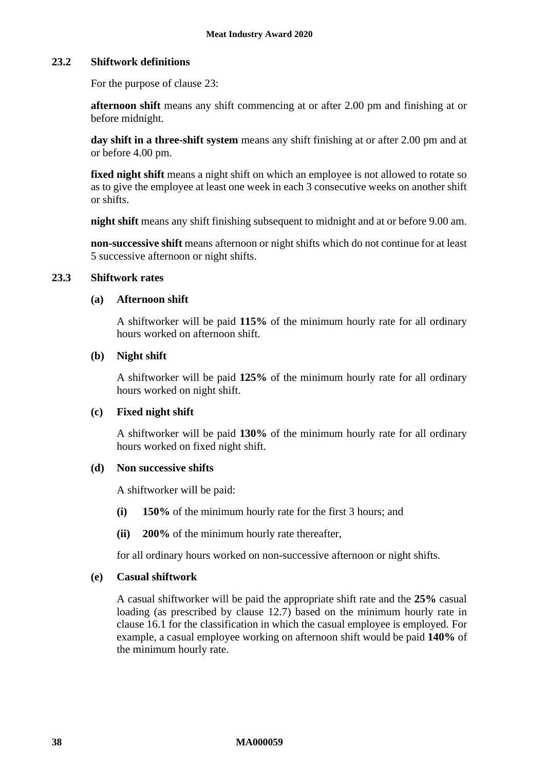#### <span id="page-37-2"></span>**23.2 Shiftwork definitions**

For the purpose of clause [23:](#page-36-2)

**afternoon shift** means any shift commencing at or after 2.00 pm and finishing at or before midnight.

**day shift in a three-shift system** means any shift finishing at or after 2.00 pm and at or before 4.00 pm.

fixed night shift means a night shift on which an employee is not allowed to rotate so as to give the employee at least one week in each 3 consecutive weeks on another shift or shifts.

**night shift** means any shift finishing subsequent to midnight and at or before 9.00 am.

**non-successive shift** means afternoon or night shifts which do not continue for at least 5 successive afternoon or night shifts.

#### <span id="page-37-0"></span>**23.3 Shiftwork rates**

#### **(a) Afternoon shift**

A shiftworker will be paid **115%** of the minimum hourly rate for all ordinary hours worked on afternoon shift.

#### **(b) Night shift**

A shiftworker will be paid **125%** of the minimum hourly rate for all ordinary hours worked on night shift.

#### **(c) Fixed night shift**

A shiftworker will be paid **130%** of the minimum hourly rate for all ordinary hours worked on fixed night shift.

#### <span id="page-37-1"></span>**(d) Non successive shifts**

A shiftworker will be paid:

- **(i) 150%** of the minimum hourly rate for the first 3 hours; and
- **(ii) 200%** of the minimum hourly rate thereafter,

for all ordinary hours worked on non-successive afternoon or night shifts.

#### <span id="page-37-3"></span>**(e) Casual shiftwork**

A casual shiftworker will be paid the appropriate shift rate and the **25%** casual loading (as prescribed by clause [12.7\)](#page-14-0) based on the minimum hourly rate in clause [16.1](#page-21-0) for the classification in which the casual employee is employed. For example, a casual employee working on afternoon shift would be paid **140%** of the minimum hourly rate.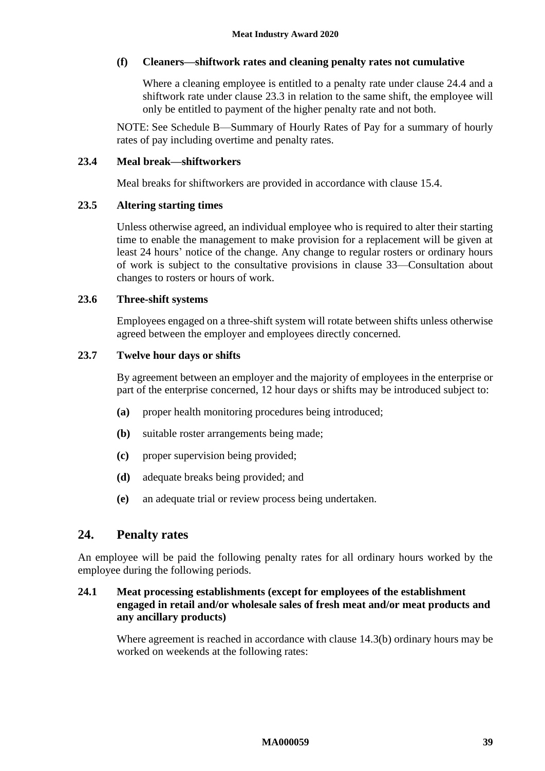#### **(f) Cleaners—shiftwork rates and cleaning penalty rates not cumulative**

Where a cleaning employee is entitled to a penalty rate under clause [24.4](#page-39-0) and a shiftwork rate under clause [23.3](#page-37-0) in relation to the same shift, the employee will only be entitled to payment of the higher penalty rate and not both.

NOTE: See [Schedule B](#page-60-0)[—Summary of Hourly Rates of Pay](#page-60-0) for a summary of hourly rates of pay including overtime and penalty rates.

#### **23.4 Meal break—shiftworkers**

Meal breaks for shiftworkers are provided in accordance with clause [15.4.](#page-21-1)

#### **23.5 Altering starting times**

Unless otherwise agreed, an individual employee who is required to alter their starting time to enable the management to make provision for a replacement will be given at least 24 hours' notice of the change. Any change to regular rosters or ordinary hours of work is subject to the consultative provisions in clause [33—Consultation about](#page-48-0)  [changes to rosters or hours of work.](#page-48-0)

#### **23.6 Three-shift systems**

Employees engaged on a three-shift system will rotate between shifts unless otherwise agreed between the employer and employees directly concerned.

#### **23.7 Twelve hour days or shifts**

By agreement between an employer and the majority of employees in the enterprise or part of the enterprise concerned, 12 hour days or shifts may be introduced subject to:

- **(a)** proper health monitoring procedures being introduced;
- **(b)** suitable roster arrangements being made;
- **(c)** proper supervision being provided;
- **(d)** adequate breaks being provided; and
- **(e)** an adequate trial or review process being undertaken.

# **24. Penalty rates**

An employee will be paid the following penalty rates for all ordinary hours worked by the employee during the following periods.

### **24.1 Meat processing establishments (except for employees of the establishment engaged in retail and/or wholesale sales of fresh meat and/or meat products and any ancillary products)**

Where agreement is reached in accordance with clause [14.3\(b\)](#page-17-0) ordinary hours may be worked on weekends at the following rates: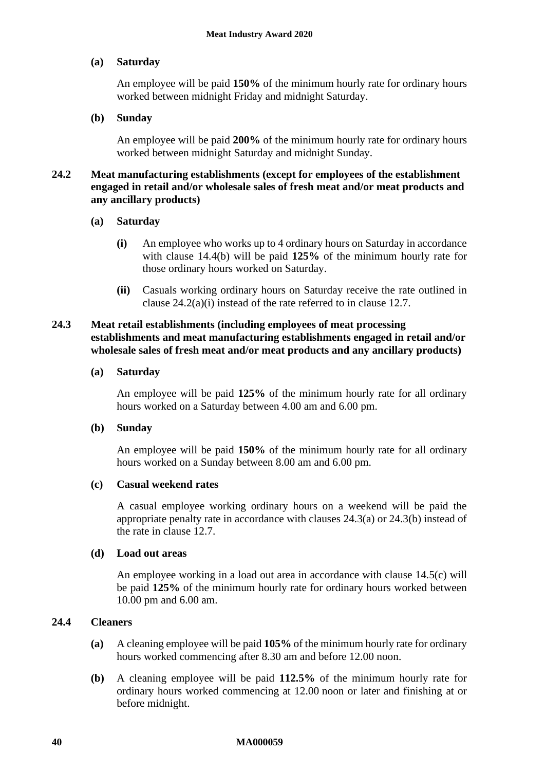### **(a) Saturday**

An employee will be paid **150%** of the minimum hourly rate for ordinary hours worked between midnight Friday and midnight Saturday.

#### **(b) Sunday**

An employee will be paid **200%** of the minimum hourly rate for ordinary hours worked between midnight Saturday and midnight Sunday.

#### **24.2 Meat manufacturing establishments (except for employees of the establishment engaged in retail and/or wholesale sales of fresh meat and/or meat products and any ancillary products)**

#### <span id="page-39-1"></span>**(a) Saturday**

- **(i)** An employee who works up to 4 ordinary hours on Saturday in accordance with clause [14.4\(b\)](#page-18-0) will be paid **125%** of the minimum hourly rate for those ordinary hours worked on Saturday.
- **(ii)** Casuals working ordinary hours on Saturday receive the rate outlined in clause [24.2\(a\)\(i\)](#page-39-1) instead of the rate referred to in clause [12.7.](#page-14-0)

#### <span id="page-39-2"></span>**24.3 Meat retail establishments (including employees of meat processing establishments and meat manufacturing establishments engaged in retail and/or wholesale sales of fresh meat and/or meat products and any ancillary products)**

#### **(a) Saturday**

An employee will be paid **125%** of the minimum hourly rate for all ordinary hours worked on a Saturday between 4.00 am and 6.00 pm.

#### <span id="page-39-3"></span>**(b) Sunday**

An employee will be paid **150%** of the minimum hourly rate for all ordinary hours worked on a Sunday between 8.00 am and 6.00 pm.

#### **(c) Casual weekend rates**

A casual employee working ordinary hours on a weekend will be paid the appropriate penalty rate in accordance with clauses [24.3\(a\)](#page-39-2) or [24.3\(b\)](#page-39-3) instead of the rate in clause [12.7.](#page-14-0)

#### **(d) Load out areas**

An employee working in a load out area in accordance with clause [14.5\(c\)](#page-18-1) will be paid **125%** of the minimum hourly rate for ordinary hours worked between 10.00 pm and 6.00 am.

### <span id="page-39-0"></span>**24.4 Cleaners**

- **(a)** A cleaning employee will be paid **105%** of the minimum hourly rate for ordinary hours worked commencing after 8.30 am and before 12.00 noon.
- **(b)** A cleaning employee will be paid **112.5%** of the minimum hourly rate for ordinary hours worked commencing at 12.00 noon or later and finishing at or before midnight.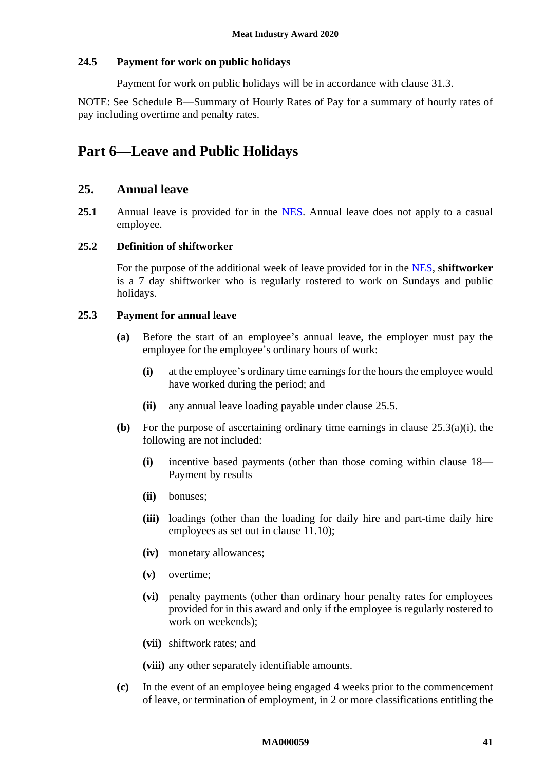#### **24.5 Payment for work on public holidays**

Payment for work on public holidays will be in accordance with clause [31.3.](#page-46-0)

NOTE: See [Schedule B—Summary of Hourly Rates of Pay](#page-60-0) for a summary of hourly rates of pay including overtime and penalty rates.

# <span id="page-40-1"></span>**Part 6—Leave and Public Holidays**

### **25. Annual leave**

<span id="page-40-3"></span>25.1 Annual leave is provided for in the [NES.](https://www.fwc.gov.au/documents/awardmod/download/nes.pdf) Annual leave does not apply to a casual employee.

### <span id="page-40-4"></span>**25.2 Definition of shiftworker**

For the purpose of the additional week of leave provided for in the [NES,](https://www.fwc.gov.au/documents/awardmod/download/nes.pdf) **shiftworker** is a 7 day shiftworker who is regularly rostered to work on Sundays and public holidays.

#### <span id="page-40-2"></span><span id="page-40-0"></span>**25.3 Payment for annual leave**

- **(a)** Before the start of an employee's annual leave, the employer must pay the employee for the employee's ordinary hours of work:
	- **(i)** at the employee's ordinary time earnings for the hours the employee would have worked during the period; and
	- **(ii)** any annual leave loading payable under clause [25.5.](#page-41-0)
- **(b)** For the purpose of ascertaining ordinary time earnings in clause [25.3\(a\)\(i\),](#page-40-0) the following are not included:
	- **(i)** incentive based payments (other than those coming within clause [18—](#page-29-0) [Payment by results](#page-29-0)
	- **(ii)** bonuses;
	- **(iii)** loadings (other than the loading for daily hire and part-time daily hire employees as set out in clause [11.10\)](#page-13-1);
	- **(iv)** monetary allowances;
	- **(v)** overtime;
	- **(vi)** penalty payments (other than ordinary hour penalty rates for employees provided for in this award and only if the employee is regularly rostered to work on weekends);
	- **(vii)** shiftwork rates; and

**(viii)** any other separately identifiable amounts.

**(c)** In the event of an employee being engaged 4 weeks prior to the commencement of leave, or termination of employment, in 2 or more classifications entitling the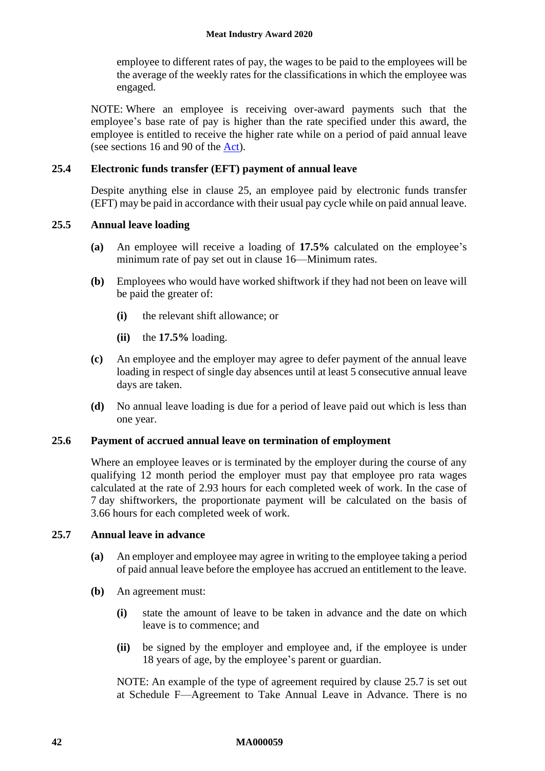employee to different rates of pay, the wages to be paid to the employees will be the average of the weekly rates for the classifications in which the employee was engaged.

NOTE: Where an employee is receiving over-award payments such that the employee's base rate of pay is higher than the rate specified under this award, the employee is entitled to receive the higher rate while on a period of paid annual leave (see sections 16 and 90 of the [Act\)](http://www.legislation.gov.au/Series/C2009A00028).

## **25.4 Electronic funds transfer (EFT) payment of annual leave**

Despite anything else in clause [25,](#page-40-1) an employee paid by electronic funds transfer (EFT) may be paid in accordance with their usual pay cycle while on paid annual leave.

### <span id="page-41-0"></span>**25.5 Annual leave loading**

- **(a)** An employee will receive a loading of **17.5%** calculated on the employee's minimum rate of pay set out in clause [16—Minimum rates.](#page-21-2)
- **(b)** Employees who would have worked shiftwork if they had not been on leave will be paid the greater of:
	- **(i)** the relevant shift allowance; or
	- **(ii)** the **17.5%** loading.
- **(c)** An employee and the employer may agree to defer payment of the annual leave loading in respect of single day absences until at least 5 consecutive annual leave days are taken.
- **(d)** No annual leave loading is due for a period of leave paid out which is less than one year.

### <span id="page-41-2"></span>**25.6 Payment of accrued annual leave on termination of employment**

Where an employee leaves or is terminated by the employer during the course of any qualifying 12 month period the employer must pay that employee pro rata wages calculated at the rate of 2.93 hours for each completed week of work. In the case of 7 day shiftworkers, the proportionate payment will be calculated on the basis of 3.66 hours for each completed week of work.

### <span id="page-41-1"></span>**25.7 Annual leave in advance**

- **(a)** An employer and employee may agree in writing to the employee taking a period of paid annual leave before the employee has accrued an entitlement to the leave.
- **(b)** An agreement must:
	- **(i)** state the amount of leave to be taken in advance and the date on which leave is to commence; and
	- **(ii)** be signed by the employer and employee and, if the employee is under 18 years of age, by the employee's parent or guardian.

NOTE: An example of the type of agreement required by clause [25.7](#page-41-1) is set out at [Schedule F—Agreement to Take Annual Leave in Advance.](#page-75-0) There is no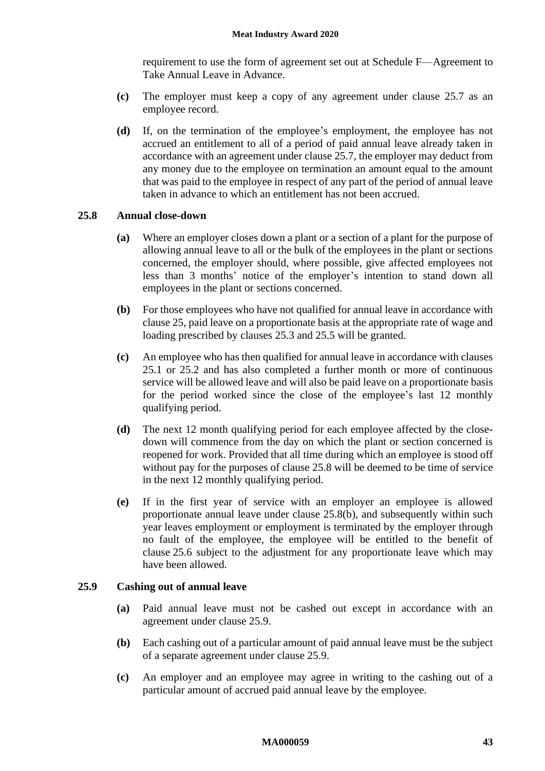requirement to use the form of agreement set out at [Schedule F—Agreement to](#page-75-0)  [Take Annual Leave in Advance.](#page-75-0)

- **(c)** The employer must keep a copy of any agreement under clause [25.7](#page-41-1) as an employee record.
- **(d)** If, on the termination of the employee's employment, the employee has not accrued an entitlement to all of a period of paid annual leave already taken in accordance with an agreement under clause [25.7,](#page-41-1) the employer may deduct from any money due to the employee on termination an amount equal to the amount that was paid to the employee in respect of any part of the period of annual leave taken in advance to which an entitlement has not been accrued.

#### <span id="page-42-0"></span>**25.8 Annual close-down**

- **(a)** Where an employer closes down a plant or a section of a plant for the purpose of allowing annual leave to all or the bulk of the employees in the plant or sections concerned, the employer should, where possible, give affected employees not less than 3 months' notice of the employer's intention to stand down all employees in the plant or sections concerned.
- <span id="page-42-1"></span>**(b)** For those employees who have not qualified for annual leave in accordance with clause [25,](#page-40-1) paid leave on a proportionate basis at the appropriate rate of wage and loading prescribed by clauses [25.3](#page-40-2) and [25.5](#page-41-0) will be granted.
- **(c)** An employee who has then qualified for annual leave in accordance with clauses [25.1](#page-40-3) or [25.2](#page-40-4) and has also completed a further month or more of continuous service will be allowed leave and will also be paid leave on a proportionate basis for the period worked since the close of the employee's last 12 monthly qualifying period.
- **(d)** The next 12 month qualifying period for each employee affected by the closedown will commence from the day on which the plant or section concerned is reopened for work. Provided that all time during which an employee is stood off without pay for the purposes of clause [25.8](#page-42-0) will be deemed to be time of service in the next 12 monthly qualifying period.
- **(e)** If in the first year of service with an employer an employee is allowed proportionate annual leave under clause [25.8\(b\),](#page-42-1) and subsequently within such year leaves employment or employment is terminated by the employer through no fault of the employee, the employee will be entitled to the benefit of clause [25.6](#page-41-2) subject to the adjustment for any proportionate leave which may have been allowed.

#### <span id="page-42-2"></span>**25.9 Cashing out of annual leave**

- **(a)** Paid annual leave must not be cashed out except in accordance with an agreement under clause [25.9.](#page-42-2)
- **(b)** Each cashing out of a particular amount of paid annual leave must be the subject of a separate agreement under clause [25.9.](#page-42-2)
- **(c)** An employer and an employee may agree in writing to the cashing out of a particular amount of accrued paid annual leave by the employee.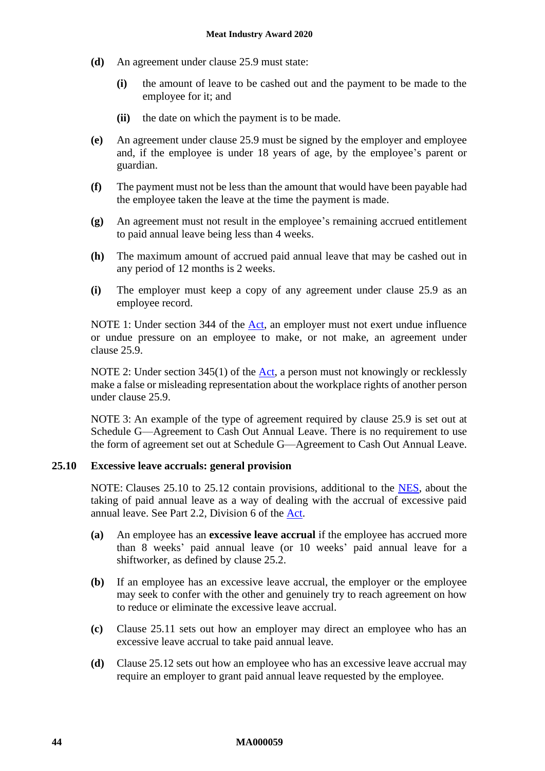- **(d)** An agreement under clause [25.9](#page-42-2) must state:
	- **(i)** the amount of leave to be cashed out and the payment to be made to the employee for it; and
	- **(ii)** the date on which the payment is to be made.
- **(e)** An agreement under clause [25.9](#page-42-2) must be signed by the employer and employee and, if the employee is under 18 years of age, by the employee's parent or guardian.
- **(f)** The payment must not be less than the amount that would have been payable had the employee taken the leave at the time the payment is made.
- **(g)** An agreement must not result in the employee's remaining accrued entitlement to paid annual leave being less than 4 weeks.
- **(h)** The maximum amount of accrued paid annual leave that may be cashed out in any period of 12 months is 2 weeks.
- **(i)** The employer must keep a copy of any agreement under clause [25.9](#page-42-2) as an employee record.

NOTE 1: Under section 344 of the [Act,](http://www.legislation.gov.au/Series/C2009A00028) an employer must not exert undue influence or undue pressure on an employee to make, or not make, an agreement under clause [25.9.](#page-42-2)

NOTE 2: Under section 345(1) of the  $Act$ , a person must not knowingly or recklessly make a false or misleading representation about the workplace rights of another person under clause [25.9.](#page-42-2)

NOTE 3: An example of the type of agreement required by clause [25.9](#page-42-2) is set out at [Schedule G—Agreement to Cash Out Annual Leave.](#page-76-0) There is no requirement to use the form of agreement set out at [Schedule G—Agreement to Cash Out Annual Leave.](#page-76-0)

### <span id="page-43-0"></span>**25.10 Excessive leave accruals: general provision**

NOTE: Clauses [25.10](#page-43-0) to [25.12](#page-44-0) contain provisions, additional to the [NES,](https://www.fwc.gov.au/documents/awardmod/download/nes.pdf) about the taking of paid annual leave as a way of dealing with the accrual of excessive paid annual leave. See Part 2.2, Division 6 of the [Act.](http://www.legislation.gov.au/Series/C2009A00028)

- **(a)** An employee has an **excessive leave accrual** if the employee has accrued more than 8 weeks' paid annual leave (or 10 weeks' paid annual leave for a shiftworker, as defined by clause [25.2.](#page-40-4)
- <span id="page-43-1"></span>**(b)** If an employee has an excessive leave accrual, the employer or the employee may seek to confer with the other and genuinely try to reach agreement on how to reduce or eliminate the excessive leave accrual.
- **(c)** Clause [25.11](#page-44-1) sets out how an employer may direct an employee who has an excessive leave accrual to take paid annual leave.
- **(d)** Clause [25.12](#page-44-0) sets out how an employee who has an excessive leave accrual may require an employer to grant paid annual leave requested by the employee.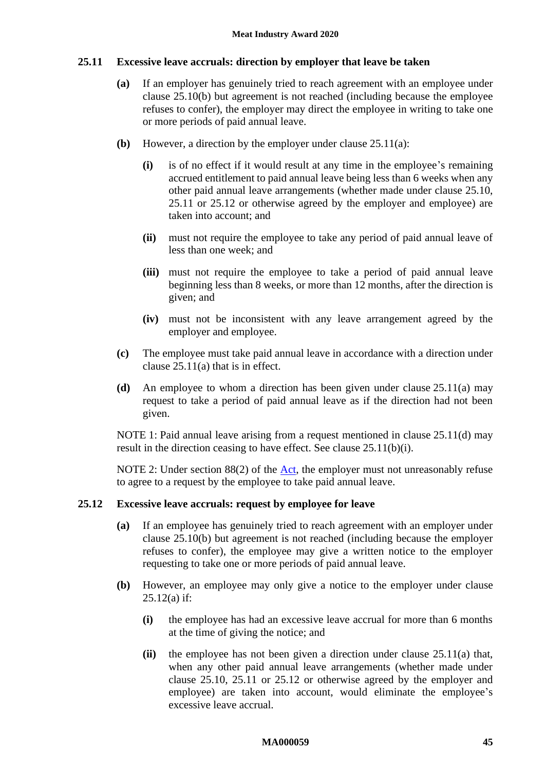#### <span id="page-44-2"></span><span id="page-44-1"></span>**25.11 Excessive leave accruals: direction by employer that leave be taken**

- **(a)** If an employer has genuinely tried to reach agreement with an employee under clause [25.10\(b\)](#page-43-1) but agreement is not reached (including because the employee refuses to confer), the employer may direct the employee in writing to take one or more periods of paid annual leave.
- <span id="page-44-4"></span>**(b)** However, a direction by the employer under clause [25.11\(a\):](#page-44-2)
	- **(i)** is of no effect if it would result at any time in the employee's remaining accrued entitlement to paid annual leave being less than 6 weeks when any other paid annual leave arrangements (whether made under clause [25.10,](#page-43-0) [25.11](#page-44-1) or [25.12](#page-44-0) or otherwise agreed by the employer and employee) are taken into account; and
	- **(ii)** must not require the employee to take any period of paid annual leave of less than one week; and
	- **(iii)** must not require the employee to take a period of paid annual leave beginning less than 8 weeks, or more than 12 months, after the direction is given; and
	- **(iv)** must not be inconsistent with any leave arrangement agreed by the employer and employee.
- **(c)** The employee must take paid annual leave in accordance with a direction under clause [25.11\(a\)](#page-44-2) that is in effect.
- <span id="page-44-3"></span>**(d)** An employee to whom a direction has been given under clause [25.11\(a\)](#page-44-2) may request to take a period of paid annual leave as if the direction had not been given.

NOTE 1: Paid annual leave arising from a request mentioned in clause [25.11\(d\)](#page-44-3) may result in the direction ceasing to have effect. See clause [25.11\(b\)\(i\).](#page-44-4)

NOTE 2: Under section 88(2) of the [Act,](http://www.legislation.gov.au/Series/C2009A00028) the employer must not unreasonably refuse to agree to a request by the employee to take paid annual leave.

#### <span id="page-44-5"></span><span id="page-44-0"></span>**25.12 Excessive leave accruals: request by employee for leave**

- **(a)** If an employee has genuinely tried to reach agreement with an employer under clause [25.10\(b\)](#page-43-1) but agreement is not reached (including because the employer refuses to confer), the employee may give a written notice to the employer requesting to take one or more periods of paid annual leave.
- **(b)** However, an employee may only give a notice to the employer under clause  $25.12(a)$  if:
	- **(i)** the employee has had an excessive leave accrual for more than 6 months at the time of giving the notice; and
	- **(ii)** the employee has not been given a direction under clause [25.11\(a\)](#page-44-2) that, when any other paid annual leave arrangements (whether made under clause [25.10,](#page-43-0) [25.11](#page-44-1) or [25.12](#page-44-0) or otherwise agreed by the employer and employee) are taken into account, would eliminate the employee's excessive leave accrual.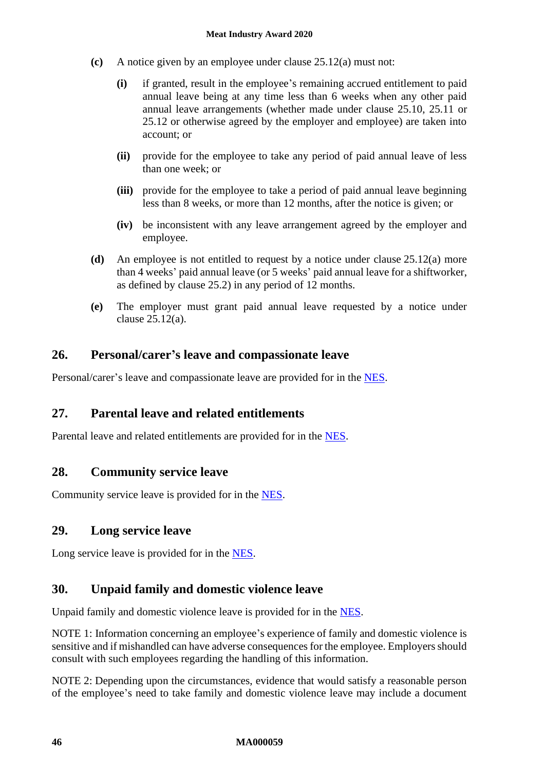- **(c)** A notice given by an employee under clause [25.12\(a\)](#page-44-5) must not:
	- **(i)** if granted, result in the employee's remaining accrued entitlement to paid annual leave being at any time less than 6 weeks when any other paid annual leave arrangements (whether made under clause [25.10,](#page-43-0) [25.11](#page-44-1) or [25.12](#page-44-0) or otherwise agreed by the employer and employee) are taken into account; or
	- **(ii)** provide for the employee to take any period of paid annual leave of less than one week; or
	- **(iii)** provide for the employee to take a period of paid annual leave beginning less than 8 weeks, or more than 12 months, after the notice is given; or
	- **(iv)** be inconsistent with any leave arrangement agreed by the employer and employee.
- **(d)** An employee is not entitled to request by a notice under clause [25.12\(a\)](#page-44-5) more than 4 weeks' paid annual leave (or 5 weeks' paid annual leave for a shiftworker, as defined by clause [25.2\)](#page-40-4) in any period of 12 months.
- **(e)** The employer must grant paid annual leave requested by a notice under clause [25.12\(a\).](#page-44-5)

# **26. Personal/carer's leave and compassionate leave**

Personal/carer's leave and compassionate leave are provided for in the [NES.](https://www.fwc.gov.au/documents/awardmod/download/nes.pdf)

# **27. Parental leave and related entitlements**

Parental leave and related entitlements are provided for in the [NES.](https://www.fwc.gov.au/documents/awardmod/download/nes.pdf)

# **28. Community service leave**

Community service leave is provided for in the [NES.](https://www.fwc.gov.au/documents/awardmod/download/nes.pdf)

# **29. Long service leave**

Long service leave is provided for in the [NES.](https://www.fwc.gov.au/documents/awardmod/download/nes.pdf)

# **30. Unpaid family and domestic violence leave**

Unpaid family and domestic violence leave is provided for in the [NES.](https://www.fwc.gov.au/documents/awardmod/download/nes.pdf)

NOTE 1: Information concerning an employee's experience of family and domestic violence is sensitive and if mishandled can have adverse consequences for the employee. Employers should consult with such employees regarding the handling of this information.

NOTE 2: Depending upon the circumstances, evidence that would satisfy a reasonable person of the employee's need to take family and domestic violence leave may include a document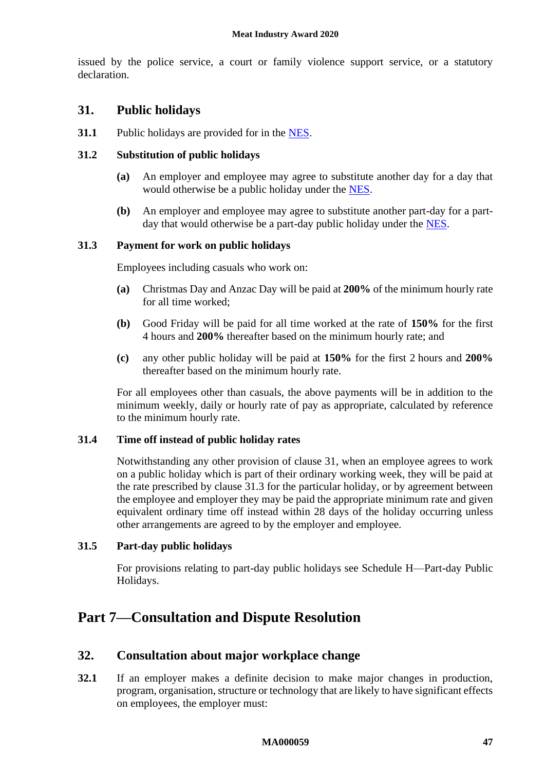issued by the police service, a court or family violence support service, or a statutory declaration.

# <span id="page-46-1"></span>**31. Public holidays**

**31.1** Public holidays are provided for in the [NES.](https://www.fwc.gov.au/documents/awardmod/download/nes.pdf)

#### **31.2 Substitution of public holidays**

- **(a)** An employer and employee may agree to substitute another day for a day that would otherwise be a public holiday under the [NES.](https://www.fwc.gov.au/documents/awardmod/download/nes.pdf)
- **(b)** An employer and employee may agree to substitute another part-day for a partday that would otherwise be a part-day public holiday under the [NES.](https://www.fwc.gov.au/documents/awardmod/download/nes.pdf)

#### <span id="page-46-0"></span>**31.3 Payment for work on public holidays**

Employees including casuals who work on:

- **(a)** Christmas Day and Anzac Day will be paid at **200%** of the minimum hourly rate for all time worked;
- **(b)** Good Friday will be paid for all time worked at the rate of **150%** for the first 4 hours and **200%** thereafter based on the minimum hourly rate; and
- **(c)** any other public holiday will be paid at **150%** for the first 2 hours and **200%** thereafter based on the minimum hourly rate.

For all employees other than casuals, the above payments will be in addition to the minimum weekly, daily or hourly rate of pay as appropriate, calculated by reference to the minimum hourly rate.

#### **31.4 Time off instead of public holiday rates**

Notwithstanding any other provision of clause [31,](#page-46-1) when an employee agrees to work on a public holiday which is part of their ordinary working week, they will be paid at the rate prescribed by clause [31.3](#page-46-0) for the particular holiday, or by agreement between the employee and employer they may be paid the appropriate minimum rate and given equivalent ordinary time off instead within 28 days of the holiday occurring unless other arrangements are agreed to by the employer and employee.

#### **31.5 Part-day public holidays**

For provisions relating to part-day public holidays see [Schedule H—Part-day Public](#page-77-0)  [Holidays.](#page-77-0)

# <span id="page-46-2"></span>**Part 7—Consultation and Dispute Resolution**

### **32. Consultation about major workplace change**

**32.1** If an employer makes a definite decision to make major changes in production, program, organisation, structure or technology that are likely to have significant effects on employees, the employer must: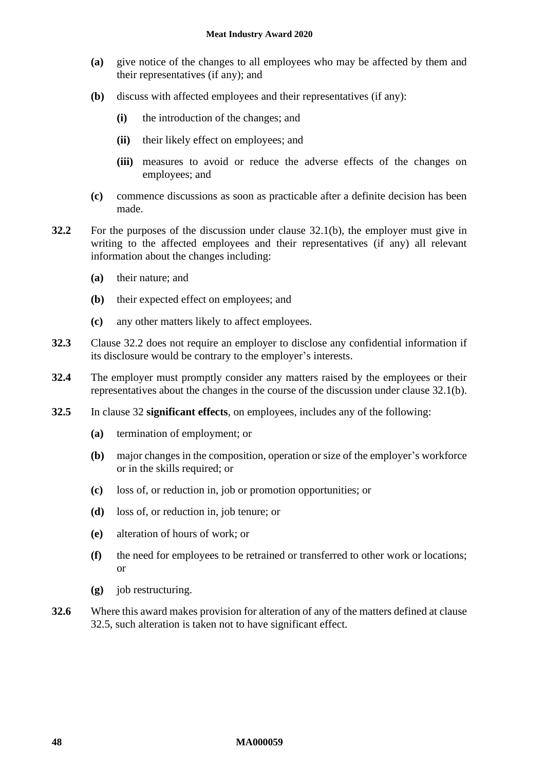- **(a)** give notice of the changes to all employees who may be affected by them and their representatives (if any); and
- <span id="page-47-0"></span>**(b)** discuss with affected employees and their representatives (if any):
	- **(i)** the introduction of the changes; and
	- **(ii)** their likely effect on employees; and
	- **(iii)** measures to avoid or reduce the adverse effects of the changes on employees; and
- **(c)** commence discussions as soon as practicable after a definite decision has been made.
- <span id="page-47-1"></span>**32.2** For the purposes of the discussion under clause [32.1\(b\),](#page-47-0) the employer must give in writing to the affected employees and their representatives (if any) all relevant information about the changes including:
	- **(a)** their nature; and
	- **(b)** their expected effect on employees; and
	- **(c)** any other matters likely to affect employees.
- **32.3** Clause [32.2](#page-47-1) does not require an employer to disclose any confidential information if its disclosure would be contrary to the employer's interests.
- **32.4** The employer must promptly consider any matters raised by the employees or their representatives about the changes in the course of the discussion under clause [32.1\(b\).](#page-47-0)
- <span id="page-47-2"></span>**32.5** In clause [32](#page-46-2) **significant effects**, on employees, includes any of the following:
	- **(a)** termination of employment; or
	- **(b)** major changes in the composition, operation or size of the employer's workforce or in the skills required; or
	- **(c)** loss of, or reduction in, job or promotion opportunities; or
	- **(d)** loss of, or reduction in, job tenure; or
	- **(e)** alteration of hours of work; or
	- **(f)** the need for employees to be retrained or transferred to other work or locations; or
	- **(g)** job restructuring.
- **32.6** Where this award makes provision for alteration of any of the matters defined at clause [32.5,](#page-47-2) such alteration is taken not to have significant effect.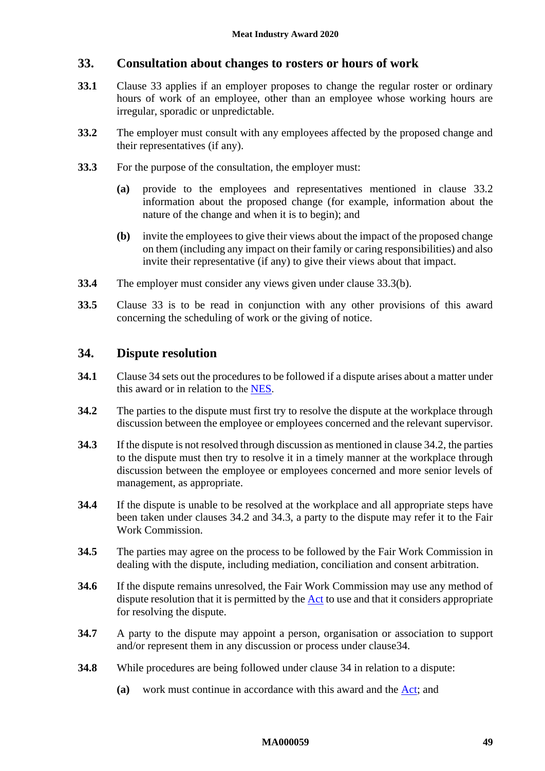# <span id="page-48-0"></span>**33. Consultation about changes to rosters or hours of work**

- **33.1** Clause [33](#page-48-0) applies if an employer proposes to change the regular roster or ordinary hours of work of an employee, other than an employee whose working hours are irregular, sporadic or unpredictable.
- <span id="page-48-1"></span>**33.2** The employer must consult with any employees affected by the proposed change and their representatives (if any).
- **33.3** For the purpose of the consultation, the employer must:
	- **(a)** provide to the employees and representatives mentioned in clause [33.2](#page-48-1) information about the proposed change (for example, information about the nature of the change and when it is to begin); and
	- **(b)** invite the employees to give their views about the impact of the proposed change on them (including any impact on their family or caring responsibilities) and also invite their representative (if any) to give their views about that impact.
- <span id="page-48-2"></span>**33.4** The employer must consider any views given under clause [33.3\(b\).](#page-48-2)
- **33.5** Clause [33](#page-48-0) is to be read in conjunction with any other provisions of this award concerning the scheduling of work or the giving of notice.

# <span id="page-48-3"></span>**34. Dispute resolution**

- **34.1** Claus[e 34](#page-48-3) sets out the procedures to be followed if a dispute arises about a matter under this award or in relation to the [NES](https://www.fwc.gov.au/documents/awardmod/download/nes.pdf).
- <span id="page-48-4"></span>**34.2** The parties to the dispute must first try to resolve the dispute at the workplace through discussion between the employee or employees concerned and the relevant supervisor.
- <span id="page-48-5"></span>**34.3** If the dispute is not resolved through discussion as mentioned in claus[e 34.2,](#page-48-4) the parties to the dispute must then try to resolve it in a timely manner at the workplace through discussion between the employee or employees concerned and more senior levels of management, as appropriate.
- **34.4** If the dispute is unable to be resolved at the workplace and all appropriate steps have been taken under clauses [34.2](#page-48-4) and [34.3,](#page-48-5) a party to the dispute may refer it to the Fair Work Commission.
- **34.5** The parties may agree on the process to be followed by the Fair Work Commission in dealing with the dispute, including mediation, conciliation and consent arbitration.
- **34.6** If the dispute remains unresolved, the Fair Work Commission may use any method of dispute resolution that it is permitted by the [Act](http://www.legislation.gov.au/Series/C2009A00028) to use and that it considers appropriate for resolving the dispute.
- **34.7** A party to the dispute may appoint a person, organisation or association to support and/or represent them in any discussion or process under claus[e34.](#page-48-3)
- <span id="page-48-6"></span>**34.8** While procedures are being followed under clause [34](#page-48-3) in relation to a dispute:
	- **(a)** work must continue in accordance with this award and the [Act;](http://www.legislation.gov.au/Series/C2009A00028) and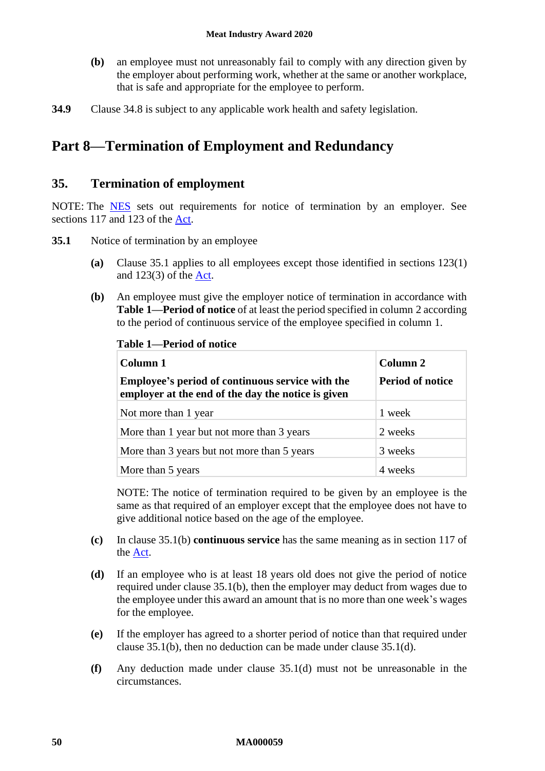- **(b)** an employee must not unreasonably fail to comply with any direction given by the employer about performing work, whether at the same or another workplace, that is safe and appropriate for the employee to perform.
- **34.9** Clause [34.8](#page-48-6) is subject to any applicable work health and safety legislation.

# **Part 8—Termination of Employment and Redundancy**

# **35. Termination of employment**

NOTE: The **[NES](https://www.fwc.gov.au/documents/awardmod/download/nes.pdf)** sets out requirements for notice of termination by an employer. See sections 117 and 123 of the [Act.](http://www.legislation.gov.au/Series/C2009A00028)

- <span id="page-49-2"></span><span id="page-49-0"></span>**35.1** Notice of termination by an employee
	- **(a)** Clause [35.1](#page-49-0) applies to all employees except those identified in sections 123(1) and 123(3) of the [Act.](http://www.legislation.gov.au/Series/C2009A00028)
	- **(b)** An employee must give the employer notice of termination in accordance with **Table [1—Period of notice](#page-49-1)** of at least the period specified in column 2 according to the period of continuous service of the employee specified in column 1.

| Column 1                                                                                               | Column 2                |
|--------------------------------------------------------------------------------------------------------|-------------------------|
| Employee's period of continuous service with the<br>employer at the end of the day the notice is given | <b>Period of notice</b> |
| Not more than 1 year                                                                                   | 1 week                  |
| More than 1 year but not more than 3 years                                                             | 2 weeks                 |
| More than 3 years but not more than 5 years                                                            | 3 weeks                 |
| More than 5 years                                                                                      | 4 weeks                 |

<span id="page-49-1"></span>**Table 1—Period of notice**

NOTE: The notice of termination required to be given by an employee is the same as that required of an employer except that the employee does not have to give additional notice based on the age of the employee.

- **(c)** In clause [35.1\(b\)](#page-49-2) **continuous service** has the same meaning as in section 117 of the [Act.](http://www.legislation.gov.au/Series/C2009A00028)
- <span id="page-49-3"></span>**(d)** If an employee who is at least 18 years old does not give the period of notice required under clause [35.1\(b\),](#page-49-2) then the employer may deduct from wages due to the employee under this award an amount that is no more than one week's wages for the employee.
- **(e)** If the employer has agreed to a shorter period of notice than that required under clause [35.1\(b\),](#page-49-2) then no deduction can be made under clause [35.1\(d\).](#page-49-3)
- **(f)** Any deduction made under clause [35.1\(d\)](#page-49-3) must not be unreasonable in the circumstances.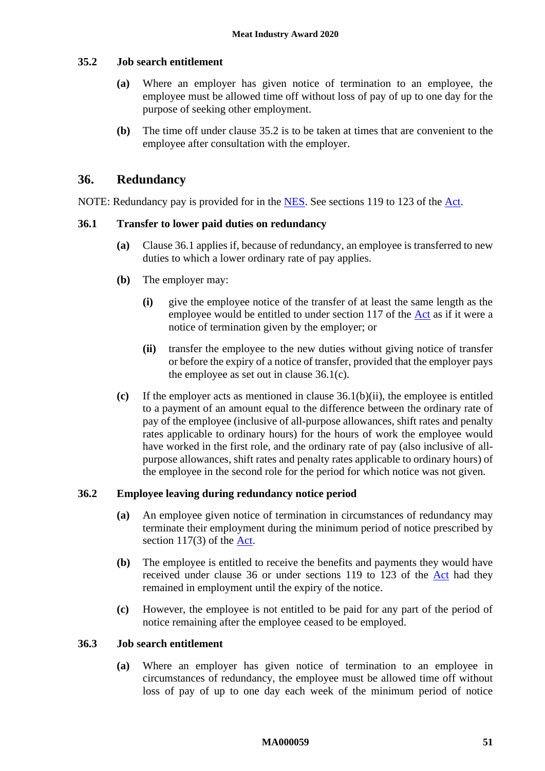#### <span id="page-50-0"></span>**35.2 Job search entitlement**

- **(a)** Where an employer has given notice of termination to an employee, the employee must be allowed time off without loss of pay of up to one day for the purpose of seeking other employment.
- **(b)** The time off under clause [35.2](#page-50-0) is to be taken at times that are convenient to the employee after consultation with the employer.

### <span id="page-50-4"></span>**36. Redundancy**

NOTE: Redundancy pay is provided for in the [NES.](https://www.fwc.gov.au/documents/awardmod/download/nes.pdf) See sections 119 to 123 of the [Act.](http://www.legislation.gov.au/Series/C2009A00028)

#### <span id="page-50-1"></span>**36.1 Transfer to lower paid duties on redundancy**

- **(a)** Clause [36.1](#page-50-1) applies if, because of redundancy, an employee is transferred to new duties to which a lower ordinary rate of pay applies.
- **(b)** The employer may:
	- **(i)** give the employee notice of the transfer of at least the same length as the employee would be entitled to under section 117 of the [Act](http://www.legislation.gov.au/Series/C2009A00028) as if it were a notice of termination given by the employer; or
	- **(ii)** transfer the employee to the new duties without giving notice of transfer or before the expiry of a notice of transfer, provided that the employer pays the employee as set out in clause [36.1\(c\).](#page-50-2)
- <span id="page-50-3"></span><span id="page-50-2"></span>**(c)** If the employer acts as mentioned in clause [36.1\(b\)\(ii\),](#page-50-3) the employee is entitled to a payment of an amount equal to the difference between the ordinary rate of pay of the employee (inclusive of all-purpose allowances, shift rates and penalty rates applicable to ordinary hours) for the hours of work the employee would have worked in the first role, and the ordinary rate of pay (also inclusive of allpurpose allowances, shift rates and penalty rates applicable to ordinary hours) of the employee in the second role for the period for which notice was not given.

#### **36.2 Employee leaving during redundancy notice period**

- **(a)** An employee given notice of termination in circumstances of redundancy may terminate their employment during the minimum period of notice prescribed by section 117(3) of the [Act.](http://www.legislation.gov.au/Series/C2009A00028)
- **(b)** The employee is entitled to receive the benefits and payments they would have received under clause [36](#page-50-4) or under sections 119 to 123 of the [Act](http://www.legislation.gov.au/Series/C2009A00028) had they remained in employment until the expiry of the notice.
- **(c)** However, the employee is not entitled to be paid for any part of the period of notice remaining after the employee ceased to be employed.

#### <span id="page-50-5"></span>**36.3 Job search entitlement**

**(a)** Where an employer has given notice of termination to an employee in circumstances of redundancy, the employee must be allowed time off without loss of pay of up to one day each week of the minimum period of notice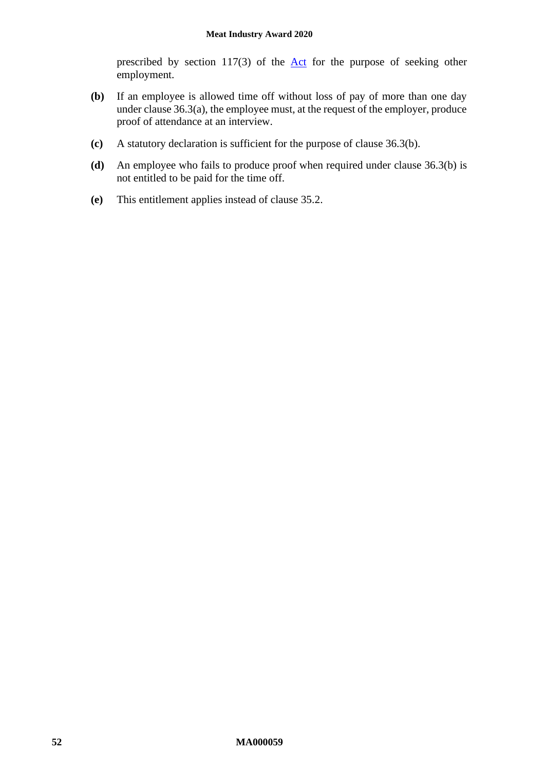prescribed by section  $117(3)$  of the  $\Delta ct$  for the purpose of seeking other employment.

- <span id="page-51-0"></span>**(b)** If an employee is allowed time off without loss of pay of more than one day under clause [36.3\(a\),](#page-50-5) the employee must, at the request of the employer, produce proof of attendance at an interview.
- **(c)** A statutory declaration is sufficient for the purpose of clause [36.3\(b\).](#page-51-0)
- **(d)** An employee who fails to produce proof when required under clause [36.3\(b\)](#page-51-0) is not entitled to be paid for the time off.
- **(e)** This entitlement applies instead of clause [35.2.](#page-50-0)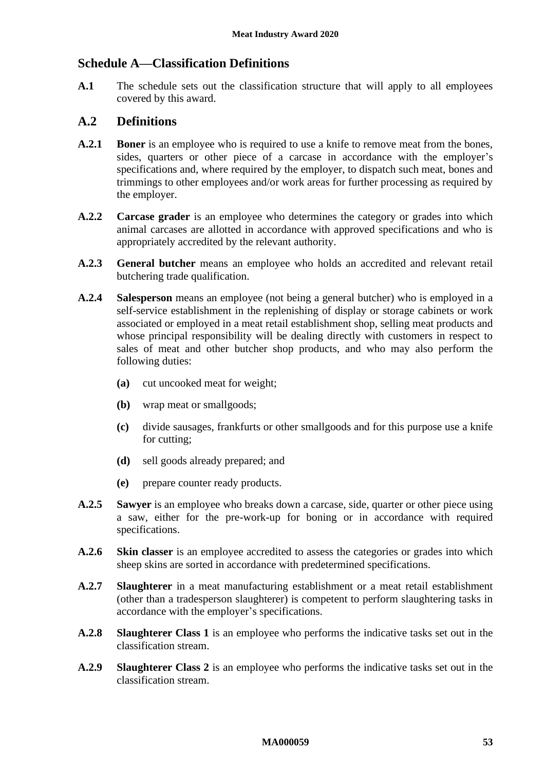# **Schedule A—Classification Definitions**

**A.1** The schedule sets out the classification structure that will apply to all employees covered by this award.

# **A.2 Definitions**

- **A.2.1 Boner** is an employee who is required to use a knife to remove meat from the bones, sides, quarters or other piece of a carcase in accordance with the employer's specifications and, where required by the employer, to dispatch such meat, bones and trimmings to other employees and/or work areas for further processing as required by the employer.
- **A.2.2 Carcase grader** is an employee who determines the category or grades into which animal carcases are allotted in accordance with approved specifications and who is appropriately accredited by the relevant authority.
- **A.2.3 General butcher** means an employee who holds an accredited and relevant retail butchering trade qualification.
- **A.2.4 Salesperson** means an employee (not being a general butcher) who is employed in a self-service establishment in the replenishing of display or storage cabinets or work associated or employed in a meat retail establishment shop, selling meat products and whose principal responsibility will be dealing directly with customers in respect to sales of meat and other butcher shop products, and who may also perform the following duties:
	- **(a)** cut uncooked meat for weight;
	- **(b)** wrap meat or smallgoods;
	- **(c)** divide sausages, frankfurts or other smallgoods and for this purpose use a knife for cutting;
	- **(d)** sell goods already prepared; and
	- **(e)** prepare counter ready products.
- **A.2.5 Sawyer** is an employee who breaks down a carcase, side, quarter or other piece using a saw, either for the pre-work-up for boning or in accordance with required specifications.
- **A.2.6 Skin classer** is an employee accredited to assess the categories or grades into which sheep skins are sorted in accordance with predetermined specifications.
- **A.2.7 Slaughterer** in a meat manufacturing establishment or a meat retail establishment (other than a tradesperson slaughterer) is competent to perform slaughtering tasks in accordance with the employer's specifications.
- **A.2.8 Slaughterer Class 1** is an employee who performs the indicative tasks set out in the classification stream.
- **A.2.9 Slaughterer Class 2** is an employee who performs the indicative tasks set out in the classification stream.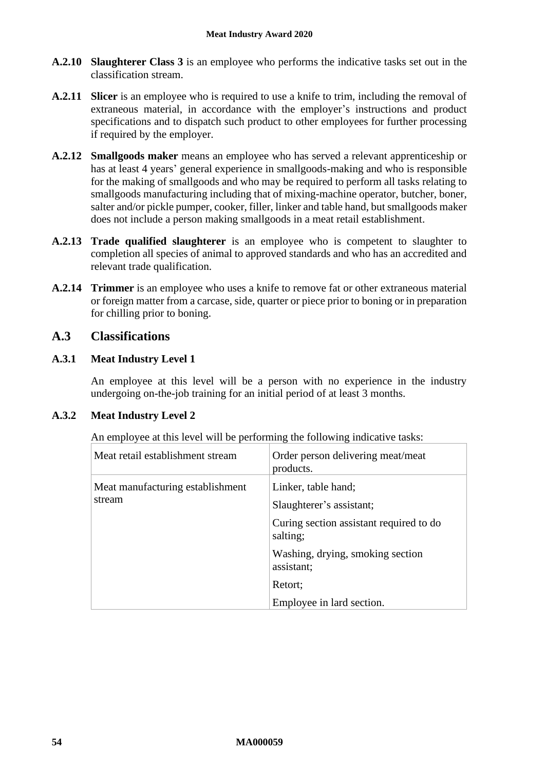- **A.2.10 Slaughterer Class 3** is an employee who performs the indicative tasks set out in the classification stream.
- **A.2.11 Slicer** is an employee who is required to use a knife to trim, including the removal of extraneous material, in accordance with the employer's instructions and product specifications and to dispatch such product to other employees for further processing if required by the employer.
- **A.2.12 Smallgoods maker** means an employee who has served a relevant apprenticeship or has at least 4 years' general experience in smallgoods-making and who is responsible for the making of smallgoods and who may be required to perform all tasks relating to smallgoods manufacturing including that of mixing-machine operator, butcher, boner, salter and/or pickle pumper, cooker, filler, linker and table hand, but smallgoods maker does not include a person making smallgoods in a meat retail establishment.
- **A.2.13 Trade qualified slaughterer** is an employee who is competent to slaughter to completion all species of animal to approved standards and who has an accredited and relevant trade qualification.
- **A.2.14 Trimmer** is an employee who uses a knife to remove fat or other extraneous material or foreign matter from a carcase, side, quarter or piece prior to boning or in preparation for chilling prior to boning.

# **A.3 Classifications**

# **A.3.1 Meat Industry Level 1**

An employee at this level will be a person with no experience in the industry undergoing on-the-job training for an initial period of at least 3 months.

### **A.3.2 Meat Industry Level 2**

| Meat retail establishment stream           | Order person delivering meat/meat<br>products.      |
|--------------------------------------------|-----------------------------------------------------|
| Meat manufacturing establishment<br>stream | Linker, table hand;<br>Slaughterer's assistant;     |
|                                            | Curing section assistant required to do<br>salting; |
|                                            | Washing, drying, smoking section<br>assistant;      |
|                                            | Retort;                                             |
|                                            | Employee in lard section.                           |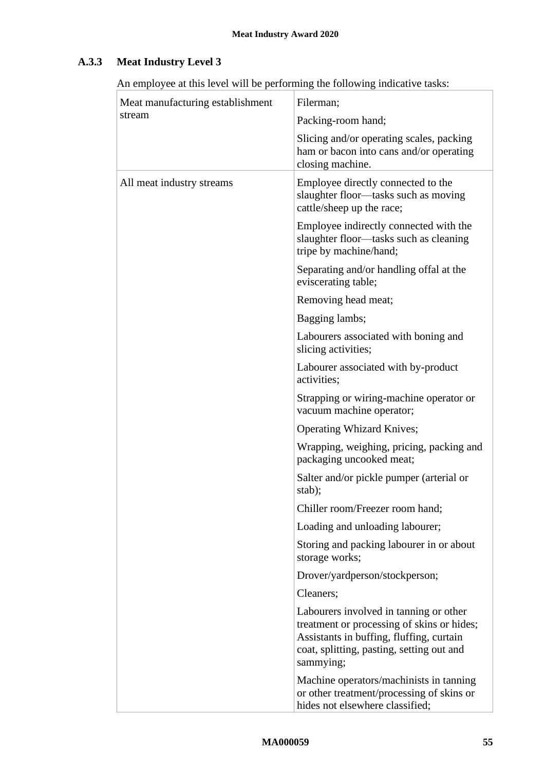# **A.3.3 Meat Industry Level 3**

| Meat manufacturing establishment | Filerman;                                                                                                                                                                                  |
|----------------------------------|--------------------------------------------------------------------------------------------------------------------------------------------------------------------------------------------|
| stream                           | Packing-room hand;                                                                                                                                                                         |
|                                  | Slicing and/or operating scales, packing<br>ham or bacon into cans and/or operating<br>closing machine.                                                                                    |
| All meat industry streams        | Employee directly connected to the<br>slaughter floor—tasks such as moving<br>cattle/sheep up the race;                                                                                    |
|                                  | Employee indirectly connected with the<br>slaughter floor—tasks such as cleaning<br>tripe by machine/hand;                                                                                 |
|                                  | Separating and/or handling offal at the<br>eviscerating table;                                                                                                                             |
|                                  | Removing head meat;                                                                                                                                                                        |
|                                  | Bagging lambs;                                                                                                                                                                             |
|                                  | Labourers associated with boning and<br>slicing activities;                                                                                                                                |
|                                  | Labourer associated with by-product<br>activities;                                                                                                                                         |
|                                  | Strapping or wiring-machine operator or<br>vacuum machine operator;                                                                                                                        |
|                                  | <b>Operating Whizard Knives;</b>                                                                                                                                                           |
|                                  | Wrapping, weighing, pricing, packing and<br>packaging uncooked meat;                                                                                                                       |
|                                  | Salter and/or pickle pumper (arterial or<br>stab);                                                                                                                                         |
|                                  | Chiller room/Freezer room hand;                                                                                                                                                            |
|                                  | Loading and unloading labourer;                                                                                                                                                            |
|                                  | Storing and packing labourer in or about<br>storage works;                                                                                                                                 |
|                                  | Drover/yardperson/stockperson;                                                                                                                                                             |
|                                  | Cleaners;                                                                                                                                                                                  |
|                                  | Labourers involved in tanning or other<br>treatment or processing of skins or hides;<br>Assistants in buffing, fluffing, curtain<br>coat, splitting, pasting, setting out and<br>sammying; |
|                                  | Machine operators/machinists in tanning<br>or other treatment/processing of skins or<br>hides not elsewhere classified;                                                                    |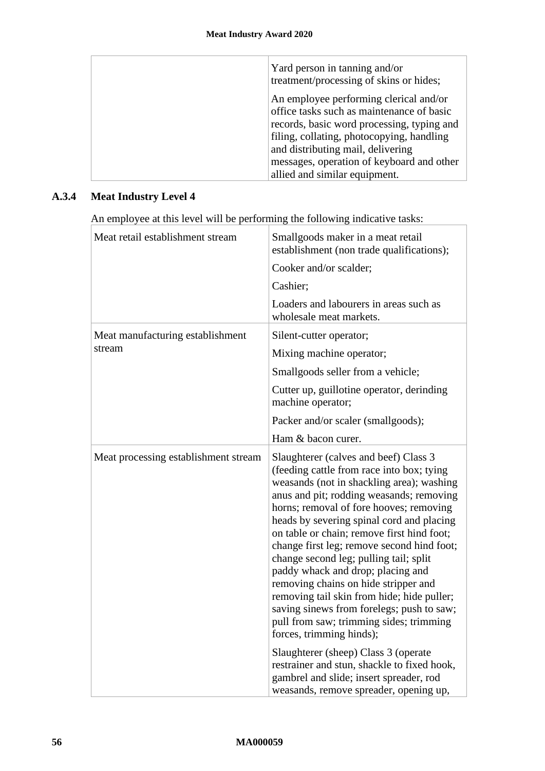| Yard person in tanning and/or<br>treatment/processing of skins or hides;                                                                                                                                            |
|---------------------------------------------------------------------------------------------------------------------------------------------------------------------------------------------------------------------|
| An employee performing clerical and/or<br>office tasks such as maintenance of basic<br>records, basic word processing, typing and<br>filing, collating, photocopying, handling<br>and distributing mail, delivering |
| messages, operation of keyboard and other<br>allied and similar equipment.                                                                                                                                          |

# **A.3.4 Meat Industry Level 4**

| Meat retail establishment stream     | Smallgoods maker in a meat retail<br>establishment (non trade qualifications);                                                                                                                                                                                                                                                                                                                                                                                                                                                                                                                                                                           |
|--------------------------------------|----------------------------------------------------------------------------------------------------------------------------------------------------------------------------------------------------------------------------------------------------------------------------------------------------------------------------------------------------------------------------------------------------------------------------------------------------------------------------------------------------------------------------------------------------------------------------------------------------------------------------------------------------------|
|                                      | Cooker and/or scalder;                                                                                                                                                                                                                                                                                                                                                                                                                                                                                                                                                                                                                                   |
|                                      | Cashier;                                                                                                                                                                                                                                                                                                                                                                                                                                                                                                                                                                                                                                                 |
|                                      | Loaders and labourers in areas such as<br>wholesale meat markets.                                                                                                                                                                                                                                                                                                                                                                                                                                                                                                                                                                                        |
| Meat manufacturing establishment     | Silent-cutter operator;                                                                                                                                                                                                                                                                                                                                                                                                                                                                                                                                                                                                                                  |
| stream                               | Mixing machine operator;                                                                                                                                                                                                                                                                                                                                                                                                                                                                                                                                                                                                                                 |
|                                      | Smallgoods seller from a vehicle;                                                                                                                                                                                                                                                                                                                                                                                                                                                                                                                                                                                                                        |
|                                      | Cutter up, guillotine operator, derinding<br>machine operator;                                                                                                                                                                                                                                                                                                                                                                                                                                                                                                                                                                                           |
|                                      | Packer and/or scaler (smallgoods);                                                                                                                                                                                                                                                                                                                                                                                                                                                                                                                                                                                                                       |
|                                      | Ham & bacon curer.                                                                                                                                                                                                                                                                                                                                                                                                                                                                                                                                                                                                                                       |
| Meat processing establishment stream | Slaughterer (calves and beef) Class 3<br>(feeding cattle from race into box; tying<br>weasands (not in shackling area); washing<br>anus and pit; rodding weasands; removing<br>horns; removal of fore hooves; removing<br>heads by severing spinal cord and placing<br>on table or chain; remove first hind foot;<br>change first leg; remove second hind foot;<br>change second leg; pulling tail; split<br>paddy whack and drop; placing and<br>removing chains on hide stripper and<br>removing tail skin from hide; hide puller;<br>saving sinews from forelegs; push to saw;<br>pull from saw; trimming sides; trimming<br>forces, trimming hinds); |
|                                      | Slaughterer (sheep) Class 3 (operate<br>restrainer and stun, shackle to fixed hook,<br>gambrel and slide; insert spreader, rod<br>weasands, remove spreader, opening up,                                                                                                                                                                                                                                                                                                                                                                                                                                                                                 |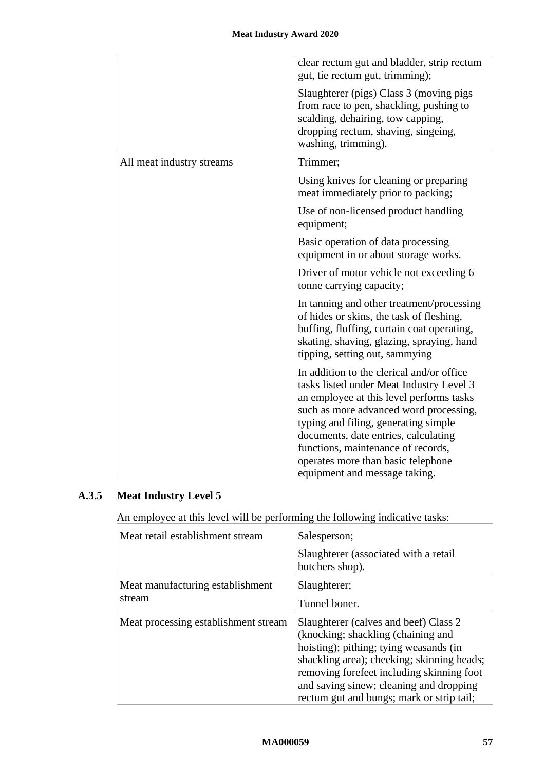|                           | clear rectum gut and bladder, strip rectum<br>gut, tie rectum gut, trimming);                                                                                                                                                                               |
|---------------------------|-------------------------------------------------------------------------------------------------------------------------------------------------------------------------------------------------------------------------------------------------------------|
|                           | Slaughterer (pigs) Class 3 (moving pigs<br>from race to pen, shackling, pushing to<br>scalding, dehairing, tow capping,<br>dropping rectum, shaving, singeing,<br>washing, trimming).                                                                       |
| All meat industry streams | Trimmer;                                                                                                                                                                                                                                                    |
|                           | Using knives for cleaning or preparing<br>meat immediately prior to packing;                                                                                                                                                                                |
|                           | Use of non-licensed product handling<br>equipment;                                                                                                                                                                                                          |
|                           | Basic operation of data processing<br>equipment in or about storage works.                                                                                                                                                                                  |
|                           | Driver of motor vehicle not exceeding 6<br>tonne carrying capacity;                                                                                                                                                                                         |
|                           | In tanning and other treatment/processing<br>of hides or skins, the task of fleshing,<br>buffing, fluffing, curtain coat operating,<br>skating, shaving, glazing, spraying, hand<br>tipping, setting out, sammying                                          |
|                           | In addition to the clerical and/or office<br>tasks listed under Meat Industry Level 3<br>an employee at this level performs tasks<br>such as more advanced word processing,<br>typing and filing, generating simple<br>documents, date entries, calculating |
|                           | functions, maintenance of records,<br>operates more than basic telephone                                                                                                                                                                                    |
|                           | equipment and message taking.                                                                                                                                                                                                                               |

# **A.3.5 Meat Industry Level 5**

| Meat retail establishment stream           | Salesperson;                                                                                                                                                                                                                                                                                              |
|--------------------------------------------|-----------------------------------------------------------------------------------------------------------------------------------------------------------------------------------------------------------------------------------------------------------------------------------------------------------|
|                                            | Slaughterer (associated with a retail<br>butchers shop).                                                                                                                                                                                                                                                  |
| Meat manufacturing establishment<br>stream | Slaughterer;<br>Tunnel boner.                                                                                                                                                                                                                                                                             |
| Meat processing establishment stream       | Slaughterer (calves and beef) Class 2<br>(knocking; shackling (chaining and)<br>hoisting); pithing; tying weasands (in<br>shackling area); cheeking; skinning heads;<br>removing forefeet including skinning foot<br>and saving sinew; cleaning and dropping<br>rectum gut and bungs; mark or strip tail; |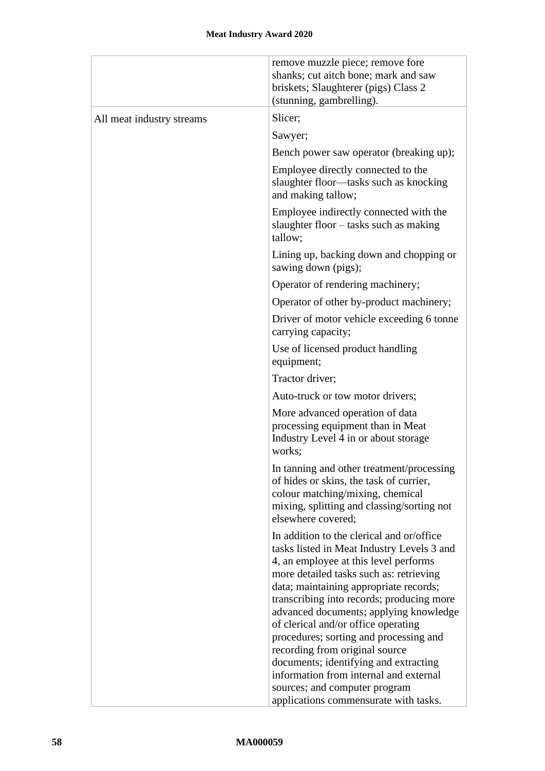|                           | remove muzzle piece; remove fore<br>shanks; cut aitch bone; mark and saw<br>briskets; Slaughterer (pigs) Class 2<br>(stunning, gambrelling).                                                                                                                                                                                                                                                                                                                                                                       |
|---------------------------|--------------------------------------------------------------------------------------------------------------------------------------------------------------------------------------------------------------------------------------------------------------------------------------------------------------------------------------------------------------------------------------------------------------------------------------------------------------------------------------------------------------------|
| All meat industry streams | Slicer;                                                                                                                                                                                                                                                                                                                                                                                                                                                                                                            |
|                           | Sawyer;                                                                                                                                                                                                                                                                                                                                                                                                                                                                                                            |
|                           | Bench power saw operator (breaking up);                                                                                                                                                                                                                                                                                                                                                                                                                                                                            |
|                           | Employee directly connected to the<br>slaughter floor-tasks such as knocking<br>and making tallow;                                                                                                                                                                                                                                                                                                                                                                                                                 |
|                           | Employee indirectly connected with the<br>slaughter floor – tasks such as making<br>tallow;                                                                                                                                                                                                                                                                                                                                                                                                                        |
|                           | Lining up, backing down and chopping or<br>sawing down (pigs);                                                                                                                                                                                                                                                                                                                                                                                                                                                     |
|                           | Operator of rendering machinery;                                                                                                                                                                                                                                                                                                                                                                                                                                                                                   |
|                           | Operator of other by-product machinery;                                                                                                                                                                                                                                                                                                                                                                                                                                                                            |
|                           | Driver of motor vehicle exceeding 6 tonne<br>carrying capacity;                                                                                                                                                                                                                                                                                                                                                                                                                                                    |
|                           | Use of licensed product handling<br>equipment;                                                                                                                                                                                                                                                                                                                                                                                                                                                                     |
|                           | Tractor driver;                                                                                                                                                                                                                                                                                                                                                                                                                                                                                                    |
|                           | Auto-truck or tow motor drivers;                                                                                                                                                                                                                                                                                                                                                                                                                                                                                   |
|                           | More advanced operation of data<br>processing equipment than in Meat<br>Industry Level 4 in or about storage<br>works;                                                                                                                                                                                                                                                                                                                                                                                             |
|                           | In tanning and other treatment/processing<br>of hides or skins, the task of currier,<br>colour matching/mixing, chemical<br>mixing, splitting and classing/sorting not<br>elsewhere covered;                                                                                                                                                                                                                                                                                                                       |
|                           | In addition to the clerical and or/office<br>tasks listed in Meat Industry Levels 3 and<br>4, an employee at this level performs<br>more detailed tasks such as: retrieving<br>data; maintaining appropriate records;<br>transcribing into records; producing more<br>advanced documents; applying knowledge<br>of clerical and/or office operating<br>procedures; sorting and processing and<br>recording from original source<br>documents; identifying and extracting<br>information from internal and external |
|                           | sources; and computer program<br>applications commensurate with tasks.                                                                                                                                                                                                                                                                                                                                                                                                                                             |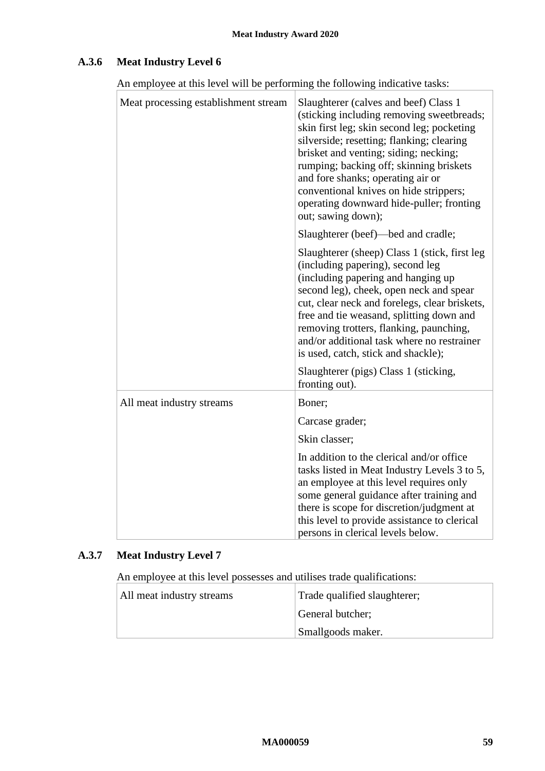# **A.3.6 Meat Industry Level 6**

An employee at this level will be performing the following indicative tasks:

| Meat processing establishment stream | Slaughterer (calves and beef) Class 1<br>(sticking including removing sweetbreads;<br>skin first leg; skin second leg; pocketing<br>silverside; resetting; flanking; clearing<br>brisket and venting; siding; necking;<br>rumping; backing off; skinning briskets<br>and fore shanks; operating air or<br>conventional knives on hide strippers;<br>operating downward hide-puller; fronting<br>out; sawing down); |
|--------------------------------------|--------------------------------------------------------------------------------------------------------------------------------------------------------------------------------------------------------------------------------------------------------------------------------------------------------------------------------------------------------------------------------------------------------------------|
|                                      | Slaughterer (beef)—bed and cradle;                                                                                                                                                                                                                                                                                                                                                                                 |
|                                      | Slaughterer (sheep) Class 1 (stick, first leg<br>(including papering), second leg<br>(including papering and hanging up<br>second leg), cheek, open neck and spear<br>cut, clear neck and forelegs, clear briskets,<br>free and tie weasand, splitting down and<br>removing trotters, flanking, paunching,<br>and/or additional task where no restrainer<br>is used, catch, stick and shackle);                    |
|                                      | Slaughterer (pigs) Class 1 (sticking,<br>fronting out).                                                                                                                                                                                                                                                                                                                                                            |
| All meat industry streams            | Boner;                                                                                                                                                                                                                                                                                                                                                                                                             |
|                                      | Carcase grader;                                                                                                                                                                                                                                                                                                                                                                                                    |
|                                      | Skin classer;                                                                                                                                                                                                                                                                                                                                                                                                      |
|                                      | In addition to the clerical and/or office<br>tasks listed in Meat Industry Levels 3 to 5,<br>an employee at this level requires only<br>some general guidance after training and<br>there is scope for discretion/judgment at<br>this level to provide assistance to clerical<br>persons in clerical levels below.                                                                                                 |

# **A.3.7 Meat Industry Level 7**

An employee at this level possesses and utilises trade qualifications:

| All meat industry streams | Trade qualified slaughterer; |
|---------------------------|------------------------------|
|                           | General butcher;             |
|                           | Smallgoods maker.            |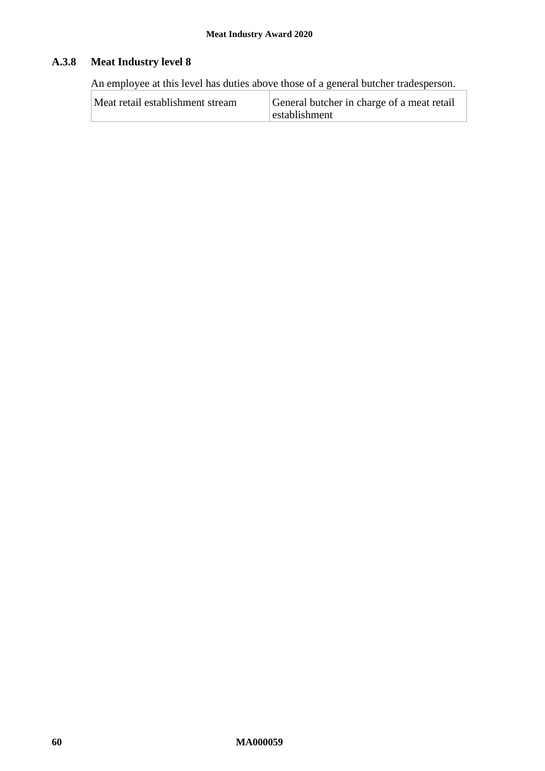# **A.3.8 Meat Industry level 8**

An employee at this level has duties above those of a general butcher tradesperson.

| Meat retail establishment stream | General butcher in charge of a meat retail |  |
|----------------------------------|--------------------------------------------|--|
|                                  | establishment                              |  |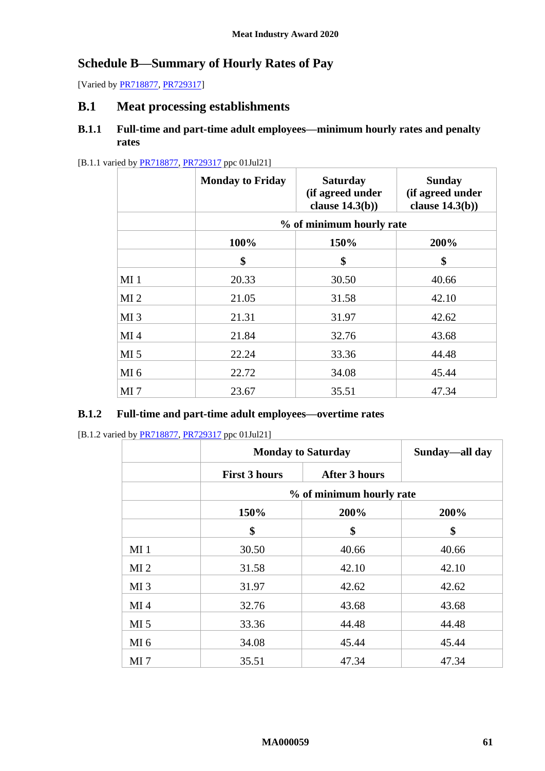# <span id="page-60-0"></span>**Schedule B—Summary of Hourly Rates of Pay**

[Varied by **PR718877, [PR729317\]](https://www.fwc.gov.au/documents/awardsandorders/html/pr729317.htm)** 

# **B.1 Meat processing establishments**

## **B.1.1 Full-time and part-time adult employees—minimum hourly rates and penalty rates**

#### [B.1.1 varied b[y PR718877,](https://www.fwc.gov.au/documents/awardsandorders/html/PR718877.htm) [PR729317](https://www.fwc.gov.au/documents/awardsandorders/html/pr729317.htm) ppc 01Jul21]

|                 | <b>Monday to Friday</b>  | <b>Saturday</b><br>(if agreed under<br>clause $14.3(b)$ ) | <b>Sunday</b><br>(if agreed under<br>clause $14.3(b)$ ) |
|-----------------|--------------------------|-----------------------------------------------------------|---------------------------------------------------------|
|                 | % of minimum hourly rate |                                                           |                                                         |
|                 | 150%<br>100%<br>200%     |                                                           |                                                         |
|                 | \$                       | \$                                                        | \$                                                      |
| MI <sub>1</sub> | 20.33                    | 30.50                                                     | 40.66                                                   |
| MI <sub>2</sub> | 21.05                    | 31.58                                                     | 42.10                                                   |
| MI <sub>3</sub> | 21.31                    | 31.97                                                     | 42.62                                                   |
| MI <sub>4</sub> | 21.84                    | 32.76                                                     | 43.68                                                   |
| MI <sub>5</sub> | 22.24                    | 33.36                                                     | 44.48                                                   |
| MI <sub>6</sub> | 22.72                    | 34.08                                                     | 45.44                                                   |
| MI <sub>7</sub> | 23.67                    | 35.51                                                     | 47.34                                                   |

#### **B.1.2 Full-time and part-time adult employees—overtime rates**

[B.1.2 varied b[y PR718877,](https://www.fwc.gov.au/documents/awardsandorders/html/PR718877.htm) [PR729317](https://www.fwc.gov.au/documents/awardsandorders/html/pr729317.htm) ppc 01Jul21]

|                 | <b>Monday to Saturday</b> |                          | Sunday—all day |
|-----------------|---------------------------|--------------------------|----------------|
|                 | <b>First 3 hours</b>      | <b>After 3 hours</b>     |                |
|                 |                           | % of minimum hourly rate |                |
|                 | 150%                      | 200%                     | 200%           |
|                 | \$                        | \$                       | \$             |
| MI <sub>1</sub> | 30.50                     | 40.66                    | 40.66          |
| MI <sub>2</sub> | 31.58                     | 42.10                    | 42.10          |
| MI <sub>3</sub> | 31.97                     | 42.62                    | 42.62          |
| MI <sub>4</sub> | 32.76                     | 43.68                    | 43.68          |
| MI <sub>5</sub> | 33.36                     | 44.48                    | 44.48          |
| MI <sub>6</sub> | 34.08                     | 45.44                    | 45.44          |
| MI <sub>7</sub> | 35.51                     | 47.34                    | 47.34          |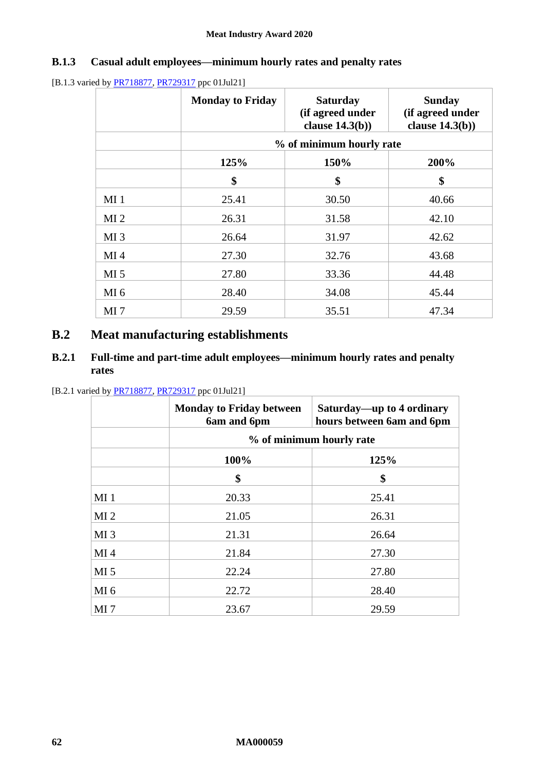# **B.1.3 Casual adult employees—minimum hourly rates and penalty rates**

[B.1.3 varied by **PR718877**, **PR729317** ppc 01Jul21]

|                 | <b>Monday to Friday</b> | <b>Saturday</b><br>(if agreed under<br>clause $14.3(b)$ ) | <b>Sunday</b><br>(if agreed under<br>clause $14.3(b)$ ) |
|-----------------|-------------------------|-----------------------------------------------------------|---------------------------------------------------------|
|                 |                         | % of minimum hourly rate                                  |                                                         |
|                 | 125%                    | 150%                                                      | 200%                                                    |
|                 | \$                      | \$                                                        | \$                                                      |
| MI <sub>1</sub> | 25.41                   | 30.50                                                     | 40.66                                                   |
| MI <sub>2</sub> | 26.31                   | 31.58                                                     | 42.10                                                   |
| MI <sub>3</sub> | 26.64                   | 31.97                                                     | 42.62                                                   |
| MI <sub>4</sub> | 27.30                   | 32.76                                                     | 43.68                                                   |
| MI <sub>5</sub> | 27.80                   | 33.36                                                     | 44.48                                                   |
| MI <sub>6</sub> | 28.40                   | 34.08                                                     | 45.44                                                   |
| MI <sub>7</sub> | 29.59                   | 35.51                                                     | 47.34                                                   |

# **B.2 Meat manufacturing establishments**

# **B.2.1 Full-time and part-time adult employees—minimum hourly rates and penalty rates**

[B.2.1 varied by [PR718877,](https://www.fwc.gov.au/documents/awardsandorders/html/PR718877.htm) [PR729317](https://www.fwc.gov.au/documents/awardsandorders/html/pr729317.htm) ppc 01Jul21]

|                 | <b>Monday to Friday between</b><br>6am and 6pm | Saturday—up to 4 ordinary<br>hours between 6am and 6pm |
|-----------------|------------------------------------------------|--------------------------------------------------------|
|                 |                                                | % of minimum hourly rate                               |
|                 | 100%                                           | 125%                                                   |
|                 | \$                                             | \$                                                     |
| MI <sub>1</sub> | 20.33                                          | 25.41                                                  |
| MI <sub>2</sub> | 21.05                                          | 26.31                                                  |
| MI <sub>3</sub> | 21.31                                          | 26.64                                                  |
| MI <sub>4</sub> | 21.84                                          | 27.30                                                  |
| MI <sub>5</sub> | 22.24                                          | 27.80                                                  |
| MI <sub>6</sub> | 22.72                                          | 28.40                                                  |
| MI <sub>7</sub> | 23.67                                          | 29.59                                                  |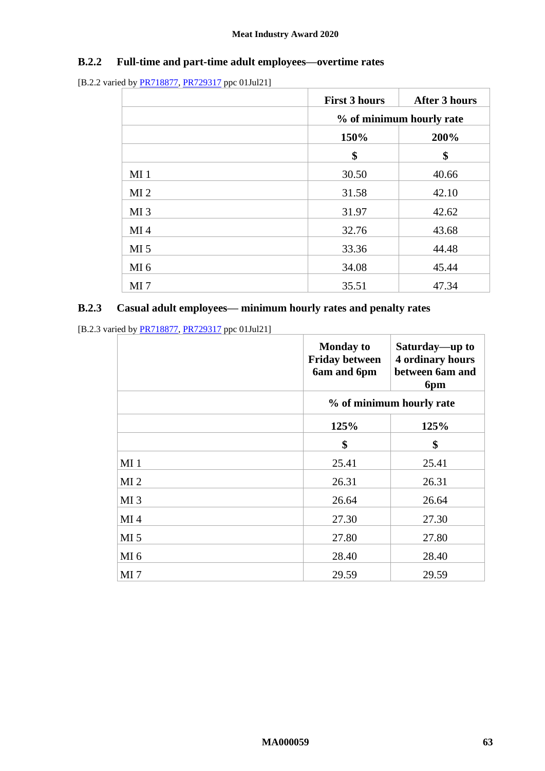# **B.2.2 Full-time and part-time adult employees—overtime rates**

<sup>[</sup>B.2.2 varied b[y PR718877,](https://www.fwc.gov.au/documents/awardsandorders/html/PR718877.htm) [PR729317](https://www.fwc.gov.au/documents/awardsandorders/html/pr729317.htm) ppc 01Jul21]

|                 | <b>First 3 hours</b>     | <b>After 3 hours</b> |
|-----------------|--------------------------|----------------------|
|                 | % of minimum hourly rate |                      |
|                 | 150%                     | 200%                 |
|                 | \$                       | \$                   |
| MI <sub>1</sub> | 30.50                    | 40.66                |
| MI <sub>2</sub> | 31.58                    | 42.10                |
| MI <sub>3</sub> | 31.97                    | 42.62                |
| MI <sub>4</sub> | 32.76                    | 43.68                |
| MI <sub>5</sub> | 33.36                    | 44.48                |
| MI <sub>6</sub> | 34.08                    | 45.44                |
| MI <sub>7</sub> | 35.51                    | 47.34                |

# **B.2.3 Casual adult employees— minimum hourly rates and penalty rates**

[B.2.3 varied b[y PR718877,](https://www.fwc.gov.au/documents/awardsandorders/html/PR718877.htm) [PR729317](https://www.fwc.gov.au/documents/awardsandorders/html/pr729317.htm) ppc 01Jul21]

|                 | <b>Monday to</b><br><b>Friday between</b><br>6am and 6pm | Saturday—up to<br><b>4 ordinary hours</b><br>between 6am and<br>6pm |
|-----------------|----------------------------------------------------------|---------------------------------------------------------------------|
|                 |                                                          | % of minimum hourly rate                                            |
|                 | 125%                                                     | 125%                                                                |
|                 | \$                                                       | \$                                                                  |
| MI <sub>1</sub> | 25.41                                                    | 25.41                                                               |
| MI <sub>2</sub> | 26.31                                                    | 26.31                                                               |
| MI <sub>3</sub> | 26.64                                                    | 26.64                                                               |
| MI <sub>4</sub> | 27.30                                                    | 27.30                                                               |
| MI <sub>5</sub> | 27.80                                                    | 27.80                                                               |
| MI <sub>6</sub> | 28.40                                                    | 28.40                                                               |
| MI <sub>7</sub> | 29.59                                                    | 29.59                                                               |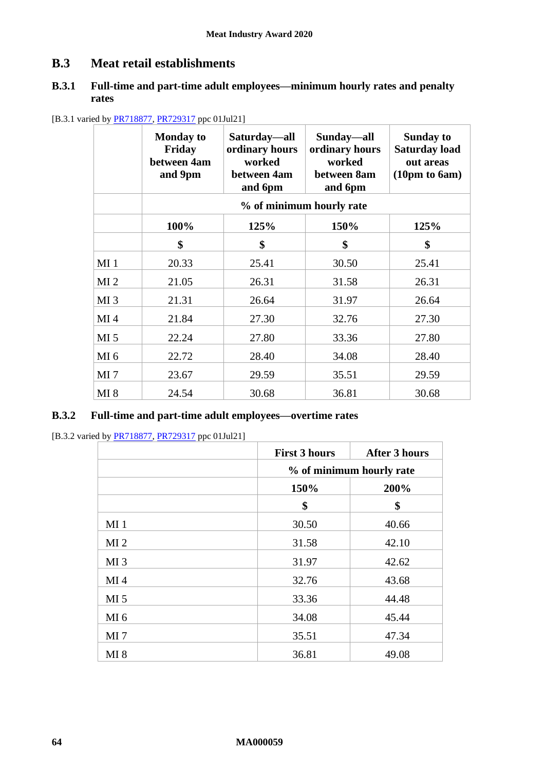# **B.3 Meat retail establishments**

## **B.3.1 Full-time and part-time adult employees—minimum hourly rates and penalty rates**

|                 | <b>Monday to</b><br>Friday<br>between 4am<br>and 9pm | Saturday—all<br>ordinary hours<br>worked<br>between 4am<br>and 6pm | Sunday—all<br>ordinary hours<br>worked<br>between 8am<br>and 6pm | <b>Sunday to</b><br><b>Saturday load</b><br>out areas<br>(10 <sub>pm</sub> to 6 <sub>am</sub> ) |
|-----------------|------------------------------------------------------|--------------------------------------------------------------------|------------------------------------------------------------------|-------------------------------------------------------------------------------------------------|
|                 |                                                      |                                                                    | % of minimum hourly rate                                         |                                                                                                 |
|                 | 100%                                                 | 125%                                                               | 150%                                                             | 125%                                                                                            |
|                 | \$                                                   | \$                                                                 | \$                                                               | \$                                                                                              |
| MI <sub>1</sub> | 20.33                                                | 25.41                                                              | 30.50                                                            | 25.41                                                                                           |
| MI <sub>2</sub> | 21.05                                                | 26.31                                                              | 31.58                                                            | 26.31                                                                                           |
| MI <sub>3</sub> | 21.31                                                | 26.64                                                              | 31.97                                                            | 26.64                                                                                           |
| MI <sub>4</sub> | 21.84                                                | 27.30                                                              | 32.76                                                            | 27.30                                                                                           |
| MI <sub>5</sub> | 22.24                                                | 27.80                                                              | 33.36                                                            | 27.80                                                                                           |
| MI <sub>6</sub> | 22.72                                                | 28.40                                                              | 34.08                                                            | 28.40                                                                                           |
| MI <sub>7</sub> | 23.67                                                | 29.59                                                              | 35.51                                                            | 29.59                                                                                           |
| MI <sub>8</sub> | 24.54                                                | 30.68                                                              | 36.81                                                            | 30.68                                                                                           |

[B.3.1 varied by **PR718877**, **PR729317** ppc 01Jul21]

#### **B.3.2 Full-time and part-time adult employees—overtime rates**

[B.3.2 varied by [PR718877,](https://www.fwc.gov.au/documents/awardsandorders/html/PR718877.htm) [PR729317](https://www.fwc.gov.au/documents/awardsandorders/html/pr729317.htm) ppc 01Jul21]

|                 | <b>First 3 hours</b>     | <b>After 3 hours</b> |
|-----------------|--------------------------|----------------------|
|                 | % of minimum hourly rate |                      |
|                 | 150%                     | 200%                 |
|                 | \$                       | \$                   |
| MI <sub>1</sub> | 30.50                    | 40.66                |
| MI <sub>2</sub> | 31.58                    | 42.10                |
| MI <sub>3</sub> | 31.97                    | 42.62                |
| MI <sub>4</sub> | 32.76                    | 43.68                |
| MI <sub>5</sub> | 33.36                    | 44.48                |
| MI <sub>6</sub> | 34.08                    | 45.44                |
| MI <sub>7</sub> | 35.51                    | 47.34                |
| MI 8            | 36.81                    | 49.08                |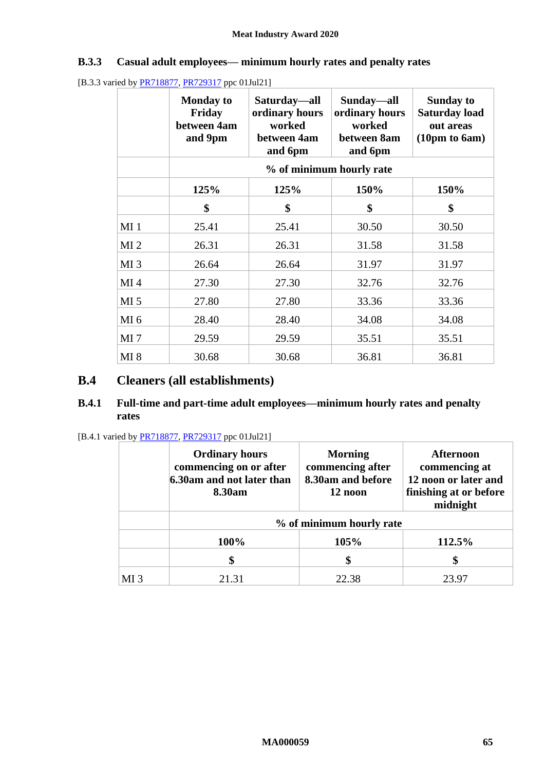# **B.3.3 Casual adult employees— minimum hourly rates and penalty rates**

[B.3.3 varied b[y PR718877,](https://www.fwc.gov.au/documents/awardsandorders/html/PR718877.htm) [PR729317](https://www.fwc.gov.au/documents/awardsandorders/html/pr729317.htm) ppc 01Jul21]

|                 | <b>Monday to</b><br>Friday<br>between 4am<br>and 9pm | Saturday—all<br>ordinary hours<br>worked<br>between 4am<br>and 6pm | Sunday—all<br>ordinary hours<br>worked<br>between 8am<br>and 6pm | <b>Sunday to</b><br><b>Saturday load</b><br>out areas<br>(10 <sub>pm</sub> to 6 <sub>am</sub> ) |
|-----------------|------------------------------------------------------|--------------------------------------------------------------------|------------------------------------------------------------------|-------------------------------------------------------------------------------------------------|
|                 |                                                      |                                                                    | % of minimum hourly rate                                         |                                                                                                 |
|                 | 125%                                                 | 125%                                                               | 150%                                                             | 150%                                                                                            |
|                 | \$                                                   | \$                                                                 | \$                                                               | \$                                                                                              |
| MI <sub>1</sub> | 25.41                                                | 25.41                                                              | 30.50                                                            | 30.50                                                                                           |
| MI <sub>2</sub> | 26.31                                                | 26.31                                                              | 31.58                                                            | 31.58                                                                                           |
| MI <sub>3</sub> | 26.64                                                | 26.64                                                              | 31.97                                                            | 31.97                                                                                           |
| MI <sub>4</sub> | 27.30                                                | 27.30                                                              | 32.76                                                            | 32.76                                                                                           |
| MI <sub>5</sub> | 27.80                                                | 27.80                                                              | 33.36                                                            | 33.36                                                                                           |
| MI <sub>6</sub> | 28.40                                                | 28.40                                                              | 34.08                                                            | 34.08                                                                                           |
| MI <sub>7</sub> | 29.59                                                | 29.59                                                              | 35.51                                                            | 35.51                                                                                           |
| MI 8            | 30.68                                                | 30.68                                                              | 36.81                                                            | 36.81                                                                                           |

# **B.4 Cleaners (all establishments)**

### **B.4.1 Full-time and part-time adult employees—minimum hourly rates and penalty rates**

| [B.4.1 varied by PR718877, PR729317 ppc 01Jul21] |  |  |
|--------------------------------------------------|--|--|
|                                                  |  |  |

|                 | <b>Ordinary hours</b><br>commencing on or after<br>6.30am and not later than<br>8.30am | <b>Morning</b><br>commencing after<br>8.30am and before<br>12 noon | <b>Afternoon</b><br>commencing at<br>12 noon or later and<br>finishing at or before<br>midnight |
|-----------------|----------------------------------------------------------------------------------------|--------------------------------------------------------------------|-------------------------------------------------------------------------------------------------|
|                 |                                                                                        | % of minimum hourly rate                                           |                                                                                                 |
|                 | 100%                                                                                   | 105%                                                               | 112.5%                                                                                          |
|                 |                                                                                        |                                                                    | \$                                                                                              |
| MI <sub>3</sub> | 21.31                                                                                  | 22.38                                                              | 23.97                                                                                           |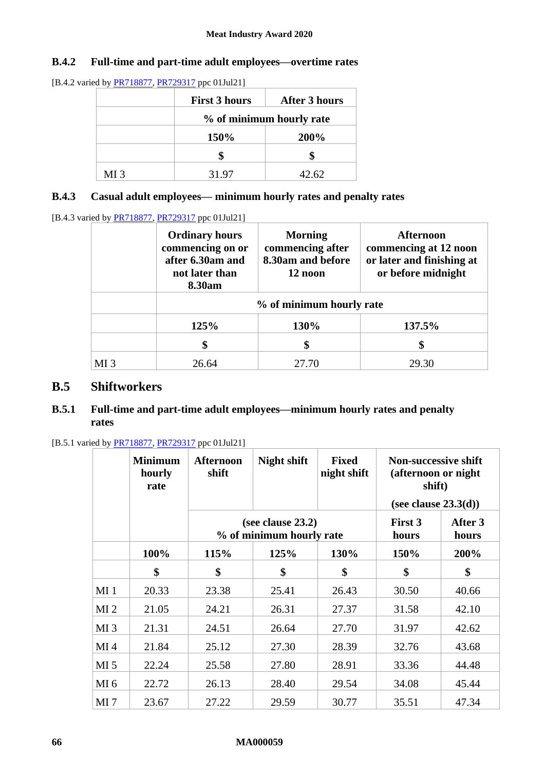## **B.4.2 Full-time and part-time adult employees—overtime rates**

[B.4.2 varied by [PR718877,](https://www.fwc.gov.au/documents/awardsandorders/html/PR718877.htm) [PR729317](https://www.fwc.gov.au/documents/awardsandorders/html/pr729317.htm) ppc 01Jul21]

|                 | <b>First 3 hours</b> | After 3 hours            |
|-----------------|----------------------|--------------------------|
|                 |                      | % of minimum hourly rate |
|                 | <b>150%</b>          | 200%                     |
|                 |                      |                          |
| MI <sub>3</sub> | 31.97                | 42.62                    |

# **B.4.3 Casual adult employees— minimum hourly rates and penalty rates**

[B.4.3 varied by [PR718877,](https://www.fwc.gov.au/documents/awardsandorders/html/PR718877.htm) [PR729317](https://www.fwc.gov.au/documents/awardsandorders/html/pr729317.htm) ppc 01Jul21]

|                 | <b>Ordinary hours</b><br>commencing on or<br>after 6.30am and<br>not later than<br>8.30am | <b>Morning</b><br>commencing after<br>8.30am and before<br>12 noon | <b>Afternoon</b><br>commencing at 12 noon<br>or later and finishing at<br>or before midnight |  |
|-----------------|-------------------------------------------------------------------------------------------|--------------------------------------------------------------------|----------------------------------------------------------------------------------------------|--|
|                 |                                                                                           | % of minimum hourly rate                                           |                                                                                              |  |
|                 | 125%                                                                                      | 130%                                                               | 137.5%                                                                                       |  |
|                 |                                                                                           | \$                                                                 | \$                                                                                           |  |
| MI <sub>3</sub> | 26.64                                                                                     | 27.70                                                              | 29.30                                                                                        |  |

# **B.5 Shiftworkers**

# **B.5.1 Full-time and part-time adult employees—minimum hourly rates and penalty rates**

|                 | <b>Minimum</b><br>hourly<br>rate | <b>Afternoon</b><br>shift | Night shift                                      | <b>Fixed</b><br>night shift | <b>Non-successive shift</b><br>(afternoon or night<br>shift)<br>(see clause $23.3(d)$ ) |       |
|-----------------|----------------------------------|---------------------------|--------------------------------------------------|-----------------------------|-----------------------------------------------------------------------------------------|-------|
|                 |                                  |                           | (see clause $23.2$ )<br>% of minimum hourly rate | First 3<br>hours            | After 3<br>hours                                                                        |       |
|                 | 100%                             | 115%                      | 125%                                             | 130%                        | 150%                                                                                    | 200%  |
|                 | \$                               | \$                        | \$                                               | \$                          | \$                                                                                      | \$    |
| MI <sub>1</sub> | 20.33                            | 23.38                     | 25.41                                            | 26.43                       | 30.50                                                                                   | 40.66 |
| MI <sub>2</sub> | 21.05                            | 24.21                     | 26.31                                            | 27.37                       | 31.58                                                                                   | 42.10 |
| MI <sub>3</sub> | 21.31                            | 24.51                     | 26.64                                            | 27.70                       | 31.97                                                                                   | 42.62 |
| MI <sub>4</sub> | 21.84                            | 25.12                     | 27.30                                            | 28.39                       | 32.76                                                                                   | 43.68 |
| MI <sub>5</sub> | 22.24                            | 25.58                     | 27.80                                            | 28.91                       | 33.36                                                                                   | 44.48 |
| MI <sub>6</sub> | 22.72                            | 26.13                     | 28.40                                            | 29.54                       | 34.08                                                                                   | 45.44 |
| MI <sub>7</sub> | 23.67                            | 27.22                     | 29.59                                            | 30.77                       | 35.51                                                                                   | 47.34 |

[B.5.1 varied by **PR718877**, **PR729317** ppc 01Jul21]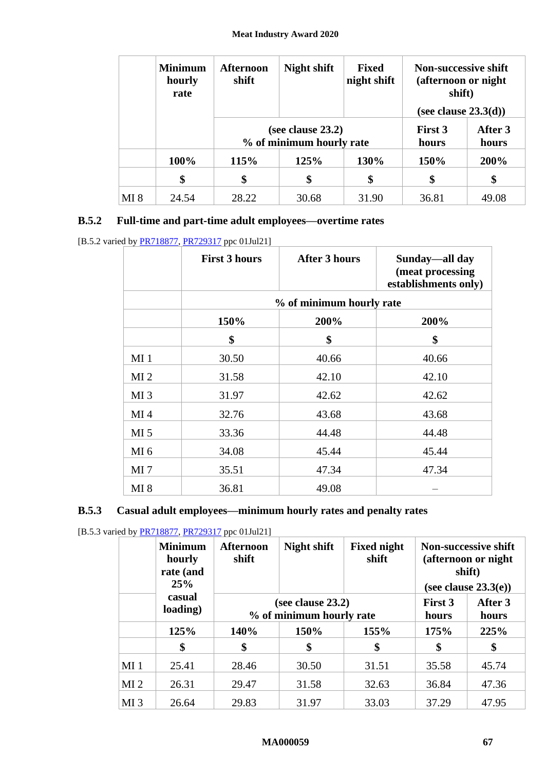|      | <b>Minimum</b><br>hourly<br>rate | <b>Afternoon</b><br>shift                     | Night shift<br><b>Fixed</b><br>night shift |       | <b>Non-successive shift</b><br>(afternoon or night)<br>shift) |                  |
|------|----------------------------------|-----------------------------------------------|--------------------------------------------|-------|---------------------------------------------------------------|------------------|
|      |                                  |                                               |                                            |       | (see clause $23.3(d)$ )                                       |                  |
|      |                                  | (see clause 23.2)<br>% of minimum hourly rate |                                            |       | First 3<br>hours                                              | After 3<br>hours |
|      | 100%                             | 115%                                          | 125%                                       | 130%  | 150%                                                          | 200%             |
|      | \$                               | \$                                            | \$                                         | \$    | \$                                                            | \$               |
| MI 8 | 24.54                            | 28.22                                         | 30.68                                      | 31.90 | 36.81                                                         | 49.08            |

# **B.5.2 Full-time and part-time adult employees—overtime rates**

<sup>[</sup>B.5.2 varied b[y PR718877,](https://www.fwc.gov.au/documents/awardsandorders/html/PR718877.htm) [PR729317](https://www.fwc.gov.au/documents/awardsandorders/html/pr729317.htm) ppc 01Jul21]

|                 | <b>First 3 hours</b> | <b>After 3 hours</b>     | Sunday—all day<br>(meat processing<br>establishments only) |
|-----------------|----------------------|--------------------------|------------------------------------------------------------|
|                 |                      | % of minimum hourly rate |                                                            |
|                 | 150%                 | 200%                     | 200%                                                       |
|                 | \$                   | \$                       | \$                                                         |
| MI <sub>1</sub> | 30.50                | 40.66                    | 40.66                                                      |
| MI <sub>2</sub> | 31.58                | 42.10                    | 42.10                                                      |
| MI <sub>3</sub> | 31.97                | 42.62                    | 42.62                                                      |
| MI <sub>4</sub> | 32.76                | 43.68                    | 43.68                                                      |
| MI <sub>5</sub> | 33.36                | 44.48                    | 44.48                                                      |
| MI <sub>6</sub> | 34.08                | 45.44                    | 45.44                                                      |
| MI <sub>7</sub> | 35.51                | 47.34                    | 47.34                                                      |
| <b>MI</b> 8     | 36.81                | 49.08                    |                                                            |

# **B.5.3 Casual adult employees—minimum hourly rates and penalty rates**

[B.5.3 varied b[y PR718877,](https://www.fwc.gov.au/documents/awardsandorders/html/PR718877.htm) [PR729317](https://www.fwc.gov.au/documents/awardsandorders/html/pr729317.htm) ppc 01Jul21]

|                 | <b>Minimum</b><br>hourly<br>rate (and<br>25% | <b>Afternoon</b><br>shift | <b>Night shift</b>                               | <b>Fixed night</b><br>shift |                  | <b>Non-successive shift</b><br>(afternoon or night)<br>shift)<br>(see clause $23.3(e)$ ) |
|-----------------|----------------------------------------------|---------------------------|--------------------------------------------------|-----------------------------|------------------|------------------------------------------------------------------------------------------|
|                 | casual<br>loading)                           |                           | (see clause $23.2$ )<br>% of minimum hourly rate |                             | First 3<br>hours | After 3<br>hours                                                                         |
|                 | 125%                                         | 140%                      | 150%                                             | 155%                        | 175%             | 225%                                                                                     |
|                 | \$                                           | \$                        | \$                                               | \$                          | \$               | \$                                                                                       |
| $MI_1$          | 25.41                                        | 28.46                     | 30.50                                            | 31.51                       | 35.58            | 45.74                                                                                    |
| MI <sub>2</sub> | 26.31                                        | 29.47                     | 31.58                                            | 32.63                       | 36.84            | 47.36                                                                                    |
| MI <sub>3</sub> | 26.64                                        | 29.83                     | 31.97                                            | 33.03                       | 37.29            | 47.95                                                                                    |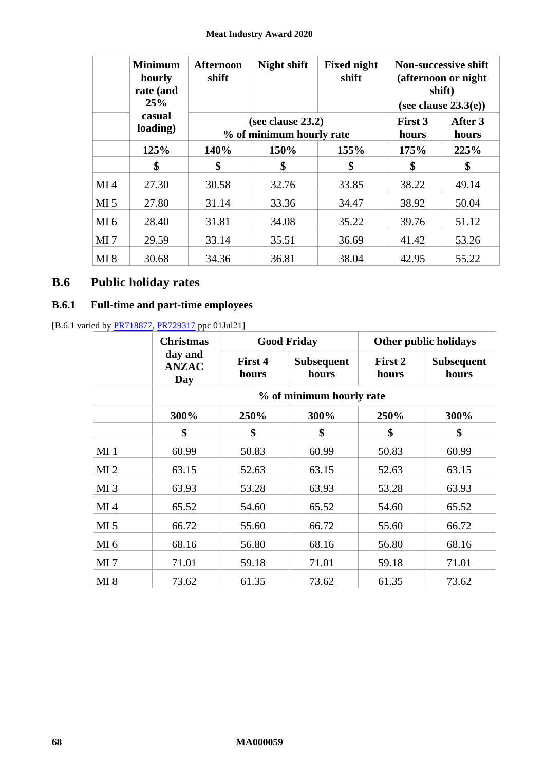#### **Meat Industry Award 2020**

|                 | <b>Minimum</b><br>hourly<br>rate (and<br>25% | <b>Afternoon</b><br>shift | <b>Night shift</b>                            | <b>Fixed night</b><br>shift |                         | <b>Non-successive shift</b><br>(afternoon or night)<br>shift)<br>(see clause $23.3(e)$ ) |
|-----------------|----------------------------------------------|---------------------------|-----------------------------------------------|-----------------------------|-------------------------|------------------------------------------------------------------------------------------|
|                 | casual<br>loading)                           |                           | (see clause 23.2)<br>% of minimum hourly rate |                             | <b>First 3</b><br>hours | After 3<br>hours                                                                         |
|                 | 125%                                         | 140%                      | 150%                                          | 155%                        | 175%                    | 225%                                                                                     |
|                 | \$                                           | \$                        | \$                                            | \$                          | \$                      | \$                                                                                       |
| MI <sub>4</sub> | 27.30                                        | 30.58                     | 32.76                                         | 33.85                       | 38.22                   | 49.14                                                                                    |
| MI <sub>5</sub> | 27.80                                        | 31.14                     | 33.36                                         | 34.47                       | 38.92                   | 50.04                                                                                    |
| MI <sub>6</sub> | 28.40                                        | 31.81                     | 34.08                                         | 35.22                       | 39.76                   | 51.12                                                                                    |
| MI <sub>7</sub> | 29.59                                        | 33.14                     | 35.51                                         | 36.69                       | 41.42                   | 53.26                                                                                    |
| MI <sub>8</sub> | 30.68                                        | 34.36                     | 36.81                                         | 38.04                       | 42.95                   | 55.22                                                                                    |

# **B.6 Public holiday rates**

# **B.6.1 Full-time and part-time employees**

[B.6.1 varied by **PR718877**, **PR729317** ppc 01Jul21]

|                 | <b>Christmas</b>               |                  | <b>Good Friday</b>         |                  | Other public holidays      |
|-----------------|--------------------------------|------------------|----------------------------|------------------|----------------------------|
|                 | day and<br><b>ANZAC</b><br>Day | First 4<br>hours | <b>Subsequent</b><br>hours | First 2<br>hours | <b>Subsequent</b><br>hours |
|                 |                                |                  | % of minimum hourly rate   |                  |                            |
|                 | 300%                           | 250%             | 300%                       | 250%             | 300%                       |
|                 | \$                             | \$               | \$                         | \$               | \$                         |
| MI <sub>1</sub> | 60.99                          | 50.83            | 60.99                      | 50.83            | 60.99                      |
| MI <sub>2</sub> | 63.15                          | 52.63            | 63.15                      | 52.63            | 63.15                      |
| MI <sub>3</sub> | 63.93                          | 53.28            | 63.93                      | 53.28            | 63.93                      |
| MI <sub>4</sub> | 65.52                          | 54.60            | 65.52                      | 54.60            | 65.52                      |
| MI <sub>5</sub> | 66.72                          | 55.60            | 66.72                      | 55.60            | 66.72                      |
| MI <sub>6</sub> | 68.16                          | 56.80            | 68.16                      | 56.80            | 68.16                      |
| MI <sub>7</sub> | 71.01                          | 59.18            | 71.01                      | 59.18            | 71.01                      |
| <b>MI</b> 8     | 73.62                          | 61.35            | 73.62                      | 61.35            | 73.62                      |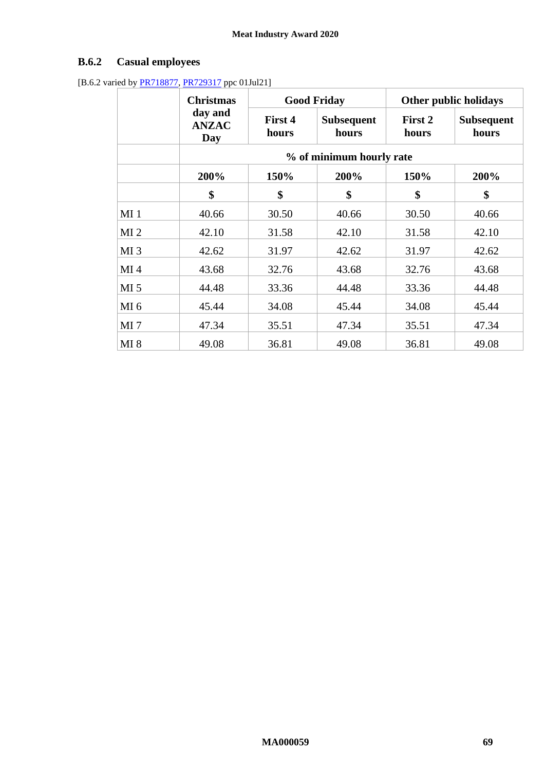# **B.6.2 Casual employees**

[B.6.2 varied by **PR718877**, **PR729317** ppc 01Jul21]

|                 | <b>Christmas</b>               |                          | <b>Good Friday</b>         |                  | Other public holidays |  |
|-----------------|--------------------------------|--------------------------|----------------------------|------------------|-----------------------|--|
|                 | day and<br><b>ANZAC</b><br>Day | First 4<br>hours         | <b>Subsequent</b><br>hours | First 2<br>hours | Subsequent<br>hours   |  |
|                 |                                | % of minimum hourly rate |                            |                  |                       |  |
|                 | 200%                           | 150%                     | 200%                       | 150%             | 200%                  |  |
|                 | \$                             | \$                       | \$                         | \$               | \$                    |  |
| MI <sub>1</sub> | 40.66                          | 30.50                    | 40.66                      | 30.50            | 40.66                 |  |
| MI <sub>2</sub> | 42.10                          | 31.58                    | 42.10                      | 31.58            | 42.10                 |  |
| MI <sub>3</sub> | 42.62                          | 31.97                    | 42.62                      | 31.97            | 42.62                 |  |
| MI <sub>4</sub> | 43.68                          | 32.76                    | 43.68                      | 32.76            | 43.68                 |  |
| MI <sub>5</sub> | 44.48                          | 33.36                    | 44.48                      | 33.36            | 44.48                 |  |
| MI <sub>6</sub> | 45.44                          | 34.08                    | 45.44                      | 34.08            | 45.44                 |  |
| MI <sub>7</sub> | 47.34                          | 35.51                    | 47.34                      | 35.51            | 47.34                 |  |
| MI 8            | 49.08                          | 36.81                    | 49.08                      | 36.81            | 49.08                 |  |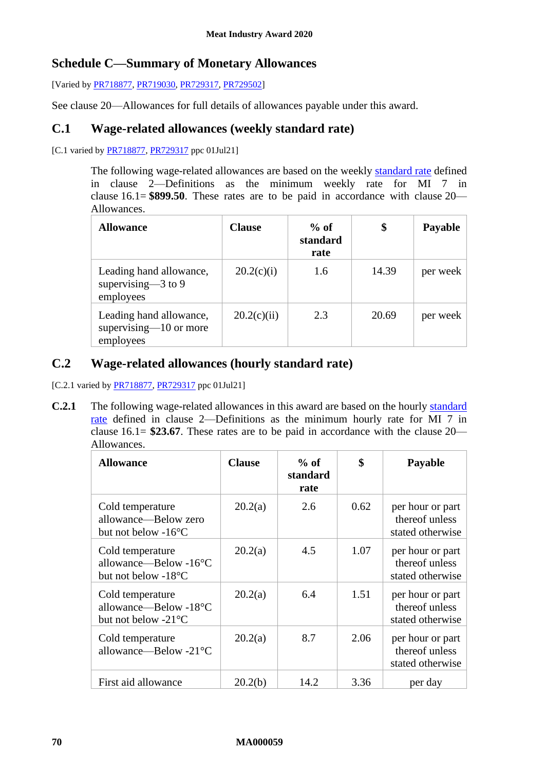# **Schedule C—Summary of Monetary Allowances**

[Varied by [PR718877,](https://www.fwc.gov.au/documents/awardsandorders/html/PR718877.htm) [PR719030,](https://www.fwc.gov.au/documents/awardsandorders/html/pr719030.htm) [PR729317,](https://www.fwc.gov.au/documents/awardsandorders/html/pr729317.htm) [PR729502\]](https://www.fwc.gov.au/documents/awardsandorders/html/pr729502.htm)

See clause [20—Allowances](#page-32-0) for full details of allowances payable under this award.

# **C.1 Wage-related allowances (weekly standard rate)**

[C.1 varied b[y PR718877,](https://www.fwc.gov.au/documents/awardsandorders/html/PR718877.htm) [PR729317](https://www.fwc.gov.au/documents/awardsandorders/html/pr729317.htm) ppc 01Jul21]

The following wage-related allowances are based on the weekly standard rate defined in clause [2—Definitions](#page-2-0) as the minimum weekly rate for MI 7 in clause [16.1=](#page-21-0) **\$899.50**. These rates are to be paid in accordance with clause [20—](#page-32-0) [Allowances.](#page-32-0)

| <b>Allowance</b>                                                  | <b>Clause</b> | $%$ of<br>standard<br>rate | \$    | <b>Payable</b> |
|-------------------------------------------------------------------|---------------|----------------------------|-------|----------------|
| Leading hand allowance,<br>supervising $-3$ to 9<br>employees     | 20.2(c)(i)    | 1.6                        | 14.39 | per week       |
| Leading hand allowance,<br>supervising $-10$ or more<br>employees | 20.2(c)(ii)   | 2.3                        | 20.69 | per week       |

# **C.2 Wage-related allowances (hourly standard rate)**

[C.2.1 varied by **PR718877, [PR729317](https://www.fwc.gov.au/documents/awardsandorders/html/pr729317.htm)** ppc 01Jul21]

**C.2.1** The following wage-related allowances in this award are based on the hourly standard rate defined in clause [2—Definitions](#page-2-0) as the minimum hourly rate for MI 7 in clause [16.1=](#page-21-0) **\$23.67**. These rates are to be paid in accordance with the clause [20—](#page-32-0) [Allowances.](#page-32-0)

| <b>Allowance</b>                                                            | <b>Clause</b> | $%$ of<br>standard<br>rate | \$   | <b>Payable</b>                                         |
|-----------------------------------------------------------------------------|---------------|----------------------------|------|--------------------------------------------------------|
| Cold temperature<br>allowance—Below zero<br>but not below $-16^{\circ}$ C   | 20.2(a)       | 2.6                        | 0.62 | per hour or part<br>thereof unless<br>stated otherwise |
| Cold temperature<br>allowance-Below -16°C<br>but not below -18°C            | 20.2(a)       | 4.5                        | 1.07 | per hour or part<br>thereof unless<br>stated otherwise |
| Cold temperature<br>allowance—Below - $18^{\circ}$ C<br>but not below -21°C | 20.2(a)       | 6.4                        | 1.51 | per hour or part<br>thereof unless<br>stated otherwise |
| Cold temperature<br>allowance—Below - $21^{\circ}$ C                        | 20.2(a)       | 8.7                        | 2.06 | per hour or part<br>thereof unless<br>stated otherwise |
| First aid allowance                                                         | 20.2(b)       | 14.2                       | 3.36 | per day                                                |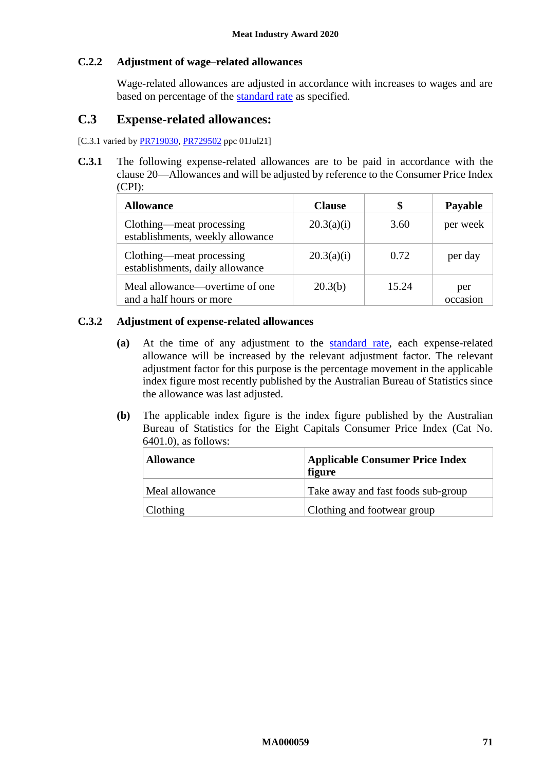### **C.2.2 Adjustment of wage–related allowances**

Wage-related allowances are adjusted in accordance with increases to wages and are based on percentage of the standard rate as specified.

# **C.3 Expense-related allowances:**

[C.3.1 varied b[y PR719030,](https://www.fwc.gov.au/documents/awardsandorders/html/pr719030.htm) [PR729502](https://www.fwc.gov.au/documents/awardsandorders/html/pr729502.htm) ppc 01Jul21]

**C.3.1** The following expense-related allowances are to be paid in accordance with the clause [20—Allowances](#page-32-0) and will be adjusted by reference to the Consumer Price Index (CPI):

| <b>Allowance</b>                                             | <b>Clause</b> | \$    | <b>Payable</b>  |
|--------------------------------------------------------------|---------------|-------|-----------------|
| Clothing—meat processing<br>establishments, weekly allowance | 20.3(a)(i)    | 3.60  | per week        |
| Clothing—meat processing<br>establishments, daily allowance  | 20.3(a)(i)    | 0.72  | per day         |
| Meal allowance—overtime of one<br>and a half hours or more   | 20.3(b)       | 15.24 | per<br>occasion |

#### **C.3.2 Adjustment of expense-related allowances**

- **(a)** At the time of any adjustment to the standard rate, each expense-related allowance will be increased by the relevant adjustment factor. The relevant adjustment factor for this purpose is the percentage movement in the applicable index figure most recently published by the Australian Bureau of Statistics since the allowance was last adjusted.
- **(b)** The applicable index figure is the index figure published by the Australian Bureau of Statistics for the Eight Capitals Consumer Price Index (Cat No. 6401.0), as follows:

| <b>Allowance</b> | <b>Applicable Consumer Price Index</b><br>figure |
|------------------|--------------------------------------------------|
| Meal allowance   | Take away and fast foods sub-group               |
| <b>Clothing</b>  | Clothing and footwear group                      |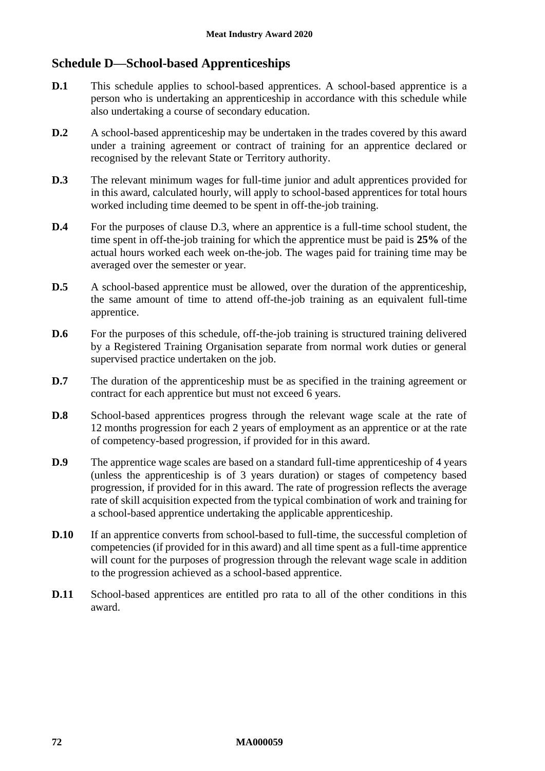# **Schedule D—School-based Apprenticeships**

- **D.1** This schedule applies to school-based apprentices. A school-based apprentice is a person who is undertaking an apprenticeship in accordance with this schedule while also undertaking a course of secondary education.
- **D.2** A school-based apprenticeship may be undertaken in the trades covered by this award under a training agreement or contract of training for an apprentice declared or recognised by the relevant State or Territory authority.
- <span id="page-71-0"></span>**D.3** The relevant minimum wages for full-time junior and adult apprentices provided for in this award, calculated hourly, will apply to school-based apprentices for total hours worked including time deemed to be spent in off-the-job training.
- **D.4** For the purposes of clause [D.3,](#page-71-0) where an apprentice is a full-time school student, the time spent in off-the-job training for which the apprentice must be paid is **25%** of the actual hours worked each week on-the-job. The wages paid for training time may be averaged over the semester or year.
- **D.5** A school-based apprentice must be allowed, over the duration of the apprenticeship, the same amount of time to attend off-the-job training as an equivalent full-time apprentice.
- **D.6** For the purposes of this schedule, off-the-job training is structured training delivered by a Registered Training Organisation separate from normal work duties or general supervised practice undertaken on the job.
- **D.7** The duration of the apprenticeship must be as specified in the training agreement or contract for each apprentice but must not exceed 6 years.
- **D.8** School-based apprentices progress through the relevant wage scale at the rate of 12 months progression for each 2 years of employment as an apprentice or at the rate of competency-based progression, if provided for in this award.
- **D.9** The apprentice wage scales are based on a standard full-time apprenticeship of 4 years (unless the apprenticeship is of 3 years duration) or stages of competency based progression, if provided for in this award. The rate of progression reflects the average rate of skill acquisition expected from the typical combination of work and training for a school-based apprentice undertaking the applicable apprenticeship.
- **D.10** If an apprentice converts from school-based to full-time, the successful completion of competencies (if provided for in this award) and all time spent as a full-time apprentice will count for the purposes of progression through the relevant wage scale in addition to the progression achieved as a school-based apprentice.
- **D.11** School-based apprentices are entitled pro rata to all of the other conditions in this award.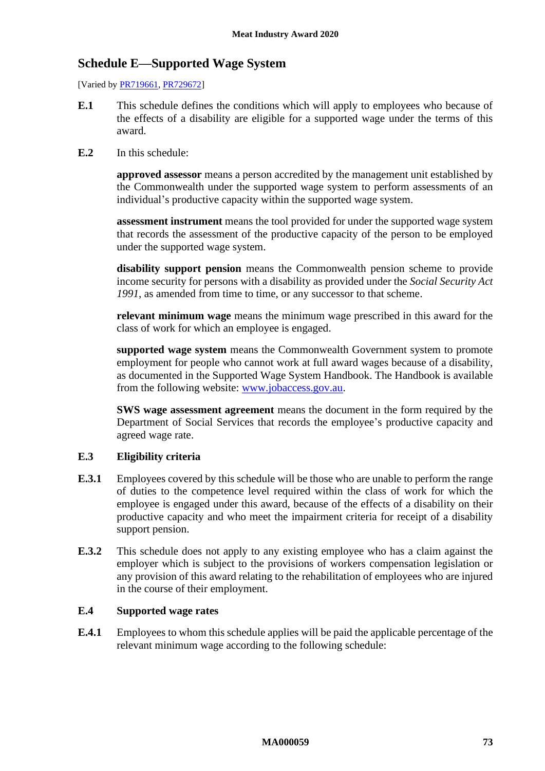# **Schedule E—Supported Wage System**

[Varied by **PR719661**, **PR729672**]

- **E.1** This schedule defines the conditions which will apply to employees who because of the effects of a disability are eligible for a supported wage under the terms of this award.
- **E.2** In this schedule:

**approved assessor** means a person accredited by the management unit established by the Commonwealth under the supported wage system to perform assessments of an individual's productive capacity within the supported wage system.

**assessment instrument** means the tool provided for under the supported wage system that records the assessment of the productive capacity of the person to be employed under the supported wage system.

**disability support pension** means the Commonwealth pension scheme to provide income security for persons with a disability as provided under the *Social Security Act 1991*, as amended from time to time, or any successor to that scheme.

**relevant minimum wage** means the minimum wage prescribed in this award for the class of work for which an employee is engaged.

**supported wage system** means the Commonwealth Government system to promote employment for people who cannot work at full award wages because of a disability, as documented in the Supported Wage System Handbook. The Handbook is available from the following website: [www.jobaccess.gov.au.](http://www.jobaccess.gov.au/)

**SWS wage assessment agreement** means the document in the form required by the Department of Social Services that records the employee's productive capacity and agreed wage rate.

## **E.3 Eligibility criteria**

- **E.3.1** Employees covered by this schedule will be those who are unable to perform the range of duties to the competence level required within the class of work for which the employee is engaged under this award, because of the effects of a disability on their productive capacity and who meet the impairment criteria for receipt of a disability support pension.
- **E.3.2** This schedule does not apply to any existing employee who has a claim against the employer which is subject to the provisions of workers compensation legislation or any provision of this award relating to the rehabilitation of employees who are injured in the course of their employment.

### **E.4 Supported wage rates**

**E.4.1** Employees to whom this schedule applies will be paid the applicable percentage of the relevant minimum wage according to the following schedule: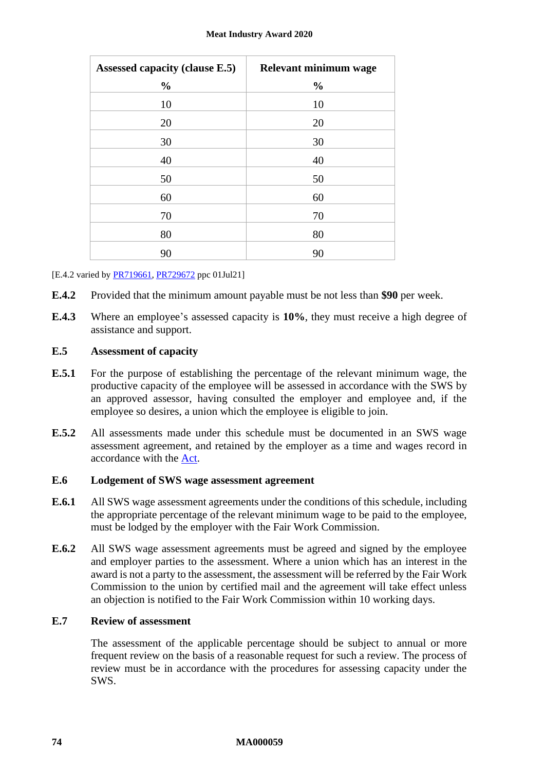| Assessed capacity (clause E.5) | Relevant minimum wage |
|--------------------------------|-----------------------|
| $\frac{0}{0}$                  | $\frac{0}{0}$         |
| 10                             | 10                    |
| 20                             | 20                    |
| 30                             | 30                    |
| 40                             | 40                    |
| 50                             | 50                    |
| 60                             | 60                    |
| 70                             | 70                    |
| 80                             | 80                    |
| 90                             | 90                    |

[E.4.2 varied b[y PR719661,](https://www.fwc.gov.au/documents/awardsandorders/html/pr719661.htm) [PR729672](https://www.fwc.gov.au/documents/awardsandorders/html/PR729672.htm) ppc 01Jul21]

- **E.4.2** Provided that the minimum amount payable must be not less than **\$90** per week.
- **E.4.3** Where an employee's assessed capacity is **10%**, they must receive a high degree of assistance and support.

## <span id="page-73-0"></span>**E.5 Assessment of capacity**

- **E.5.1** For the purpose of establishing the percentage of the relevant minimum wage, the productive capacity of the employee will be assessed in accordance with the SWS by an approved assessor, having consulted the employer and employee and, if the employee so desires, a union which the employee is eligible to join.
- **E.5.2** All assessments made under this schedule must be documented in an SWS wage assessment agreement, and retained by the employer as a time and wages record in accordance with the [Act.](http://www.legislation.gov.au/Series/C2009A00028)

#### **E.6 Lodgement of SWS wage assessment agreement**

- **E.6.1** All SWS wage assessment agreements under the conditions of this schedule, including the appropriate percentage of the relevant minimum wage to be paid to the employee, must be lodged by the employer with the Fair Work Commission.
- **E.6.2** All SWS wage assessment agreements must be agreed and signed by the employee and employer parties to the assessment. Where a union which has an interest in the award is not a party to the assessment, the assessment will be referred by the Fair Work Commission to the union by certified mail and the agreement will take effect unless an objection is notified to the Fair Work Commission within 10 working days.

## **E.7 Review of assessment**

The assessment of the applicable percentage should be subject to annual or more frequent review on the basis of a reasonable request for such a review. The process of review must be in accordance with the procedures for assessing capacity under the SWS.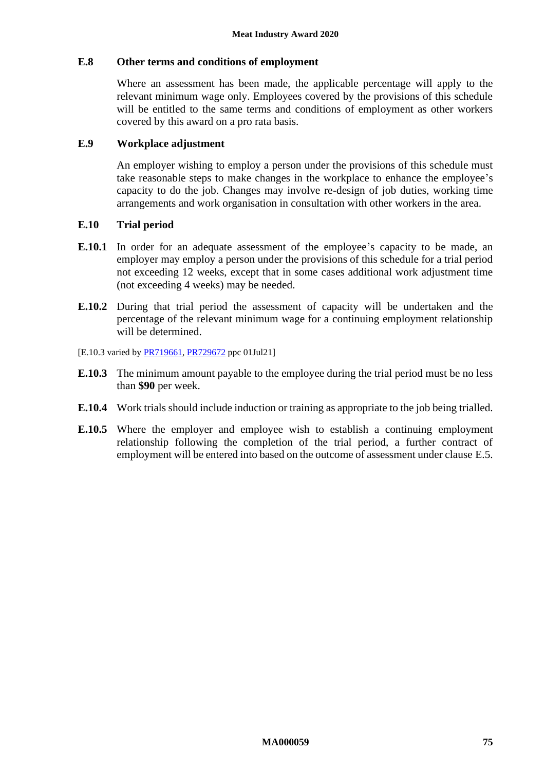#### **E.8 Other terms and conditions of employment**

Where an assessment has been made, the applicable percentage will apply to the relevant minimum wage only. Employees covered by the provisions of this schedule will be entitled to the same terms and conditions of employment as other workers covered by this award on a pro rata basis.

#### **E.9 Workplace adjustment**

An employer wishing to employ a person under the provisions of this schedule must take reasonable steps to make changes in the workplace to enhance the employee's capacity to do the job. Changes may involve re-design of job duties, working time arrangements and work organisation in consultation with other workers in the area.

#### **E.10 Trial period**

- **E.10.1** In order for an adequate assessment of the employee's capacity to be made, an employer may employ a person under the provisions of this schedule for a trial period not exceeding 12 weeks, except that in some cases additional work adjustment time (not exceeding 4 weeks) may be needed.
- **E.10.2** During that trial period the assessment of capacity will be undertaken and the percentage of the relevant minimum wage for a continuing employment relationship will be determined.
- [E.10.3 varied by **PR719661, [PR729672](https://www.fwc.gov.au/documents/awardsandorders/html/PR729672.htm)** ppc 01Jul21]
- **E.10.3** The minimum amount payable to the employee during the trial period must be no less than **\$90** per week.
- **E.10.4** Work trials should include induction or training as appropriate to the job being trialled.
- **E.10.5** Where the employer and employee wish to establish a continuing employment relationship following the completion of the trial period, a further contract of employment will be entered into based on the outcome of assessment under clause [E.5.](#page-73-0)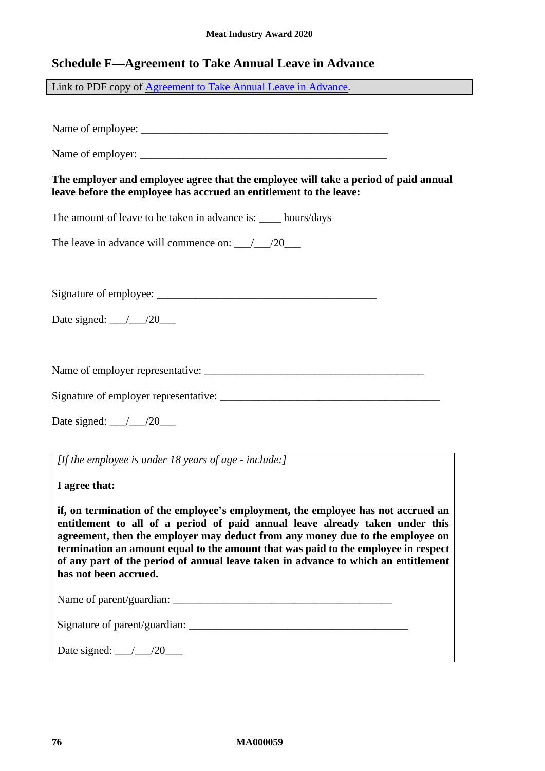# **Schedule F—Agreement to Take Annual Leave in Advance**

Link to PDF copy of [Agreement to Take Annual Leave in Advance.](http://www.fwc.gov.au/documents/documents/modern_awards/leave-in-advance-agreement.pdf)

Name of employee: \_\_\_\_\_\_\_\_\_\_\_\_\_\_\_\_\_\_\_\_\_\_\_\_\_\_\_\_\_\_\_\_\_\_\_\_\_\_\_\_\_\_\_\_\_

Name of employer: \_\_\_\_\_\_\_\_\_\_\_\_\_\_\_\_\_\_\_\_\_\_\_\_\_\_\_\_\_\_\_\_\_\_\_\_\_\_\_\_\_\_\_\_\_

**The employer and employee agree that the employee will take a period of paid annual leave before the employee has accrued an entitlement to the leave:**

The amount of leave to be taken in advance is: hours/days

The leave in advance will commence on:  $\angle$  /20

Signature of employee: \_\_\_\_\_\_\_\_\_\_\_\_\_\_\_\_\_\_\_\_\_\_\_\_\_\_\_\_\_\_\_\_\_\_\_\_\_\_\_\_

Date signed: \_\_\_/\_\_\_/20\_\_\_

Name of employer representative: \_\_\_\_\_\_\_\_\_\_\_\_\_\_\_\_\_\_\_\_\_\_\_\_\_\_\_\_\_\_\_\_\_\_\_\_\_\_\_\_

Signature of employer representative:

Date signed:  $\angle 20$ 

*[If the employee is under 18 years of age - include:]*

**I agree that:**

**if, on termination of the employee's employment, the employee has not accrued an entitlement to all of a period of paid annual leave already taken under this agreement, then the employer may deduct from any money due to the employee on termination an amount equal to the amount that was paid to the employee in respect of any part of the period of annual leave taken in advance to which an entitlement has not been accrued.**

Name of parent/guardian: \_\_\_\_\_\_\_\_\_\_\_\_\_\_\_\_\_\_\_\_\_\_\_\_\_\_\_\_\_\_\_\_\_\_\_\_\_\_\_\_

Signature of parent/guardian:

Date signed:  $\angle 20$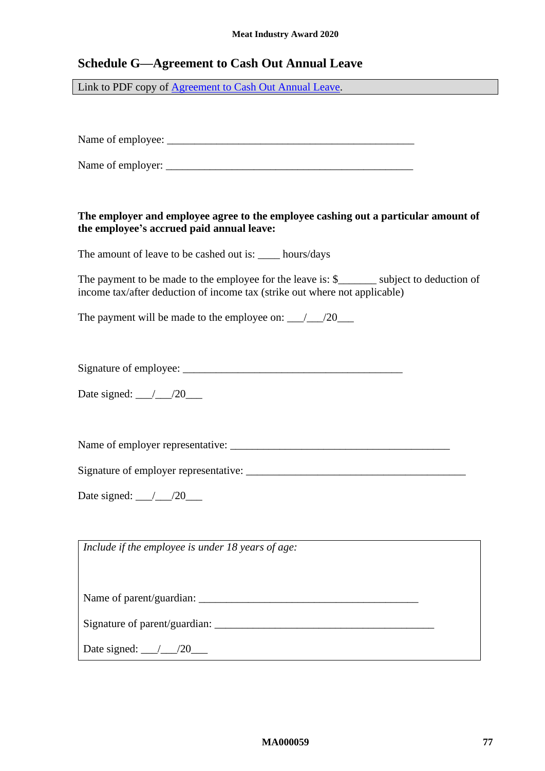# **Schedule G—Agreement to Cash Out Annual Leave**

Link to PDF copy of [Agreement to Cash Out Annual Leave.](http://www.fwc.gov.au/documents/documents/modern_awards/cash-out-agreement.pdf)

Name of employee: \_\_\_\_\_\_\_\_\_\_\_\_\_\_\_\_\_\_\_\_\_\_\_\_\_\_\_\_\_\_\_\_\_\_\_\_\_\_\_\_\_\_\_\_\_

Name of employer:

## **The employer and employee agree to the employee cashing out a particular amount of the employee's accrued paid annual leave:**

The amount of leave to be cashed out is: \_\_\_\_ hours/days

The payment to be made to the employee for the leave is: \$\_\_\_\_\_\_\_\_ subject to deduction of income tax/after deduction of income tax (strike out where not applicable)

The payment will be made to the employee on: \_\_\_/\_\_\_/20\_\_\_

Signature of employee: \_\_\_\_\_\_\_\_\_\_\_\_\_\_\_\_\_\_\_\_\_\_\_\_\_\_\_\_\_\_\_\_\_\_\_\_\_\_\_\_

Date signed:  $\frac{\_}{\_}/\_/20$ 

Name of employer representative: \_\_\_\_\_\_\_\_\_\_\_\_\_\_\_\_\_\_\_\_\_\_\_\_\_\_\_\_\_\_\_\_\_\_\_\_\_\_\_\_

Signature of employer representative:

Date signed: \_\_\_/\_\_\_/20\_\_\_

*Include if the employee is under 18 years of age:*

Name of parent/guardian:

Signature of parent/guardian:

Date signed:  $\angle 20$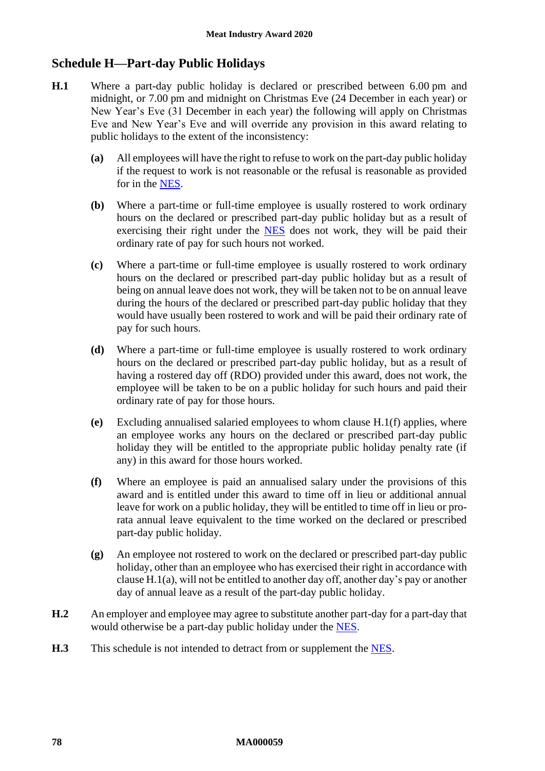## **Schedule H—Part-day Public Holidays**

- <span id="page-77-1"></span>**H.1** Where a part-day public holiday is declared or prescribed between 6.00 pm and midnight, or 7.00 pm and midnight on Christmas Eve (24 December in each year) or New Year's Eve (31 December in each year) the following will apply on Christmas Eve and New Year's Eve and will override any provision in this award relating to public holidays to the extent of the inconsistency:
	- **(a)** All employees will have the right to refuse to work on the part-day public holiday if the request to work is not reasonable or the refusal is reasonable as provided for in the [NES.](https://www.fwc.gov.au/documents/awardmod/download/nes.pdf)
	- **(b)** Where a part-time or full-time employee is usually rostered to work ordinary hours on the declared or prescribed part-day public holiday but as a result of exercising their right under the **[NES](https://www.fwc.gov.au/documents/awardmod/download/nes.pdf)** does not work, they will be paid their ordinary rate of pay for such hours not worked.
	- **(c)** Where a part-time or full-time employee is usually rostered to work ordinary hours on the declared or prescribed part-day public holiday but as a result of being on annual leave does not work, they will be taken not to be on annual leave during the hours of the declared or prescribed part-day public holiday that they would have usually been rostered to work and will be paid their ordinary rate of pay for such hours.
	- **(d)** Where a part-time or full-time employee is usually rostered to work ordinary hours on the declared or prescribed part-day public holiday, but as a result of having a rostered day off (RDO) provided under this award, does not work, the employee will be taken to be on a public holiday for such hours and paid their ordinary rate of pay for those hours.
	- **(e)** Excluding annualised salaried employees to whom clause [H.1\(f\)](#page-77-0) applies, where an employee works any hours on the declared or prescribed part-day public holiday they will be entitled to the appropriate public holiday penalty rate (if any) in this award for those hours worked.
	- **(f)** Where an employee is paid an annualised salary under the provisions of this award and is entitled under this award to time off in lieu or additional annual leave for work on a public holiday, they will be entitled to time off in lieu or prorata annual leave equivalent to the time worked on the declared or prescribed part-day public holiday.
	- **(g)** An employee not rostered to work on the declared or prescribed part-day public holiday, other than an employee who has exercised their right in accordance with clause [H.1\(a\),](#page-77-1) will not be entitled to another day off, another day's pay or another day of annual leave as a result of the part-day public holiday.
- <span id="page-77-0"></span>**H.2** An employer and employee may agree to substitute another part-day for a part-day that would otherwise be a part-day public holiday under the [NES.](https://www.fwc.gov.au/documents/awardmod/download/nes.pdf)
- **H.3** This schedule is not intended to detract from or supplement the [NES.](https://www.fwc.gov.au/documents/awardmod/download/nes.pdf)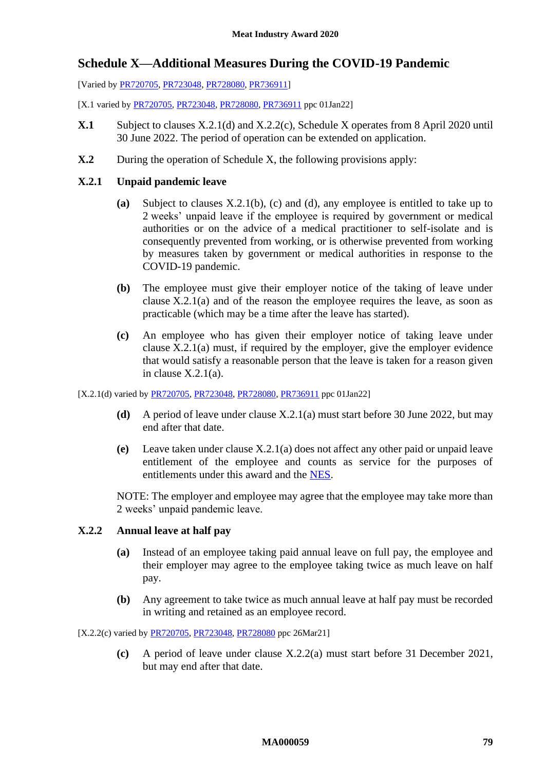## <span id="page-78-2"></span>**Schedule X—Additional Measures During the COVID-19 Pandemic**

[Varied b[y PR720705,](https://www.fwc.gov.au/documents/awardsandorders/html/pr720705.htm) [PR723048,](https://www.fwc.gov.au/documents/awardsandorders/html/PR723048.htm) [PR728080,](https://www.fwc.gov.au/documents/awardsandorders/html/pr728080.htm) [PR736911\]](https://www.fwc.gov.au/documents/awardsandorders/html/pr736911.htm)

[X.1 varied b[y PR720705,](https://www.fwc.gov.au/documents/awardsandorders/html/pr720705.htm) [PR723048,](https://www.fwc.gov.au/documents/awardsandorders/html/PR723048.htm) [PR728080,](https://www.fwc.gov.au/documents/awardsandorders/html/pr728080.htm) [PR736911](https://www.fwc.gov.au/documents/awardsandorders/html/pr736911.htm) ppc 01Jan22]

- **X.1** Subject to clauses [X.2.1\(d\)](#page-78-0) an[d X.2.2\(c\),](#page-78-1) [Schedule X](#page-78-2) operates from 8 April 2020 until 30 June 2022. The period of operation can be extended on application.
- **X.2** During the operation of [Schedule X,](#page-78-2) the following provisions apply:

## <span id="page-78-7"></span><span id="page-78-5"></span>**X.2.1 Unpaid pandemic leave**

- **(a)** Subject to clauses [X.2.1\(b\),](#page-78-3) [\(c\)](#page-78-4) and [\(d\),](#page-78-0) any employee is entitled to take up to 2 weeks' unpaid leave if the employee is required by government or medical authorities or on the advice of a medical practitioner to self-isolate and is consequently prevented from working, or is otherwise prevented from working by measures taken by government or medical authorities in response to the COVID-19 pandemic.
- <span id="page-78-3"></span>**(b)** The employee must give their employer notice of the taking of leave under clause [X.2.1\(a\)](#page-78-5) and of the reason the employee requires the leave, as soon as practicable (which may be a time after the leave has started).
- <span id="page-78-4"></span>**(c)** An employee who has given their employer notice of taking leave under clause  $X.2.1(a)$  must, if required by the employer, give the employer evidence that would satisfy a reasonable person that the leave is taken for a reason given in clause [X.2.1\(a\).](#page-78-5)

<span id="page-78-0"></span>[X.2.1(d) varied b[y PR720705,](https://www.fwc.gov.au/documents/awardsandorders/html/pr720705.htm) [PR723048,](https://www.fwc.gov.au/documents/awardsandorders/html/PR723048.htm) [PR728080,](https://www.fwc.gov.au/documents/awardsandorders/html/pr728080.htm) [PR736911](https://www.fwc.gov.au/documents/awardsandorders/html/pr736911.htm) ppc 01Jan22]

- **(d)** A period of leave under clause [X.2.1\(a\)](#page-78-5) must start before 30 June 2022, but may end after that date.
- **(e)** Leave taken under clause [X.2.1\(a\)](#page-78-5) does not affect any other paid or unpaid leave entitlement of the employee and counts as service for the purposes of entitlements under this award and the [NES.](https://www.fwc.gov.au/documents/awardmod/download/nes.pdf)

NOTE: The employer and employee may agree that the employee may take more than 2 weeks' unpaid pandemic leave.

## <span id="page-78-8"></span><span id="page-78-6"></span>**X.2.2 Annual leave at half pay**

- **(a)** Instead of an employee taking paid annual leave on full pay, the employee and their employer may agree to the employee taking twice as much leave on half pay.
- **(b)** Any agreement to take twice as much annual leave at half pay must be recorded in writing and retained as an employee record.

<span id="page-78-1"></span>[X.2.2(c) varied by [PR720705,](https://www.fwc.gov.au/documents/awardsandorders/html/pr720705.htm) [PR723048,](https://www.fwc.gov.au/documents/awardsandorders/html/PR723048.htm) [PR728080](https://www.fwc.gov.au/documents/awardsandorders/html/pr728080.htm) ppc 26Mar21]

**(c)** A period of leave under clause [X.2.2\(a\)](#page-78-6) must start before 31 December 2021, but may end after that date.